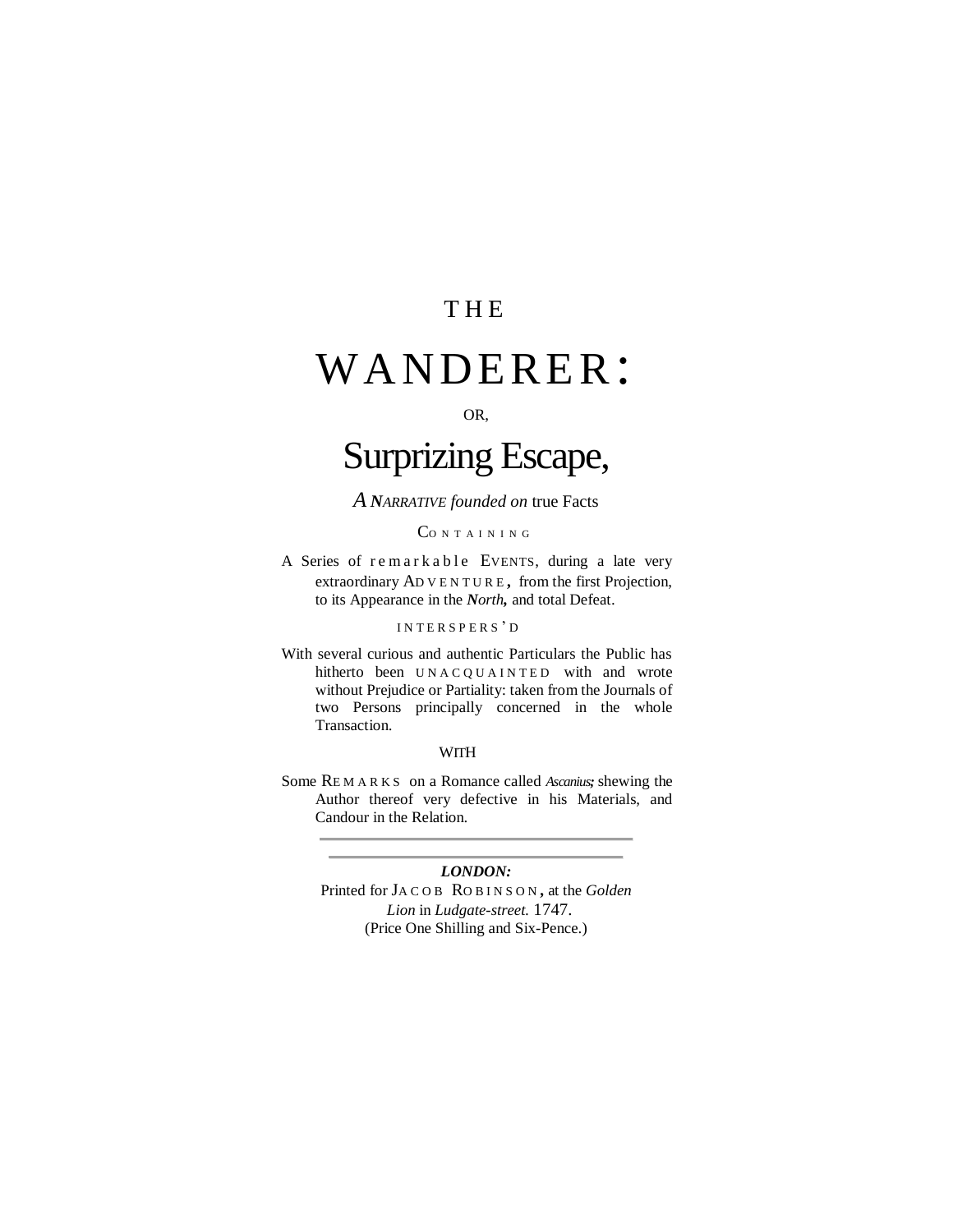### **THE**

## WANDERER:

#### OR,

## Surprizing Escape,

*A NARRATIVE founded on* true Facts

#### CONTAINING

A Series of remarkable EVENTS, during a late very extraordinary AD V E N T U R E **,** from the first Projection, to its Appearance in the *North,* and total Defeat.

#### INTERSPERS'D

With several curious and authentic Particulars the Public has hitherto been UNACQUAINTED with and wrote without Prejudice or Partiality: taken from the Journals of two Persons principally concerned in the whole Transaction.

#### **WITH**

Some RE M A R K S on a Romance called *Ascanius;* shewing the Author thereof very defective in his Materials, and Candour in the Relation.

#### *LONDON:*

Printed for JA C O B RO B I N S O N **,** at the *Golden Lion* in *Ludgate-street.* 1747. (Price One Shilling and Six-Pence.)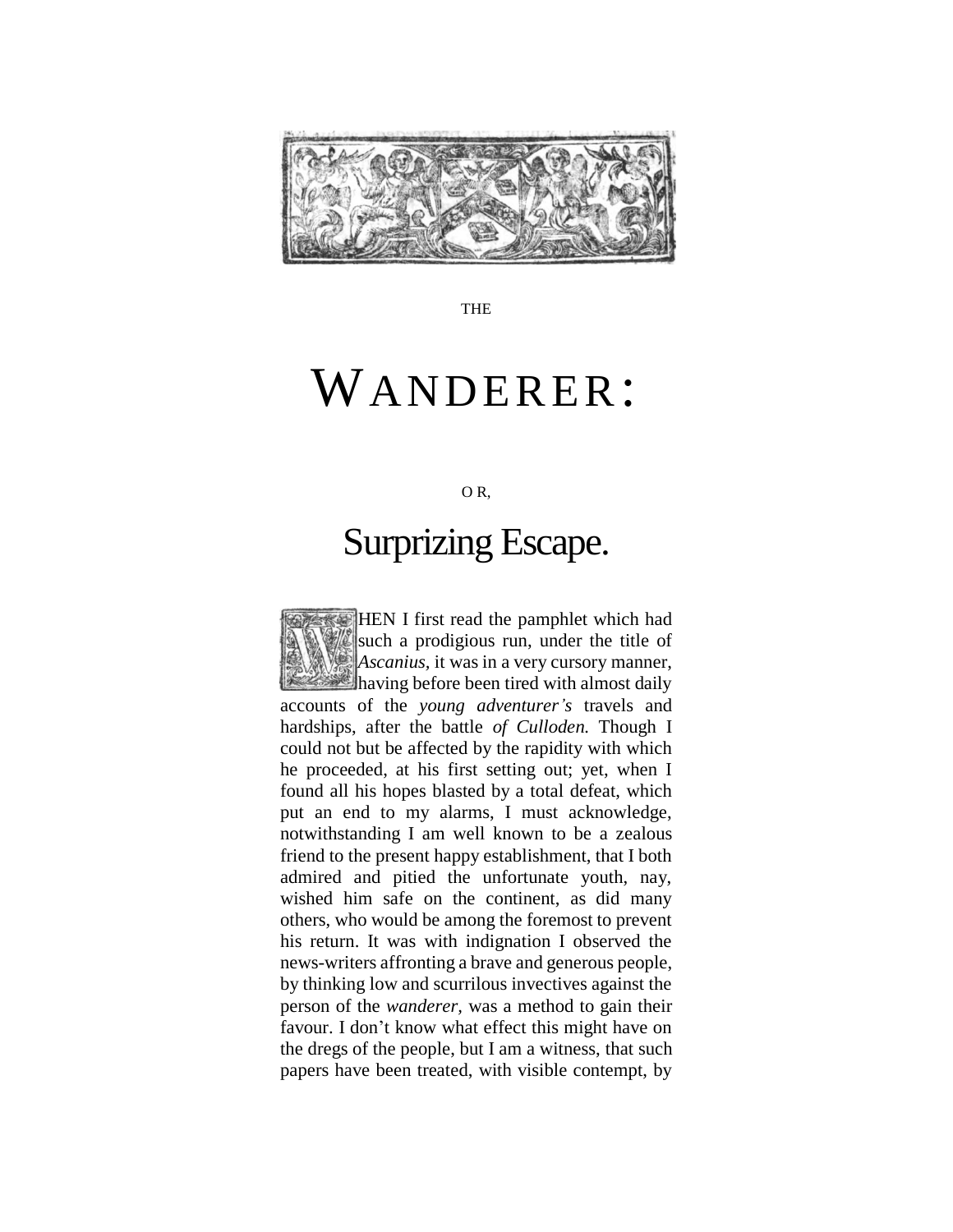

THE

# WANDERER:

O R,

## Surprizing Escape.

HEN I first read the pamphlet which had such a prodigious run, under the title of *Ascanius,* it was in a very cursory manner, having before been tired with almost daily accounts of the *young adventurer's* travels and hardships, after the battle *of Culloden.* Though I could not but be affected by the rapidity with which he proceeded, at his first setting out; yet, when I found all his hopes blasted by a total defeat, which put an end to my alarms, I must acknowledge, notwithstanding I am well known to be a zealous friend to the present happy establishment, that I both admired and pitied the unfortunate youth, nay, wished him safe on the continent, as did many others, who would be among the foremost to prevent his return. It was with indignation I observed the news-writers affronting a brave and generous people, by thinking low and scurrilous invectives against the person of the *wanderer,* was a method to gain their favour. I don"t know what effect this might have on the dregs of the people, but I am a witness, that such papers have been treated, with visible contempt, by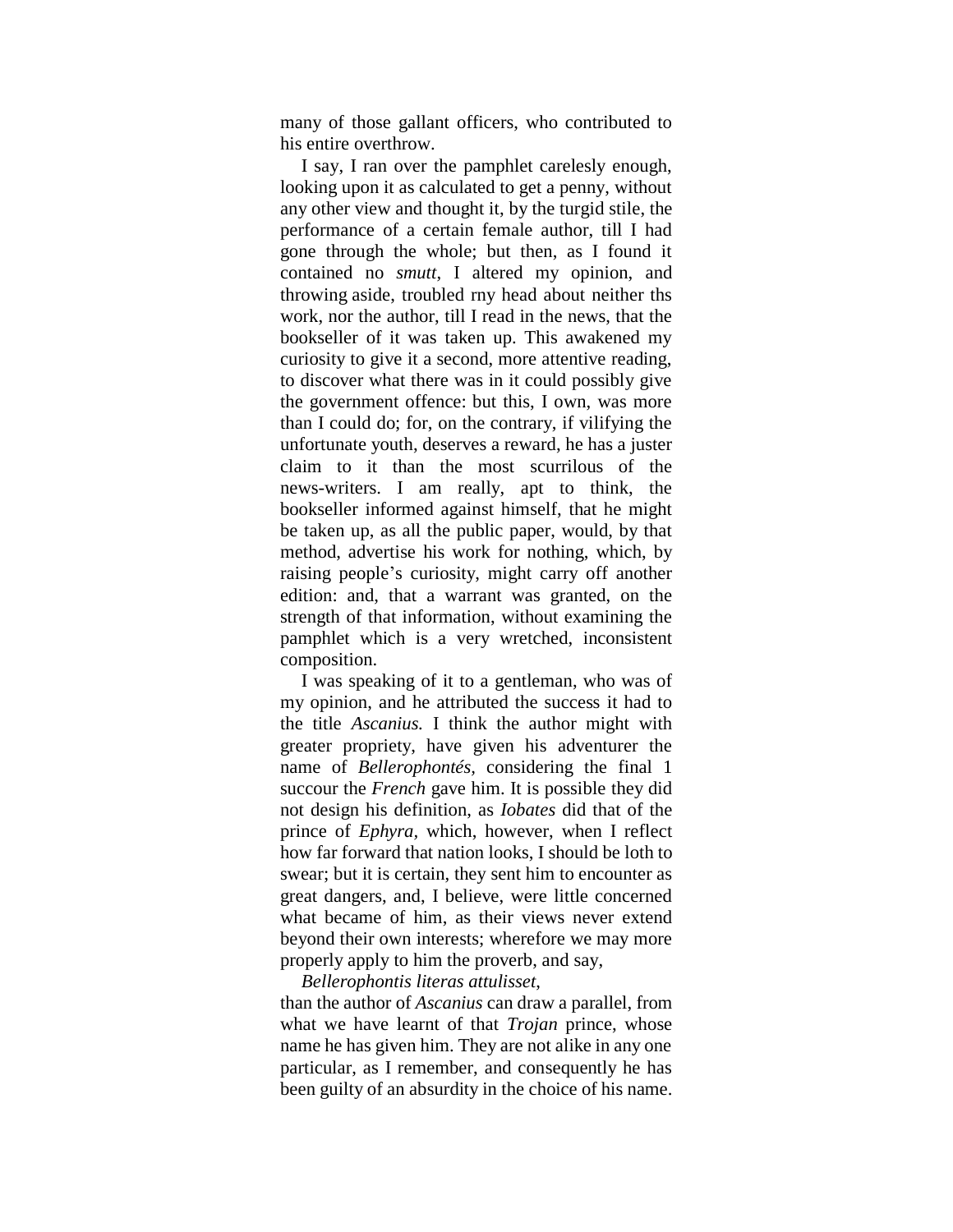many of those gallant officers, who contributed to his entire overthrow.

I say, I ran over the pamphlet carelesly enough, looking upon it as calculated to get a penny, without any other view and thought it, by the turgid stile, the performance of a certain female author, till I had gone through the whole; but then, as I found it contained no *smutt*, I altered my opinion, and throwing aside, troubled rny head about neither ths work, nor the author, till I read in the news, that the bookseller of it was taken up. This awakened my curiosity to give it a second, more attentive reading, to discover what there was in it could possibly give the government offence: but this, I own, was more than I could do; for, on the contrary, if vilifying the unfortunate youth, deserves a reward, he has a juster claim to it than the most scurrilous of the news-writers. I am really, apt to think, the bookseller informed against himself, that he might be taken up, as all the public paper, would, by that method, advertise his work for nothing, which, by raising people"s curiosity, might carry off another edition: and, that a warrant was granted, on the strength of that information, without examining the pamphlet which is a very wretched, inconsistent composition.

I was speaking of it to a gentleman, who was of my opinion, and he attributed the success it had to the title *Ascanius.* I think the author might with greater propriety, have given his adventurer the name of *Bellerophontés,* considering the final 1 succour the *French* gave him. It is possible they did not design his definition, as *Iobates* did that of the prince of *Ephyra,* which, however, when I reflect how far forward that nation looks, I should be loth to swear; but it is certain, they sent him to encounter as great dangers, and, I believe, were little concerned what became of him, as their views never extend beyond their own interests; wherefore we may more properly apply to him the proverb, and say,

#### *Bellerophontis literas attulisset*,

than the author of *Ascanius* can draw a parallel, from what we have learnt of that *Trojan* prince, whose name he has given him. They are not alike in any one particular, as I remember, and consequently he has been guilty of an absurdity in the choice of his name.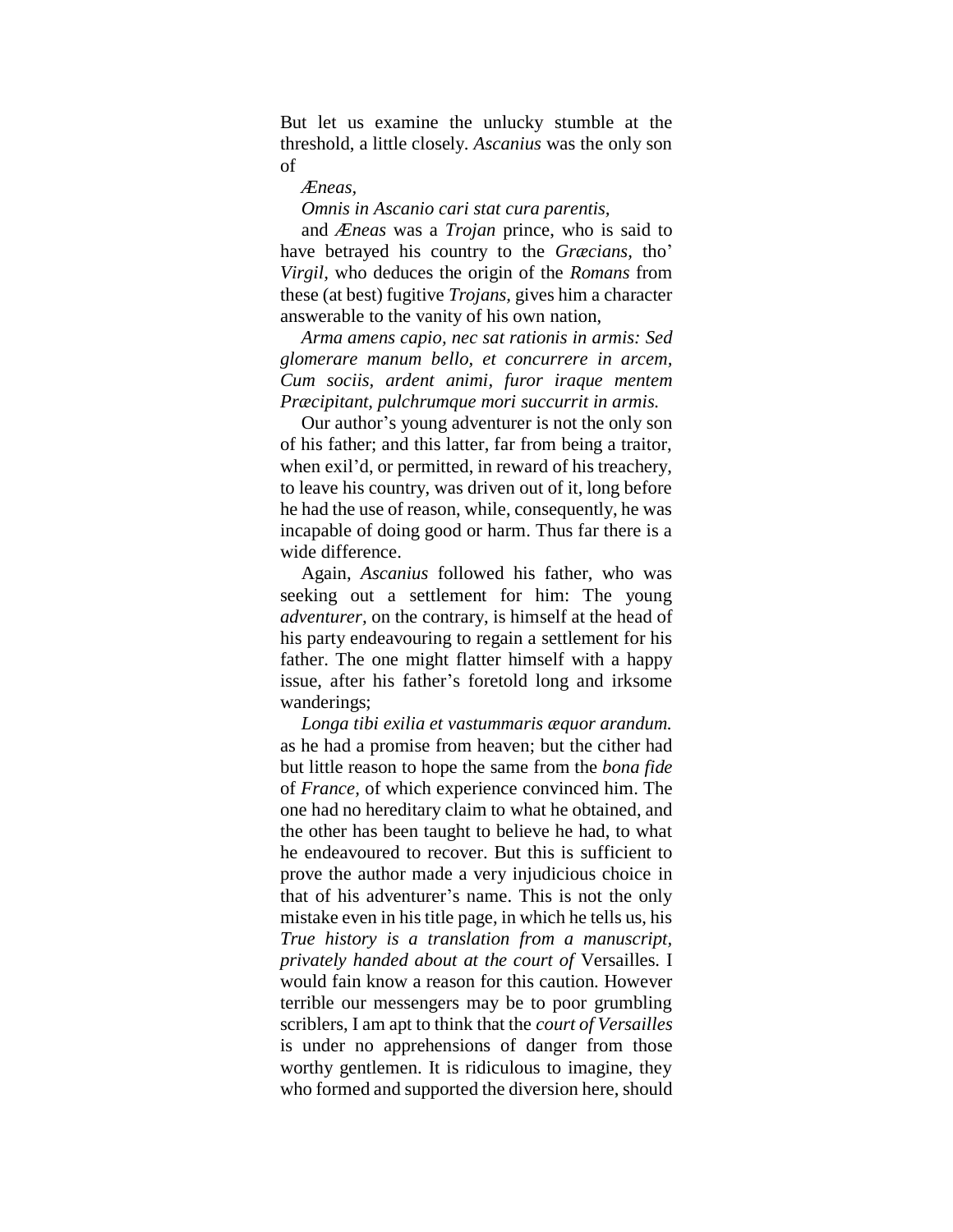But let us examine the unlucky stumble at the threshold, a little closely. *Ascanius* was the only son of

#### *Æneas,*

#### *Omnis in Ascanio cari stat cura parentis,*

and *Æneas* was a *Trojan* prince, who is said to have betrayed his country to the *Græcians*, tho' *Virgil,* who deduces the origin of the *Romans* from these (at best) fugitive *Trojans,* gives him a character answerable to the vanity of his own nation,

*Arma amens capio, nec sat rationis in armis: Sed glomerare manum bello, et concurrere in arcem, Cum sociis, ardent animi, furor iraque mentem Præcipitant, pulchrumque mori succurrit in armis.*

Our author"s young adventurer is not the only son of his father; and this latter, far from being a traitor, when exil"d, or permitted, in reward of his treachery, to leave his country, was driven out of it, long before he had the use of reason, while, consequently, he was incapable of doing good or harm. Thus far there is a wide difference.

Again, *Ascanius* followed his father, who was seeking out a settlement for him: The young *adventurer,* on the contrary, is himself at the head of his party endeavouring to regain a settlement for his father. The one might flatter himself with a happy issue, after his father"s foretold long and irksome wanderings;

*Longa tibi exilia et vastummaris æquor arandum.* as he had a promise from heaven; but the cither had but little reason to hope the same from the *bona fide*  of *France,* of which experience convinced him. The one had no hereditary claim to what he obtained, and the other has been taught to believe he had, to what he endeavoured to recover. But this is sufficient to prove the author made a very injudicious choice in that of his adventurer"s name. This is not the only mistake even in his title page, in which he tells us, his *True history is a translation from a manuscript, privately handed about at the court of* Versailles. I would fain know a reason for this caution. However terrible our messengers may be to poor grumbling scriblers, I am apt to think that the *court of Versailles*  is under no apprehensions of danger from those worthy gentlemen. It is ridiculous to imagine, they who formed and supported the diversion here, should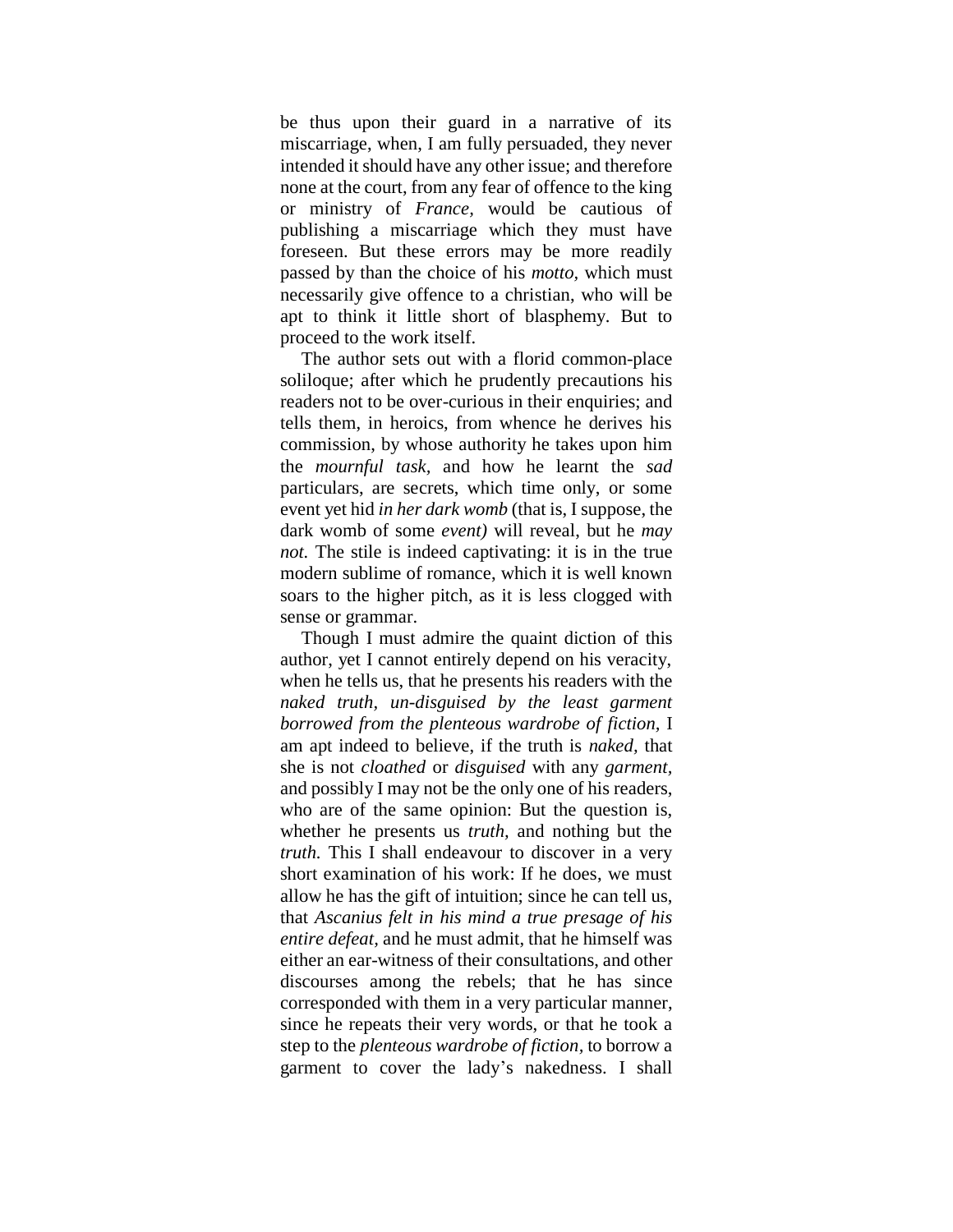be thus upon their guard in a narrative of its miscarriage, when, I am fully persuaded, they never intended it should have any other issue; and therefore none at the court, from any fear of offence to the king or ministry of *France,* would be cautious of publishing a miscarriage which they must have foreseen. But these errors may be more readily passed by than the choice of his *motto,* which must necessarily give offence to a christian, who will be apt to think it little short of blasphemy. But to proceed to the work itself.

The author sets out with a florid common-place soliloque; after which he prudently precautions his readers not to be over-curious in their enquiries; and tells them, in heroics, from whence he derives his commission, by whose authority he takes upon him the *mournful task,* and how he learnt the *sad*  particulars, are secrets, which time only, or some event yet hid *in her dark womb* (that is, I suppose, the dark womb of some *event)* will reveal, but he *may not.* The stile is indeed captivating: it is in the true modern sublime of romance, which it is well known soars to the higher pitch, as it is less clogged with sense or grammar.

Though I must admire the quaint diction of this author, yet I cannot entirely depend on his veracity, when he tells us, that he presents his readers with the *naked truth, un-disguised by the least garment borrowed from the plenteous wardrobe of fiction,* I am apt indeed to believe, if the truth is *naked,* that she is not *cloathed* or *disguised* with any *garment,* and possibly I may not be the only one of his readers, who are of the same opinion: But the question is, whether he presents us *truth,* and nothing but the *truth.* This I shall endeavour to discover in a very short examination of his work: If he does, we must allow he has the gift of intuition; since he can tell us, that *Ascanius felt in his mind a true presage of his entire defeat,* and he must admit, that he himself was either an ear-witness of their consultations, and other discourses among the rebels; that he has since corresponded with them in a very particular manner, since he repeats their very words, or that he took a step to the *plenteous wardrobe of fiction,* to borrow a garment to cover the lady"s nakedness. I shall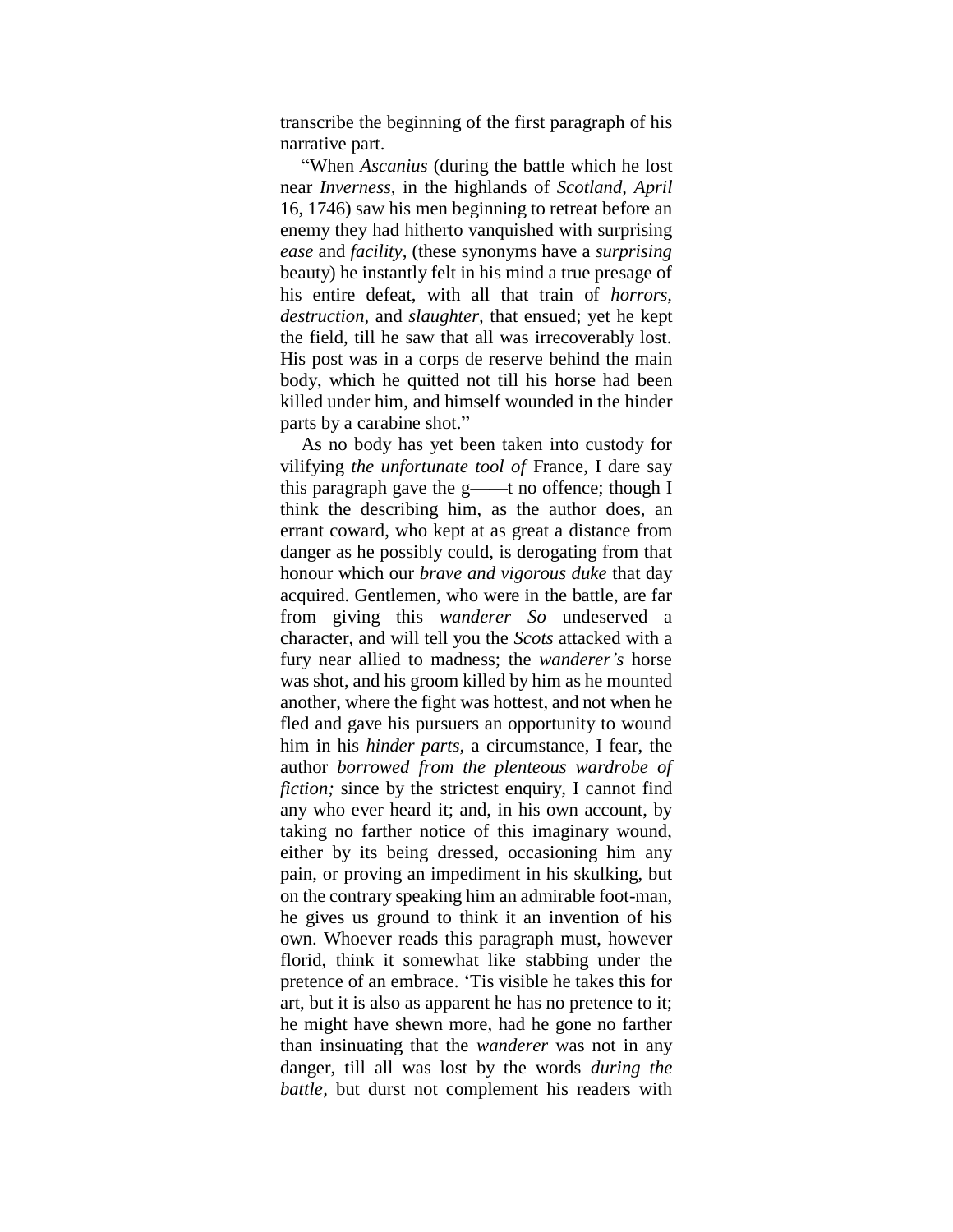transcribe the beginning of the first paragraph of his narrative part.

"When *Ascanius* (during the battle which he lost near *Inverness,* in the highlands of *Scotland, April*  16, 1746) saw his men beginning to retreat before an enemy they had hitherto vanquished with surprising *ease* and *facility,* (these synonyms have a *surprising*  beauty) he instantly felt in his mind a true presage of his entire defeat, with all that train of *horrors, destruction,* and *slaughter,* that ensued; yet he kept the field, till he saw that all was irrecoverably lost. His post was in a corps de reserve behind the main body, which he quitted not till his horse had been killed under him, and himself wounded in the hinder parts by a carabine shot."

As no body has yet been taken into custody for vilifying *the unfortunate tool of* France, I dare say this paragraph gave the  $g$ ——t no offence; though I think the describing him, as the author does, an errant coward, who kept at as great a distance from danger as he possibly could, is derogating from that honour which our *brave and vigorous duke* that day acquired. Gentlemen, who were in the battle, are far from giving this *wanderer So* undeserved a character, and will tell you the *Scots* attacked with a fury near allied to madness; the *wanderer's* horse was shot, and his groom killed by him as he mounted another, where the fight was hottest, and not when he fled and gave his pursuers an opportunity to wound him in his *hinder parts,* a circumstance, I fear, the author *borrowed from the plenteous wardrobe of fiction;* since by the strictest enquiry, I cannot find any who ever heard it; and, in his own account, by taking no farther notice of this imaginary wound, either by its being dressed, occasioning him any pain, or proving an impediment in his skulking, but on the contrary speaking him an admirable foot-man, he gives us ground to think it an invention of his own. Whoever reads this paragraph must, however florid, think it somewhat like stabbing under the pretence of an embrace. "Tis visible he takes this for art, but it is also as apparent he has no pretence to it; he might have shewn more, had he gone no farther than insinuating that the *wanderer* was not in any danger, till all was lost by the words *during the battle,* but durst not complement his readers with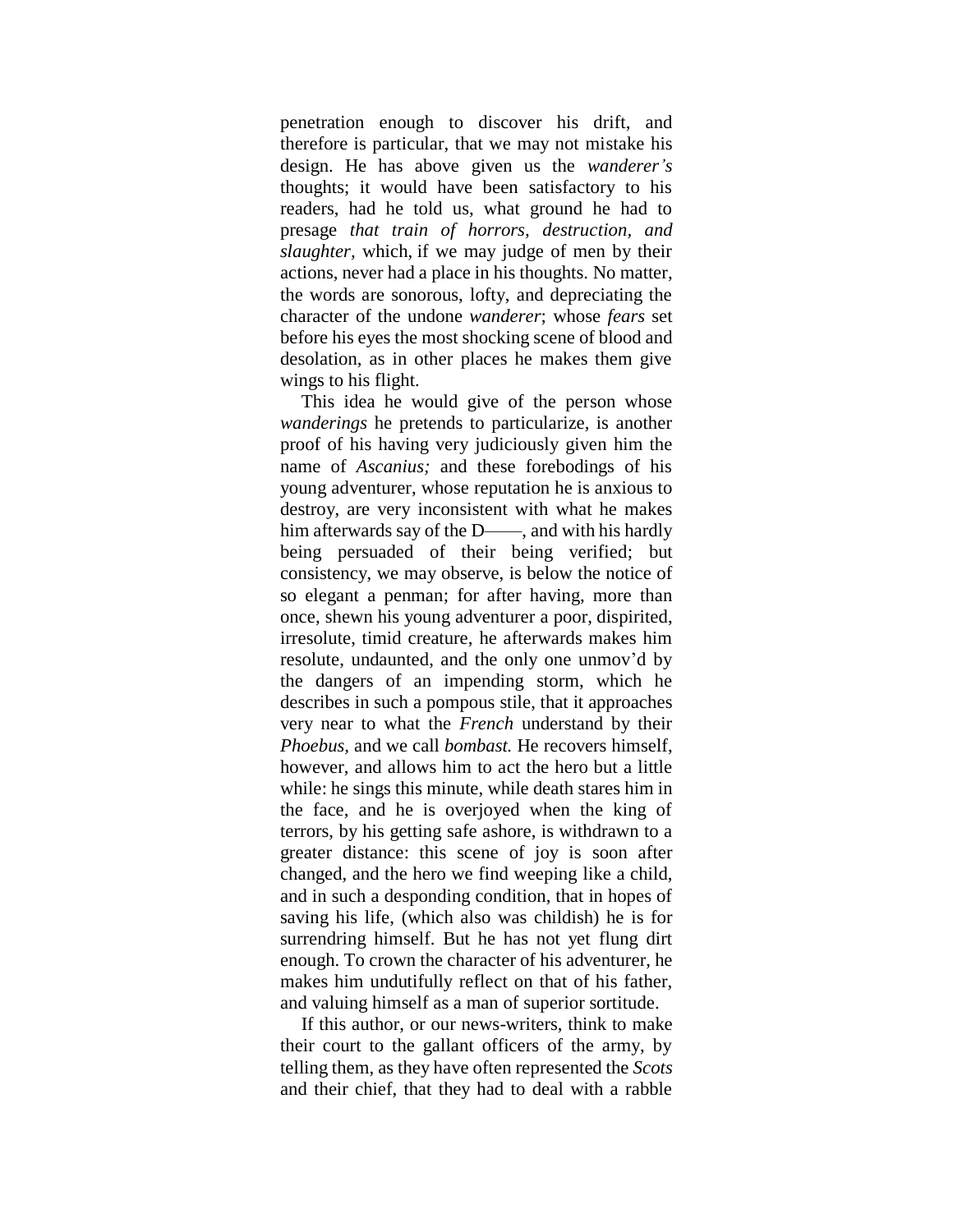penetration enough to discover his drift, and therefore is particular, that we may not mistake his design. He has above given us the *wanderer's*  thoughts; it would have been satisfactory to his readers, had he told us, what ground he had to presage *that train of horrors, destruction, and slaughter,* which, if we may judge of men by their actions, never had a place in his thoughts. No matter, the words are sonorous, lofty, and depreciating the character of the undone *wanderer*; whose *fears* set before his eyes the most shocking scene of blood and desolation, as in other places he makes them give wings to his flight.

This idea he would give of the person whose *wanderings* he pretends to particularize, is another proof of his having very judiciously given him the name of *Ascanius;* and these forebodings of his young adventurer, whose reputation he is anxious to destroy, are very inconsistent with what he makes him afterwards say of the D——, and with his hardly being persuaded of their being verified; but consistency, we may observe, is below the notice of so elegant a penman; for after having, more than once, shewn his young adventurer a poor, dispirited, irresolute, timid creature, he afterwards makes him resolute, undaunted, and the only one unmov'd by the dangers of an impending storm, which he describes in such a pompous stile, that it approaches very near to what the *French* understand by their *Phoebus,* and we call *bombast.* He recovers himself, however, and allows him to act the hero but a little while: he sings this minute, while death stares him in the face, and he is overjoyed when the king of terrors, by his getting safe ashore, is withdrawn to a greater distance: this scene of joy is soon after changed, and the hero we find weeping like a child, and in such a desponding condition, that in hopes of saving his life, (which also was childish) he is for surrendring himself. But he has not yet flung dirt enough. To crown the character of his adventurer, he makes him undutifully reflect on that of his father, and valuing himself as a man of superior sortitude.

If this author, or our news-writers, think to make their court to the gallant officers of the army, by telling them, as they have often represented the *Scots*  and their chief, that they had to deal with a rabble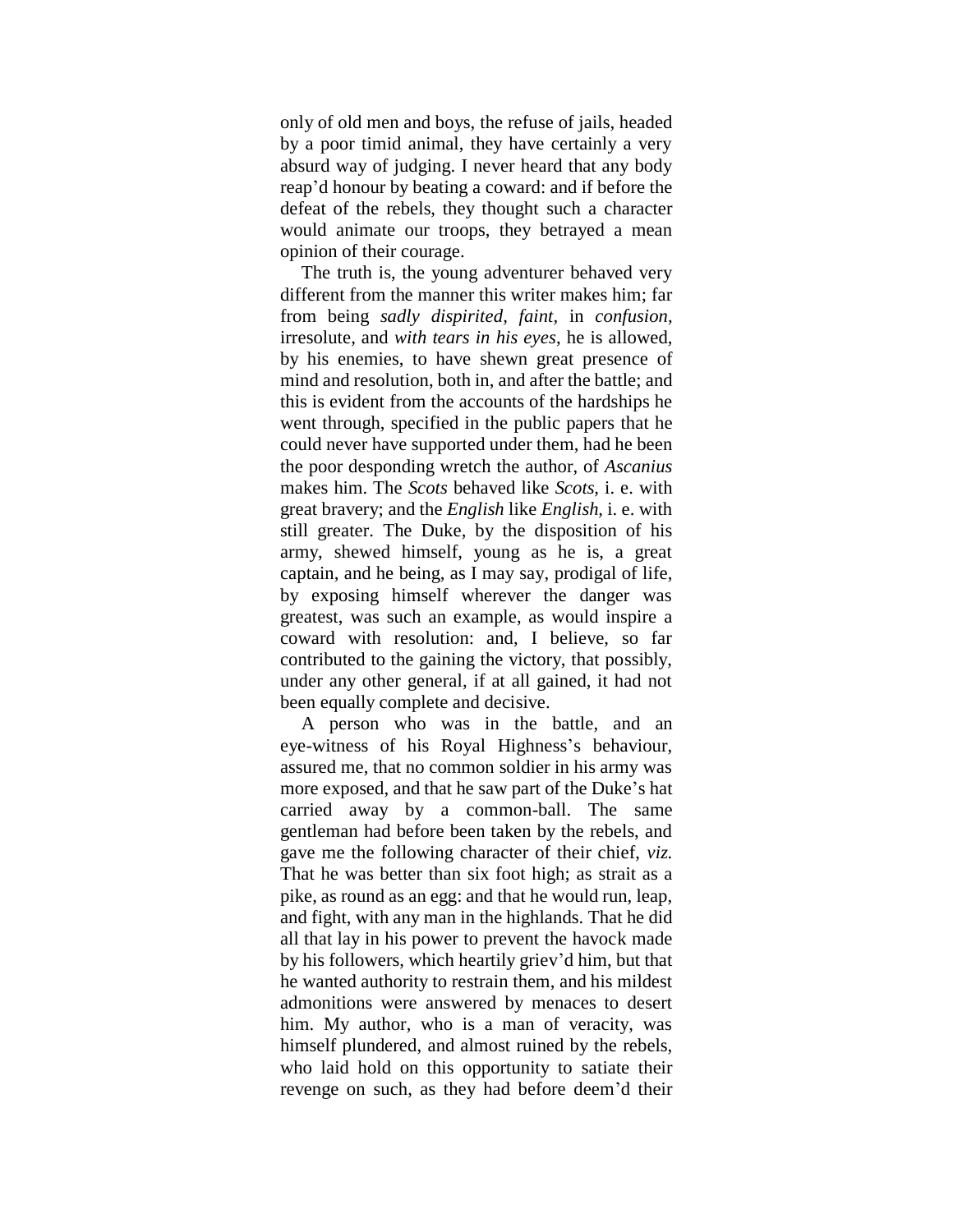only of old men and boys, the refuse of jails, headed by a poor timid animal, they have certainly a very absurd way of judging. I never heard that any body reap"d honour by beating a coward: and if before the defeat of the rebels, they thought such a character would animate our troops, they betrayed a mean opinion of their courage.

The truth is, the young adventurer behaved very different from the manner this writer makes him; far from being *sadly dispirited, faint,* in *confusion,* irresolute, and *with tears in his eyes*, he is allowed, by his enemies, to have shewn great presence of mind and resolution, both in, and after the battle; and this is evident from the accounts of the hardships he went through, specified in the public papers that he could never have supported under them, had he been the poor desponding wretch the author, of *Ascanius*  makes him. The *Scots* behaved like *Scots,* i. e. with great bravery; and the *English* like *English,* i. e. with still greater. The Duke, by the disposition of his army, shewed himself, young as he is, a great captain, and he being, as I may say, prodigal of life, by exposing himself wherever the danger was greatest, was such an example, as would inspire a coward with resolution: and, I believe, so far contributed to the gaining the victory, that possibly, under any other general, if at all gained, it had not been equally complete and decisive.

A person who was in the battle, and an eye-witness of his Royal Highness"s behaviour, assured me, that no common soldier in his army was more exposed, and that he saw part of the Duke's hat carried away by a common-ball. The same gentleman had before been taken by the rebels, and gave me the following character of their chief, *viz.* That he was better than six foot high; as strait as a pike, as round as an egg: and that he would run, leap, and fight, with any man in the highlands. That he did all that lay in his power to prevent the havock made by his followers, which heartily griev"d him, but that he wanted authority to restrain them, and his mildest admonitions were answered by menaces to desert him. My author, who is a man of veracity, was himself plundered, and almost ruined by the rebels, who laid hold on this opportunity to satiate their revenge on such, as they had before deem"d their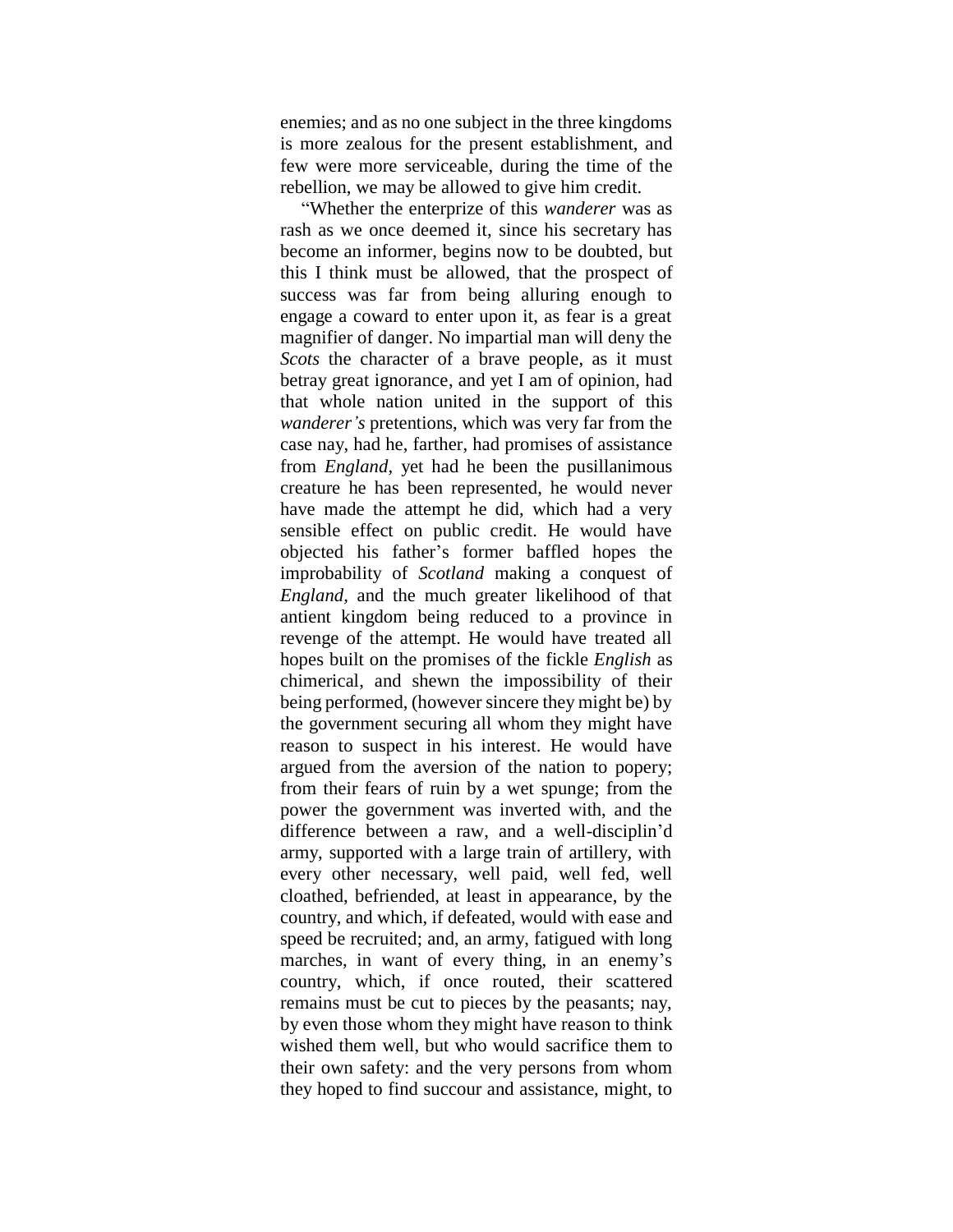enemies; and as no one subject in the three kingdoms is more zealous for the present establishment, and few were more serviceable, during the time of the rebellion, we may be allowed to give him credit.

"Whether the enterprize of this *wanderer* was as rash as we once deemed it, since his secretary has become an informer, begins now to be doubted, but this I think must be allowed, that the prospect of success was far from being alluring enough to engage a coward to enter upon it, as fear is a great magnifier of danger. No impartial man will deny the *Scots* the character of a brave people, as it must betray great ignorance, and yet I am of opinion, had that whole nation united in the support of this *wanderer's* pretentions, which was very far from the case nay, had he, farther, had promises of assistance from *England,* yet had he been the pusillanimous creature he has been represented, he would never have made the attempt he did, which had a very sensible effect on public credit. He would have objected his father"s former baffled hopes the improbability of *Scotland* making a conquest of *England,* and the much greater likelihood of that antient kingdom being reduced to a province in revenge of the attempt. He would have treated all hopes built on the promises of the fickle *English* as chimerical, and shewn the impossibility of their being performed, (however sincere they might be) by the government securing all whom they might have reason to suspect in his interest. He would have argued from the aversion of the nation to popery; from their fears of ruin by a wet spunge; from the power the government was inverted with, and the difference between a raw, and a well-disciplin"d army, supported with a large train of artillery, with every other necessary, well paid, well fed, well cloathed, befriended, at least in appearance, by the country, and which, if defeated, would with ease and speed be recruited; and, an army, fatigued with long marches, in want of every thing, in an enemy's country, which, if once routed, their scattered remains must be cut to pieces by the peasants; nay, by even those whom they might have reason to think wished them well, but who would sacrifice them to their own safety: and the very persons from whom they hoped to find succour and assistance, might, to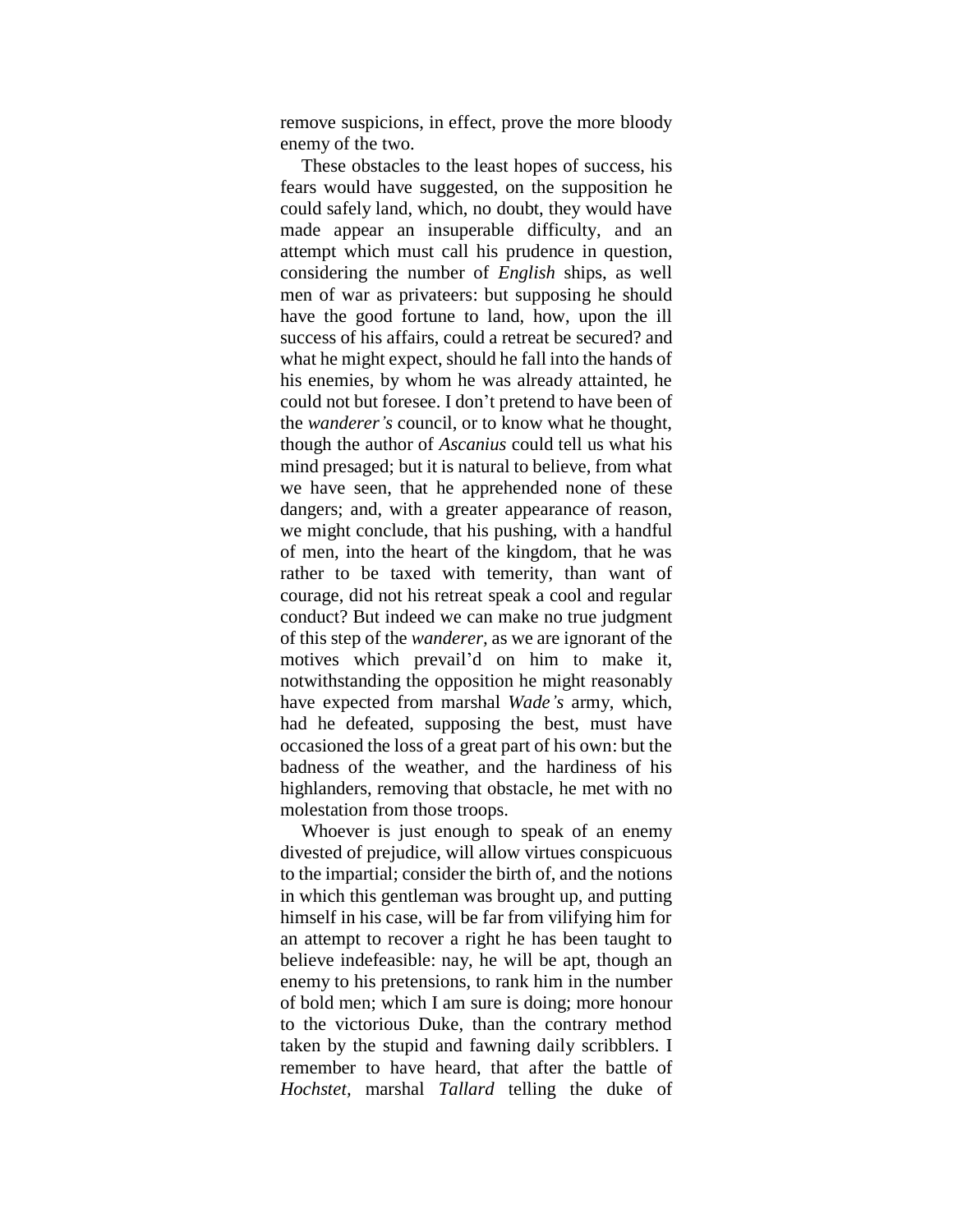remove suspicions, in effect, prove the more bloody enemy of the two.

These obstacles to the least hopes of success, his fears would have suggested, on the supposition he could safely land, which, no doubt, they would have made appear an insuperable difficulty, and an attempt which must call his prudence in question, considering the number of *English* ships, as well men of war as privateers: but supposing he should have the good fortune to land, how, upon the ill success of his affairs, could a retreat be secured? and what he might expect, should he fall into the hands of his enemies, by whom he was already attainted, he could not but foresee. I don"t pretend to have been of the *wanderer's* council, or to know what he thought, though the author of *Ascanius* could tell us what his mind presaged; but it is natural to believe, from what we have seen, that he apprehended none of these dangers; and, with a greater appearance of reason, we might conclude, that his pushing, with a handful of men, into the heart of the kingdom, that he was rather to be taxed with temerity, than want of courage, did not his retreat speak a cool and regular conduct? But indeed we can make no true judgment of this step of the *wanderer,* as we are ignorant of the motives which prevail"d on him to make it, notwithstanding the opposition he might reasonably have expected from marshal *Wade's* army, which, had he defeated, supposing the best, must have occasioned the loss of a great part of his own: but the badness of the weather, and the hardiness of his highlanders, removing that obstacle, he met with no molestation from those troops.

Whoever is just enough to speak of an enemy divested of prejudice, will allow virtues conspicuous to the impartial; consider the birth of, and the notions in which this gentleman was brought up, and putting himself in his case, will be far from vilifying him for an attempt to recover a right he has been taught to believe indefeasible: nay, he will be apt, though an enemy to his pretensions, to rank him in the number of bold men; which I am sure is doing; more honour to the victorious Duke, than the contrary method taken by the stupid and fawning daily scribblers. I remember to have heard, that after the battle of *Hochstet,* marshal *Tallard* telling the duke of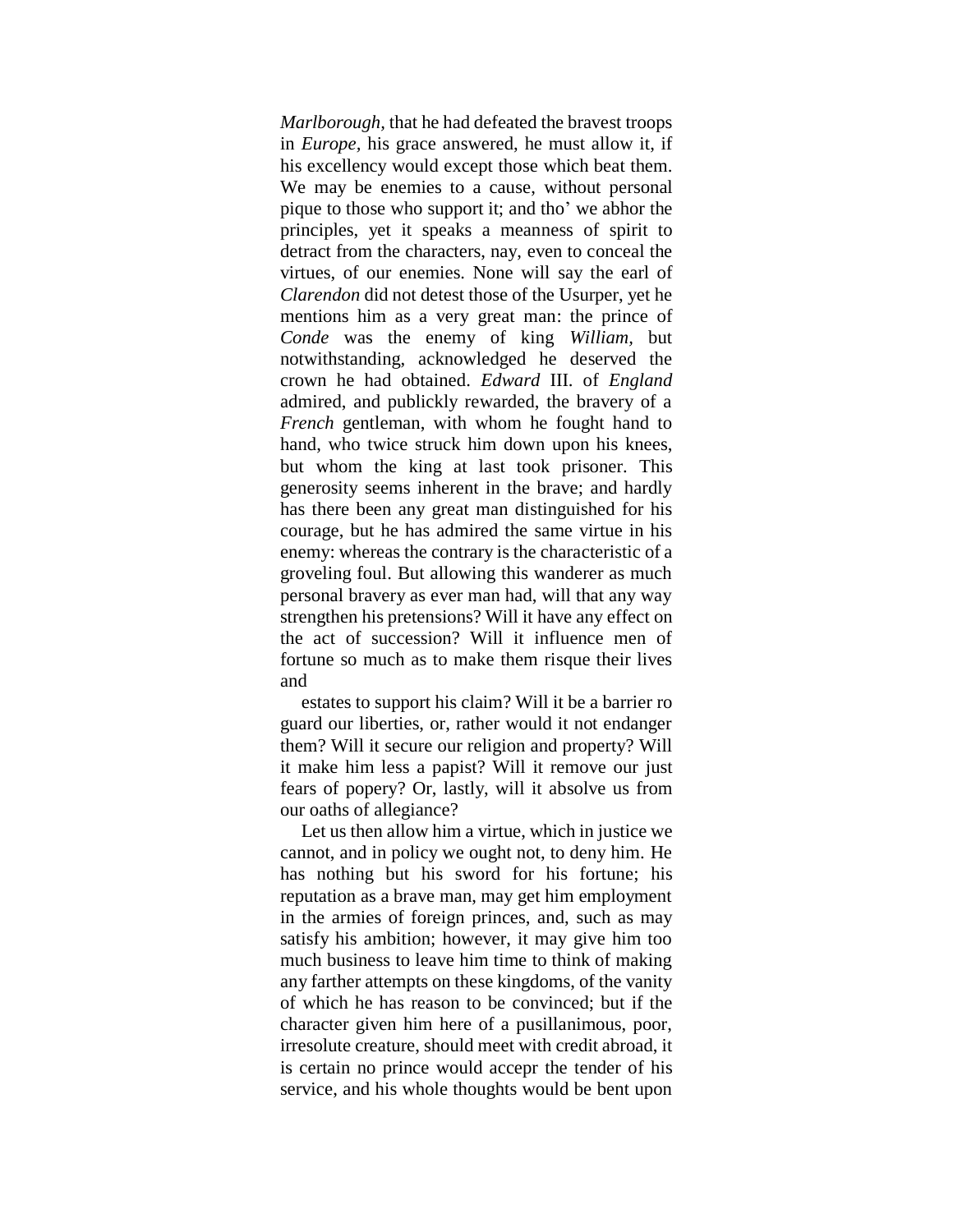*Marlborough,* that he had defeated the bravest troops in *Europe,* his grace answered, he must allow it, if his excellency would except those which beat them. We may be enemies to a cause, without personal pique to those who support it; and tho" we abhor the principles, yet it speaks a meanness of spirit to detract from the characters, nay, even to conceal the virtues, of our enemies. None will say the earl of *Clarendon* did not detest those of the Usurper, yet he mentions him as a very great man: the prince of *Conde* was the enemy of king *William,* but notwithstanding, acknowledged he deserved the crown he had obtained. *Edward* III. of *England*  admired, and publickly rewarded, the bravery of a *French* gentleman, with whom he fought hand to hand, who twice struck him down upon his knees, but whom the king at last took prisoner. This generosity seems inherent in the brave; and hardly has there been any great man distinguished for his courage, but he has admired the same virtue in his enemy: whereas the contrary is the characteristic of a groveling foul. But allowing this wanderer as much personal bravery as ever man had, will that any way strengthen his pretensions? Will it have any effect on the act of succession? Will it influence men of fortune so much as to make them risque their lives and

estates to support his claim? Will it be a barrier ro guard our liberties, or, rather would it not endanger them? Will it secure our religion and property? Will it make him less a papist? Will it remove our just fears of popery? Or, lastly, will it absolve us from our oaths of allegiance?

Let us then allow him a virtue, which in justice we cannot, and in policy we ought not, to deny him. He has nothing but his sword for his fortune; his reputation as a brave man, may get him employment in the armies of foreign princes, and, such as may satisfy his ambition; however, it may give him too much business to leave him time to think of making any farther attempts on these kingdoms, of the vanity of which he has reason to be convinced; but if the character given him here of a pusillanimous, poor, irresolute creature, should meet with credit abroad, it is certain no prince would accepr the tender of his service, and his whole thoughts would be bent upon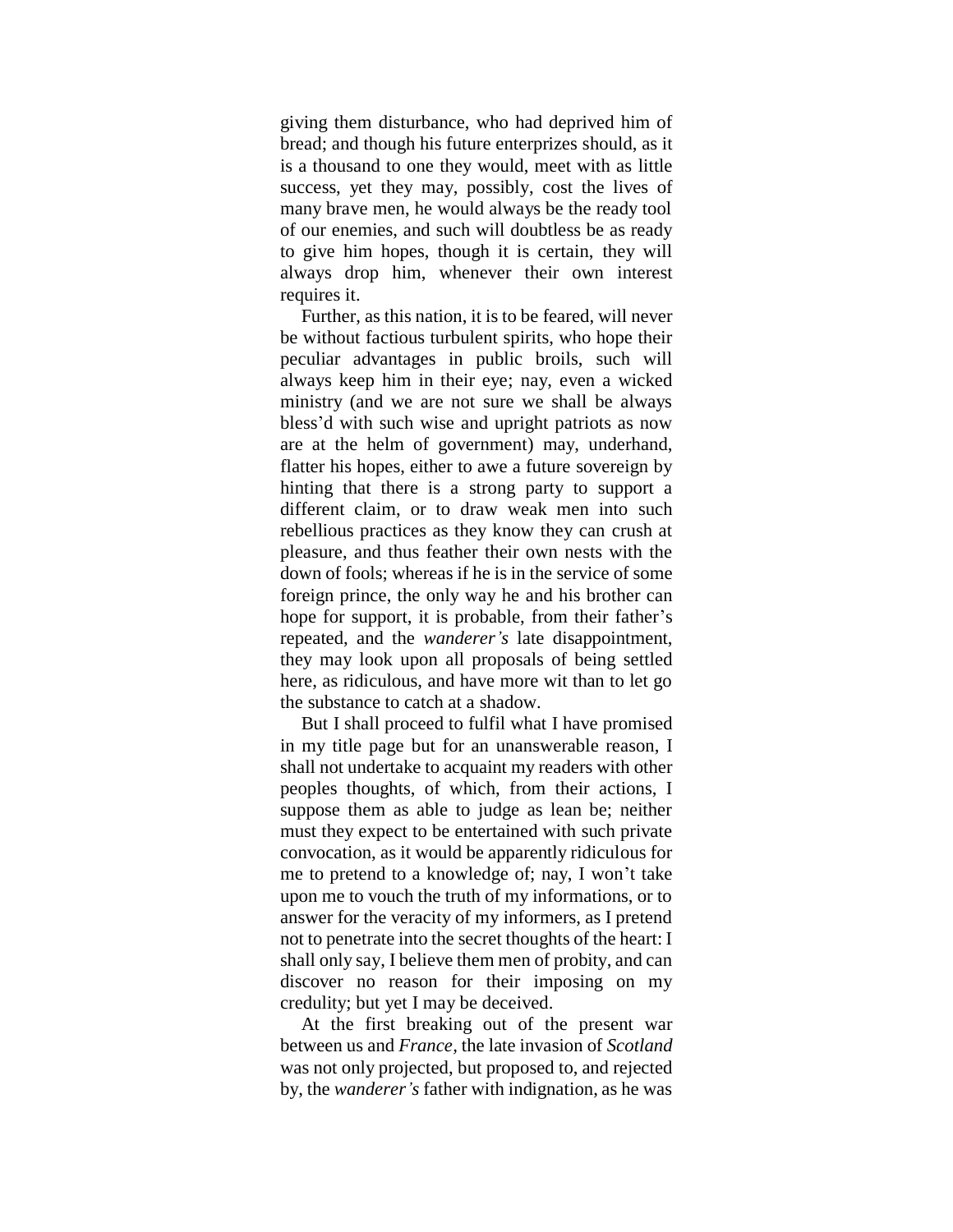giving them disturbance, who had deprived him of bread; and though his future enterprizes should, as it is a thousand to one they would, meet with as little success, yet they may, possibly, cost the lives of many brave men, he would always be the ready tool of our enemies, and such will doubtless be as ready to give him hopes, though it is certain, they will always drop him, whenever their own interest requires it.

Further, as this nation, it is to be feared, will never be without factious turbulent spirits, who hope their peculiar advantages in public broils, such will always keep him in their eye; nay, even a wicked ministry (and we are not sure we shall be always bless"d with such wise and upright patriots as now are at the helm of government) may, underhand, flatter his hopes, either to awe a future sovereign by hinting that there is a strong party to support a different claim, or to draw weak men into such rebellious practices as they know they can crush at pleasure, and thus feather their own nests with the down of fools; whereas if he is in the service of some foreign prince, the only way he and his brother can hope for support, it is probable, from their father's repeated, and the *wanderer's* late disappointment, they may look upon all proposals of being settled here, as ridiculous, and have more wit than to let go the substance to catch at a shadow.

But I shall proceed to fulfil what I have promised in my title page but for an unanswerable reason, I shall not undertake to acquaint my readers with other peoples thoughts, of which, from their actions, I suppose them as able to judge as lean be; neither must they expect to be entertained with such private convocation, as it would be apparently ridiculous for me to pretend to a knowledge of; nay, I won"t take upon me to vouch the truth of my informations, or to answer for the veracity of my informers, as I pretend not to penetrate into the secret thoughts of the heart: I shall only say, I believe them men of probity, and can discover no reason for their imposing on my credulity; but yet I may be deceived.

At the first breaking out of the present war between us and *France,* the late invasion of *Scotland*  was not only projected, but proposed to, and rejected by, the *wanderer's* father with indignation, as he was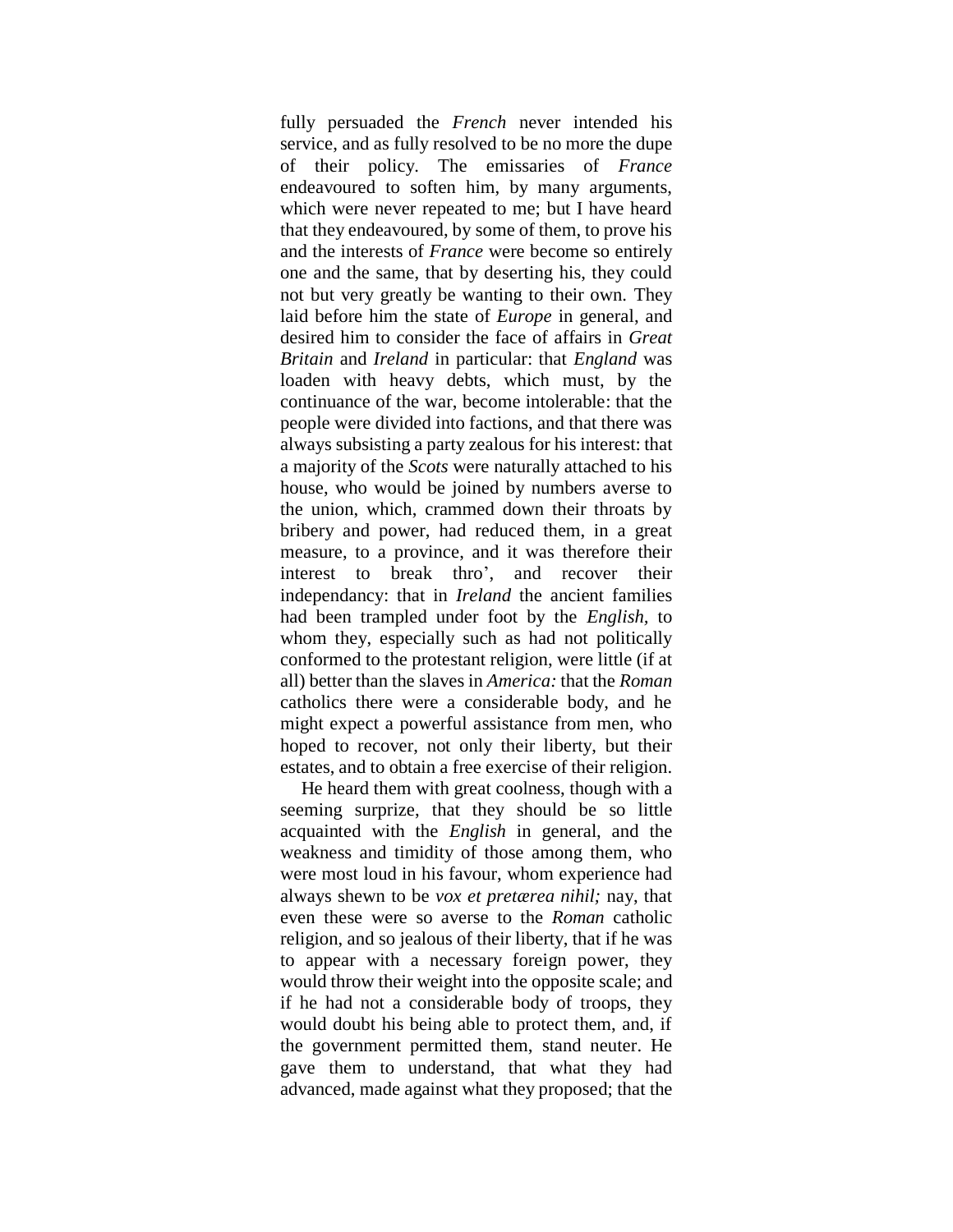fully persuaded the **French** never intended his service, and as fully resolved to be no more the dupe of their policy. The emissaries of *France*  endeavoured to soften him, by many arguments, which were never repeated to me; but I have heard that they endeavoured, by some of them, to prove his and the interests of *France* were become so entirely one and the same, that by deserting his, they could not but very greatly be wanting to their own. They laid before him the state of *Europe* in general, and desired him to consider the face of affairs in *Great Britain* and *Ireland* in particular: that *England* was loaden with heavy debts, which must, by the continuance of the war, become intolerable: that the people were divided into factions, and that there was always subsisting a party zealous for his interest: that a majority of the *Scots* were naturally attached to his house, who would be joined by numbers averse to the union, which, crammed down their throats by bribery and power, had reduced them, in a great measure, to a province, and it was therefore their interest to break thro", and recover their independancy: that in *Ireland* the ancient families had been trampled under foot by the *English,* to whom they, especially such as had not politically conformed to the protestant religion, were little (if at all) better than the slaves in *America:* that the *Roman*  catholics there were a considerable body, and he might expect a powerful assistance from men, who hoped to recover, not only their liberty, but their estates, and to obtain a free exercise of their religion.

He heard them with great coolness, though with a seeming surprize, that they should be so little acquainted with the *English* in general, and the weakness and timidity of those among them, who were most loud in his favour, whom experience had always shewn to be *vox et pretærea nihil;* nay, that even these were so averse to the *Roman* catholic religion, and so jealous of their liberty, that if he was to appear with a necessary foreign power, they would throw their weight into the opposite scale; and if he had not a considerable body of troops, they would doubt his being able to protect them, and, if the government permitted them, stand neuter. He gave them to understand, that what they had advanced, made against what they proposed; that the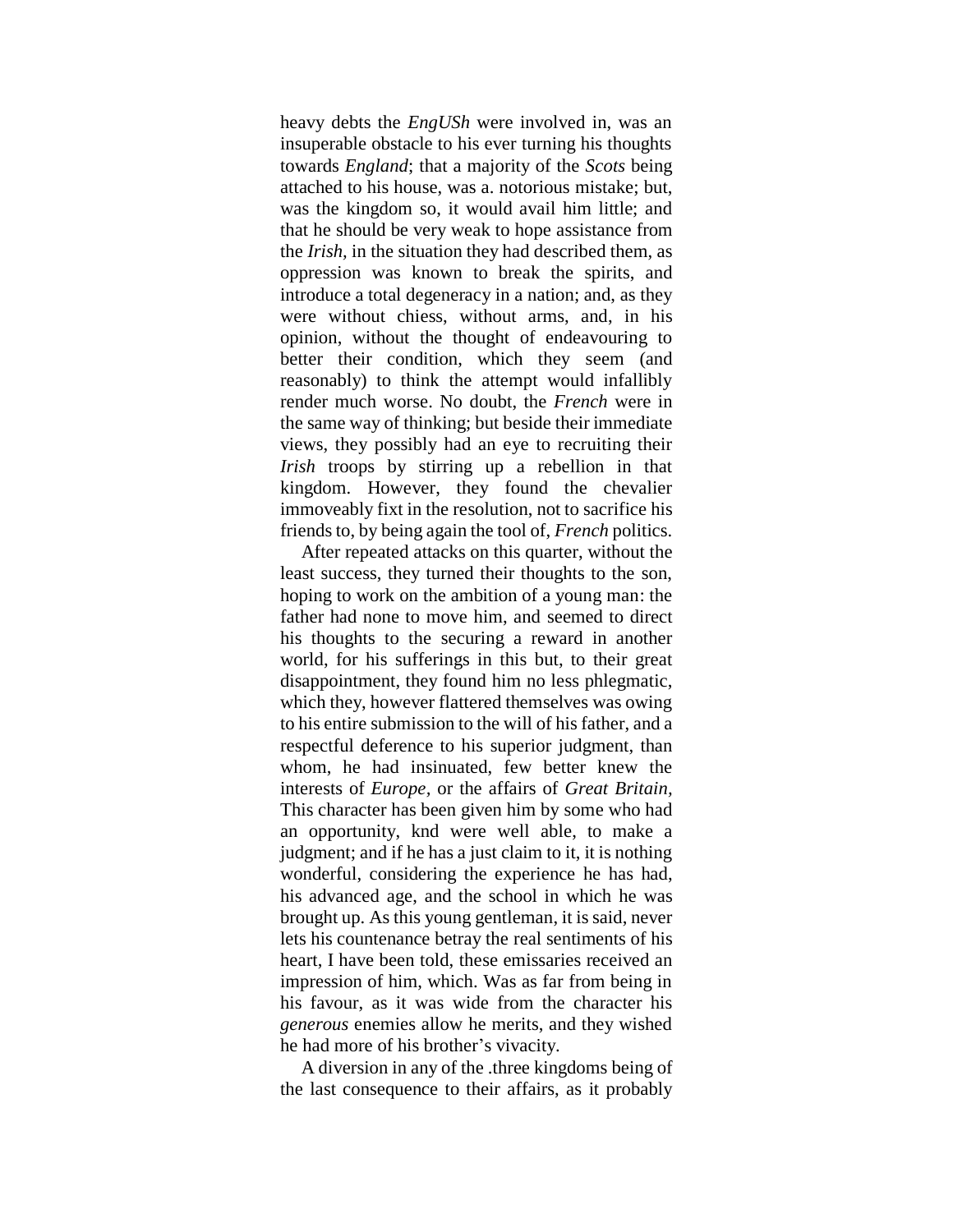heavy debts the *EngUSh* were involved in, was an insuperable obstacle to his ever turning his thoughts towards *England*; that a majority of the *Scots* being attached to his house, was a. notorious mistake; but, was the kingdom so, it would avail him little; and that he should be very weak to hope assistance from the *Irish,* in the situation they had described them, as oppression was known to break the spirits, and introduce a total degeneracy in a nation; and, as they were without chiess, without arms, and, in his opinion, without the thought of endeavouring to better their condition, which they seem (and reasonably) to think the attempt would infallibly render much worse. No doubt, the *French* were in the same way of thinking; but beside their immediate views, they possibly had an eye to recruiting their *Irish* troops by stirring up a rebellion in that kingdom. However, they found the chevalier immoveably fixt in the resolution, not to sacrifice his friends to, by being again the tool of, *French* politics.

After repeated attacks on this quarter, without the least success, they turned their thoughts to the son, hoping to work on the ambition of a young man: the father had none to move him, and seemed to direct his thoughts to the securing a reward in another world, for his sufferings in this but, to their great disappointment, they found him no less phlegmatic, which they, however flattered themselves was owing to his entire submission to the will of his father, and a respectful deference to his superior judgment, than whom, he had insinuated, few better knew the interests of *Europe,* or the affairs of *Great Britain,* This character has been given him by some who had an opportunity, knd were well able, to make a judgment; and if he has a just claim to it, it is nothing wonderful, considering the experience he has had, his advanced age, and the school in which he was brought up. As this young gentleman, it is said, never lets his countenance betray the real sentiments of his heart, I have been told, these emissaries received an impression of him, which. Was as far from being in his favour, as it was wide from the character his *generous* enemies allow he merits, and they wished he had more of his brother"s vivacity.

A diversion in any of the .three kingdoms being of the last consequence to their affairs, as it probably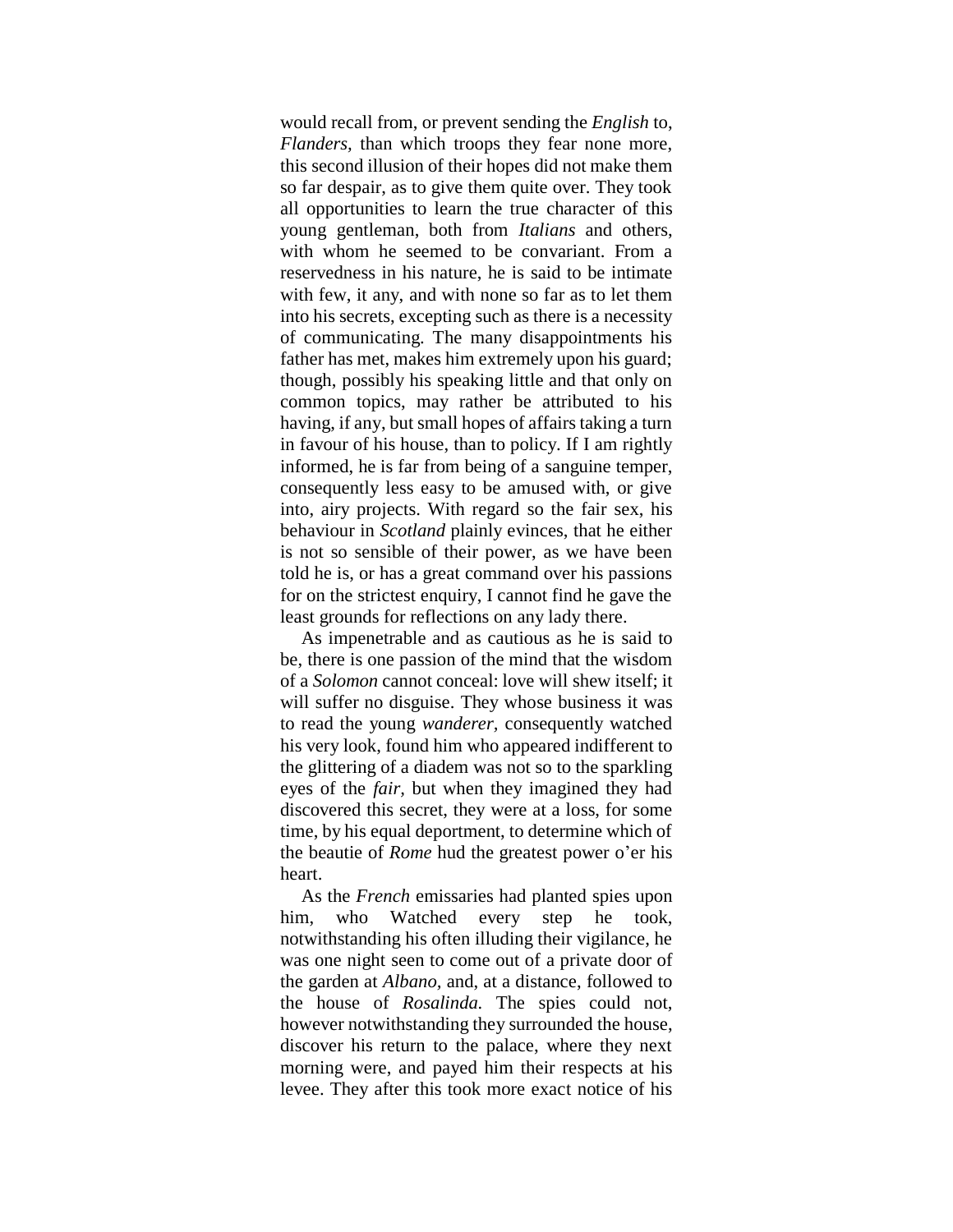would recall from, or prevent sending the *English* to, *Flanders,* than which troops they fear none more, this second illusion of their hopes did not make them so far despair, as to give them quite over. They took all opportunities to learn the true character of this young gentleman, both from *Italians* and others, with whom he seemed to be convariant. From a reservedness in his nature, he is said to be intimate with few, it any, and with none so far as to let them into his secrets, excepting such as there is a necessity of communicating. The many disappointments his father has met, makes him extremely upon his guard; though, possibly his speaking little and that only on common topics, may rather be attributed to his having, if any, but small hopes of affairs taking a turn in favour of his house, than to policy. If I am rightly informed, he is far from being of a sanguine temper, consequently less easy to be amused with, or give into, airy projects. With regard so the fair sex, his behaviour in *Scotland* plainly evinces, that he either is not so sensible of their power, as we have been told he is, or has a great command over his passions for on the strictest enquiry, I cannot find he gave the least grounds for reflections on any lady there.

As impenetrable and as cautious as he is said to be, there is one passion of the mind that the wisdom of a *Solomon* cannot conceal: love will shew itself; it will suffer no disguise. They whose business it was to read the young *wanderer,* consequently watched his very look, found him who appeared indifferent to the glittering of a diadem was not so to the sparkling eyes of the *fair,* but when they imagined they had discovered this secret, they were at a loss, for some time, by his equal deportment, to determine which of the beautie of *Rome* hud the greatest power o'er his heart.

As the *French* emissaries had planted spies upon him, who Watched every step he took, notwithstanding his often illuding their vigilance, he was one night seen to come out of a private door of the garden at *Albano,* and, at a distance, followed to the house of *Rosalinda.* The spies could not, however notwithstanding they surrounded the house, discover his return to the palace, where they next morning were, and payed him their respects at his levee. They after this took more exact notice of his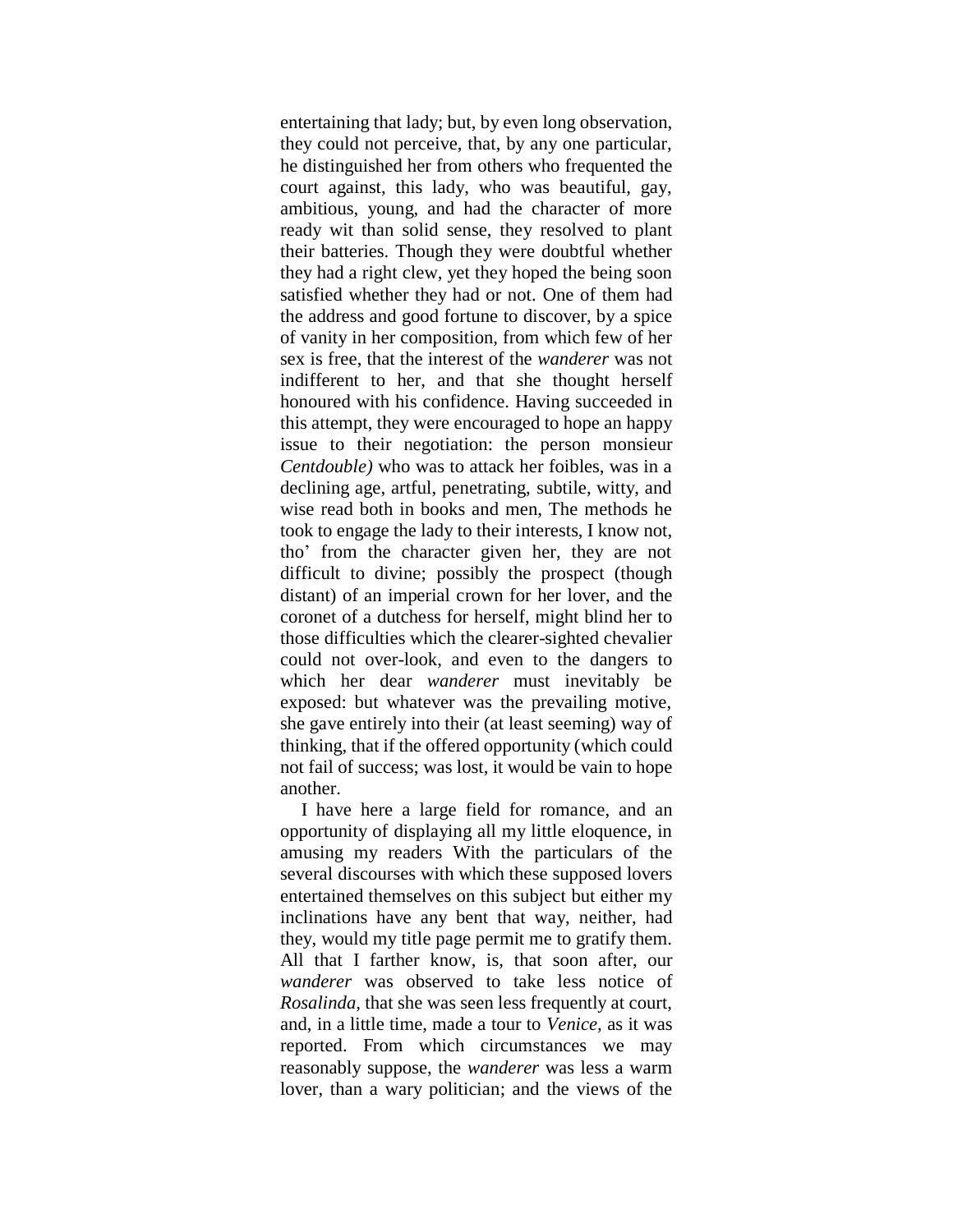entertaining that lady; but, by even long observation, they could not perceive, that, by any one particular, he distinguished her from others who frequented the court against, this lady, who was beautiful, gay, ambitious, young, and had the character of more ready wit than solid sense, they resolved to plant their batteries. Though they were doubtful whether they had a right clew, yet they hoped the being soon satisfied whether they had or not. One of them had the address and good fortune to discover, by a spice of vanity in her composition, from which few of her sex is free, that the interest of the *wanderer* was not indifferent to her, and that she thought herself honoured with his confidence. Having succeeded in this attempt, they were encouraged to hope an happy issue to their negotiation: the person monsieur *Centdouble)* who was to attack her foibles, was in a declining age, artful, penetrating, subtile, witty, and wise read both in books and men, The methods he took to engage the lady to their interests, I know not, tho" from the character given her, they are not difficult to divine; possibly the prospect (though distant) of an imperial crown for her lover, and the coronet of a dutchess for herself, might blind her to those difficulties which the clearer-sighted chevalier could not over-look, and even to the dangers to which her dear *wanderer* must inevitably be exposed: but whatever was the prevailing motive, she gave entirely into their (at least seeming) way of thinking, that if the offered opportunity (which could not fail of success; was lost, it would be vain to hope another.

I have here a large field for romance, and an opportunity of displaying all my little eloquence, in amusing my readers With the particulars of the several discourses with which these supposed lovers entertained themselves on this subject but either my inclinations have any bent that way, neither, had they, would my title page permit me to gratify them. All that I farther know, is, that soon after, our *wanderer* was observed to take less notice of *Rosalinda*, that she was seen less frequently at court. and, in a little time, made a tour to *Venice,* as it was reported. From which circumstances we may reasonably suppose, the *wanderer* was less a warm lover, than a wary politician; and the views of the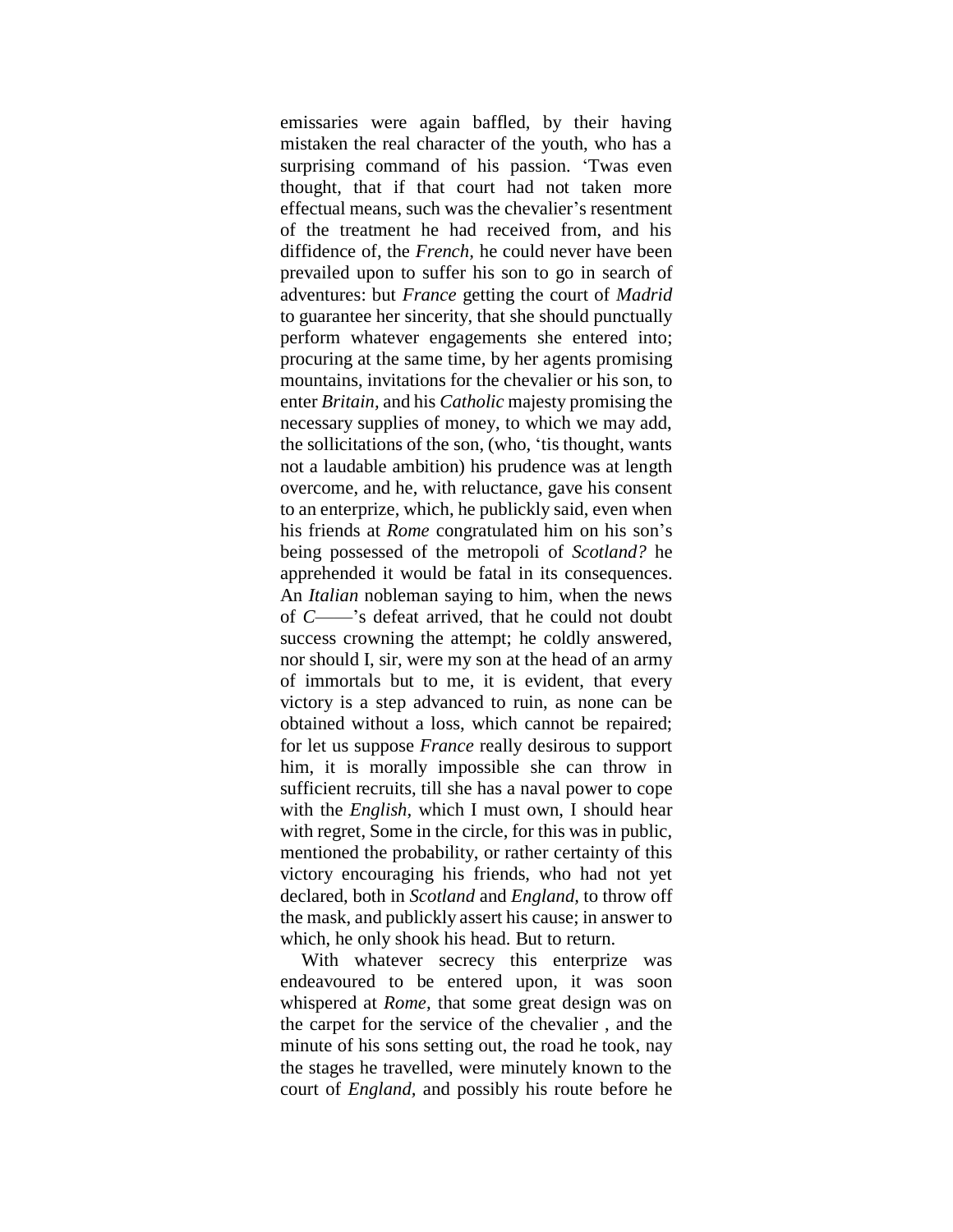emissaries were again baffled, by their having mistaken the real character of the youth, who has a surprising command of his passion. "Twas even thought, that if that court had not taken more effectual means, such was the chevalier"s resentment of the treatment he had received from, and his diffidence of, the *French,* he could never have been prevailed upon to suffer his son to go in search of adventures: but *France* getting the court of *Madrid*  to guarantee her sincerity, that she should punctually perform whatever engagements she entered into; procuring at the same time, by her agents promising mountains, invitations for the chevalier or his son, to enter *Britain,* and his *Catholic* majesty promising the necessary supplies of money, to which we may add, the sollicitations of the son, (who, "tis thought, wants not a laudable ambition) his prudence was at length overcome, and he, with reluctance, gave his consent to an enterprize, which, he publickly said, even when his friends at *Rome* congratulated him on his son"s being possessed of the metropoli of *Scotland?* he apprehended it would be fatal in its consequences. An *Italian* nobleman saying to him, when the news of *C*——"s defeat arrived, that he could not doubt success crowning the attempt; he coldly answered, nor should I, sir, were my son at the head of an army of immortals but to me, it is evident, that every victory is a step advanced to ruin, as none can be obtained without a loss, which cannot be repaired; for let us suppose *France* really desirous to support him, it is morally impossible she can throw in sufficient recruits, till she has a naval power to cope with the *English,* which I must own, I should hear with regret, Some in the circle, for this was in public, mentioned the probability, or rather certainty of this victory encouraging his friends, who had not yet declared, both in *Scotland* and *England,* to throw off the mask, and publickly assert his cause; in answer to which, he only shook his head. But to return.

With whatever secrecy this enterprize was endeavoured to be entered upon, it was soon whispered at *Rome,* that some great design was on the carpet for the service of the chevalier , and the minute of his sons setting out, the road he took, nay the stages he travelled, were minutely known to the court of *England,* and possibly his route before he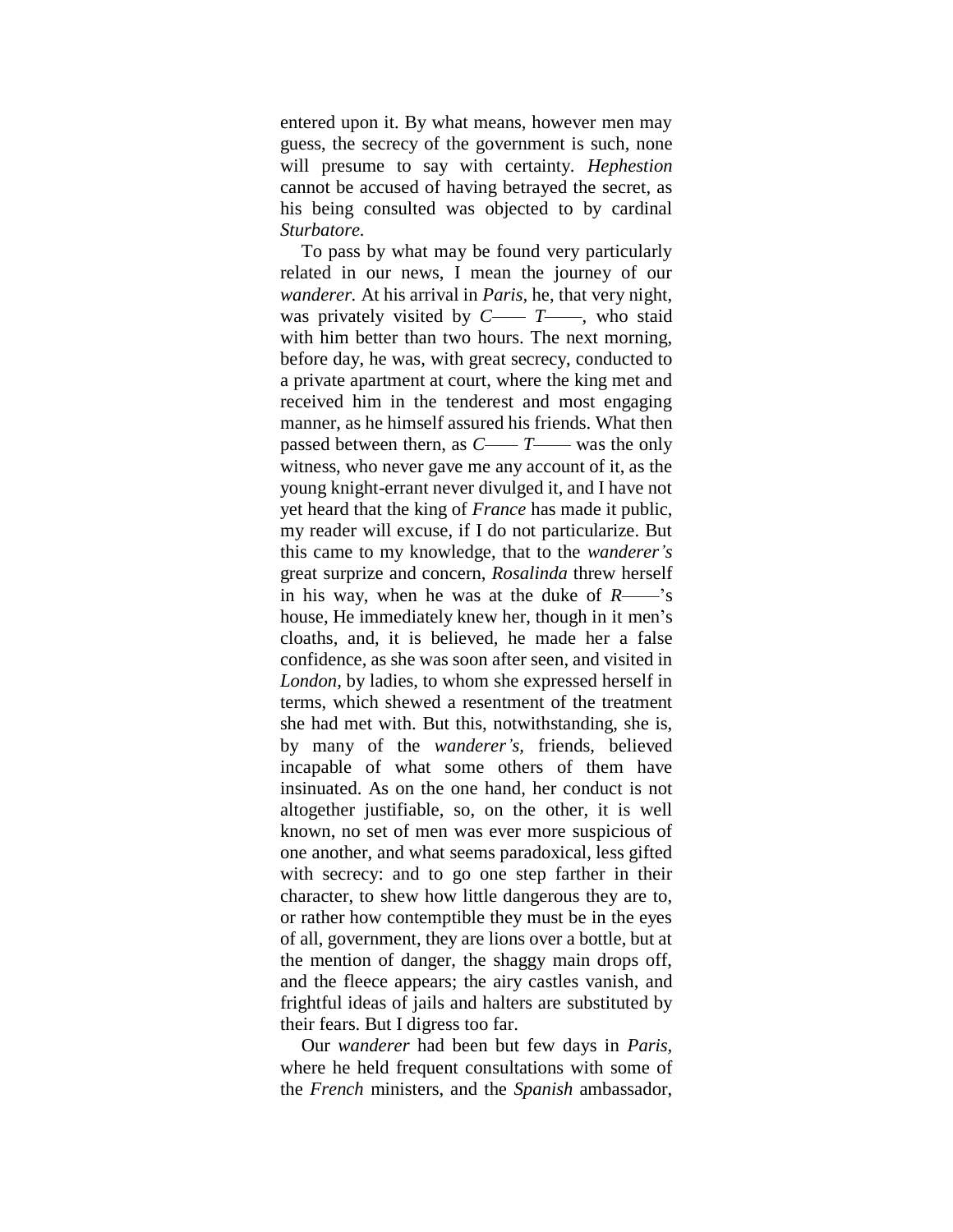entered upon it. By what means, however men may guess, the secrecy of the government is such, none will presume to say with certainty. *Hephestion*  cannot be accused of having betrayed the secret, as his being consulted was objected to by cardinal *Sturbatore.*

To pass by what may be found very particularly related in our news, I mean the journey of our *wanderer.* At his arrival in *Paris,* he, that very night, was privately visited by *C—— T*——, who staid with him better than two hours. The next morning, before day, he was, with great secrecy, conducted to a private apartment at court, where the king met and received him in the tenderest and most engaging manner, as he himself assured his friends. What then passed between thern, as *C—— T*—— was the only witness, who never gave me any account of it, as the young knight-errant never divulged it, and I have not yet heard that the king of *France* has made it public, my reader will excuse, if I do not particularize. But this came to my knowledge, that to the *wanderer's*  great surprize and concern, *Rosalinda* threw herself in his way, when he was at the duke of *R*—— $\cdot$ 's house, He immediately knew her, though in it men's cloaths, and, it is believed, he made her a false confidence, as she was soon after seen, and visited in *London,* by ladies, to whom she expressed herself in terms, which shewed a resentment of the treatment she had met with. But this, notwithstanding, she is, by many of the *wanderer's,* friends, believed incapable of what some others of them have insinuated. As on the one hand, her conduct is not altogether justifiable, so, on the other, it is well known, no set of men was ever more suspicious of one another, and what seems paradoxical, less gifted with secrecy: and to go one step farther in their character, to shew how little dangerous they are to, or rather how contemptible they must be in the eyes of all, government, they are lions over a bottle, but at the mention of danger, the shaggy main drops off, and the fleece appears; the airy castles vanish, and frightful ideas of jails and halters are substituted by their fears. But I digress too far.

Our *wanderer* had been but few days in *Paris,*  where he held frequent consultations with some of the *French* ministers, and the *Spanish* ambassador,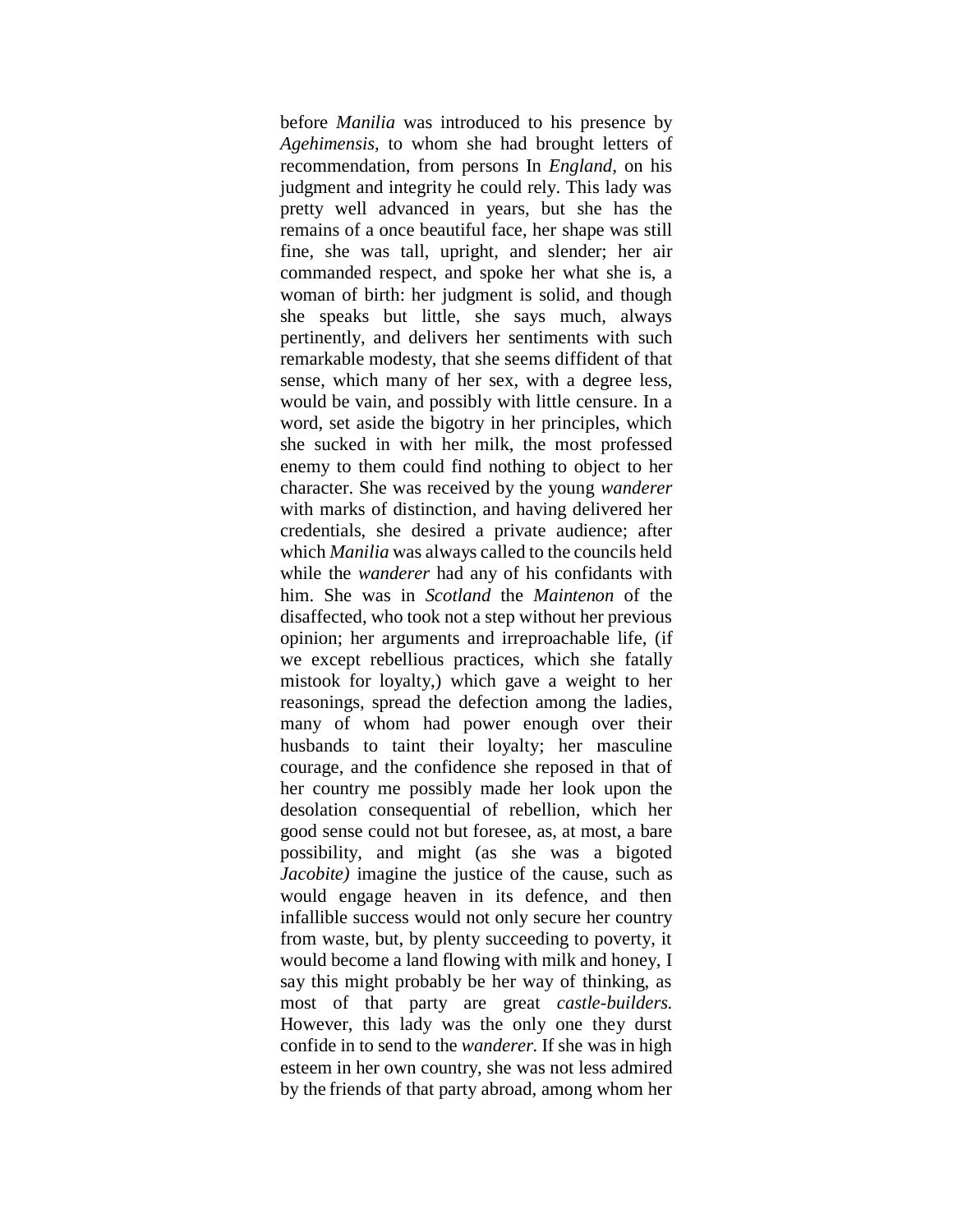before *Manilia* was introduced to his presence by *Agehimensis,* to whom she had brought letters of recommendation, from persons In *England,* on his judgment and integrity he could rely. This lady was pretty well advanced in years, but she has the remains of a once beautiful face, her shape was still fine, she was tall, upright, and slender; her air commanded respect, and spoke her what she is, a woman of birth: her judgment is solid, and though she speaks but little, she says much, always pertinently, and delivers her sentiments with such remarkable modesty, that she seems diffident of that sense, which many of her sex, with a degree less, would be vain, and possibly with little censure. In a word, set aside the bigotry in her principles, which she sucked in with her milk, the most professed enemy to them could find nothing to object to her character. She was received by the young *wanderer*  with marks of distinction, and having delivered her credentials, she desired a private audience; after which *Manilia* was always called to the councils held while the *wanderer* had any of his confidants with him. She was in *Scotland* the *Maintenon* of the disaffected, who took not a step without her previous opinion; her arguments and irreproachable life, (if we except rebellious practices, which she fatally mistook for loyalty,) which gave a weight to her reasonings, spread the defection among the ladies, many of whom had power enough over their husbands to taint their loyalty; her masculine courage, and the confidence she reposed in that of her country me possibly made her look upon the desolation consequential of rebellion, which her good sense could not but foresee, as, at most, a bare possibility, and might (as she was a bigoted *Jacobite*) imagine the justice of the cause, such as would engage heaven in its defence, and then infallible success would not only secure her country from waste, but, by plenty succeeding to poverty, it would become a land flowing with milk and honey, I say this might probably be her way of thinking, as most of that party are great *castle-builders.* However, this lady was the only one they durst confide in to send to the *wanderer.* If she was in high esteem in her own country, she was not less admired by the friends of that party abroad, among whom her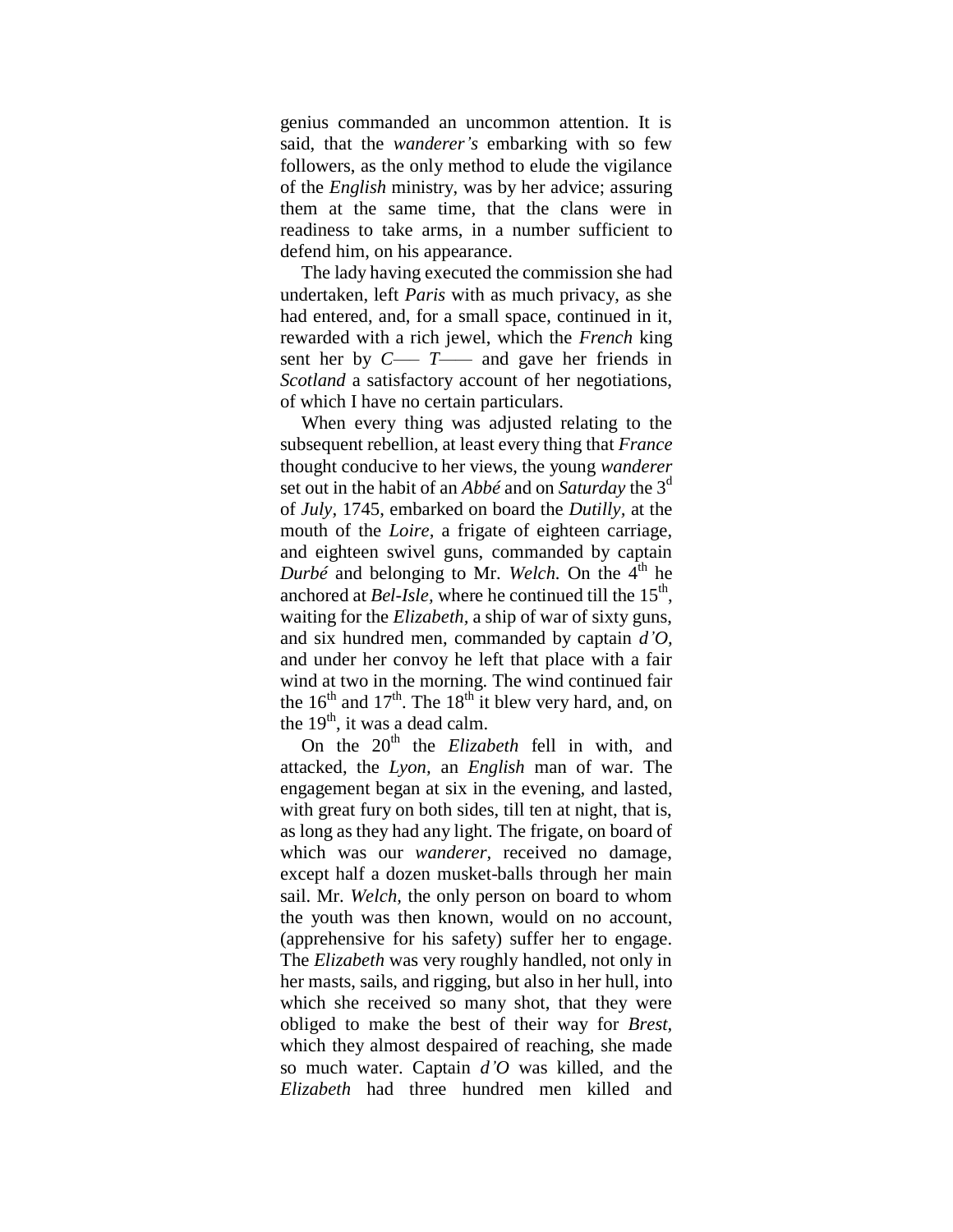genius commanded an uncommon attention. It is said, that the *wanderer's* embarking with so few followers, as the only method to elude the vigilance of the *English* ministry, was by her advice; assuring them at the same time, that the clans were in readiness to take arms, in a number sufficient to defend him, on his appearance.

The lady having executed the commission she had undertaken, left *Paris* with as much privacy, as she had entered, and, for a small space, continued in it, rewarded with a rich jewel, which the *French* king sent her by *C—– T——* and gave her friends in *Scotland* a satisfactory account of her negotiations, of which I have no certain particulars.

When every thing was adjusted relating to the subsequent rebellion, at least every thing that *France*  thought conducive to her views, the young *wanderer*  set out in the habit of an *Abbé* and on *Saturday* the 3<sup>d</sup> of *July,* 1745, embarked on board the *Dutilly,* at the mouth of the *Loire,* a frigate of eighteen carriage, and eighteen swivel guns, commanded by captain *Durbé* and belonging to Mr. *Welch*. On the  $4<sup>th</sup>$  he anchored at *Bel-Isle*, where he continued till the  $15<sup>th</sup>$ , waiting for the *Elizabeth,* a ship of war of sixty guns, and six hundred men, commanded by captain *d'O,* and under her convoy he left that place with a fair wind at two in the morning. The wind continued fair the  $16<sup>th</sup>$  and  $17<sup>th</sup>$ . The  $18<sup>th</sup>$  it blew very hard, and, on the  $19<sup>th</sup>$ , it was a dead calm.

On the 20<sup>th</sup> the *Elizabeth* fell in with, and attacked, the *Lyon,* an *English* man of war. The engagement began at six in the evening, and lasted, with great fury on both sides, till ten at night, that is, as long as they had any light. The frigate, on board of which was our *wanderer,* received no damage, except half a dozen musket-balls through her main sail. Mr. *Welch,* the only person on board to whom the youth was then known, would on no account, (apprehensive for his safety) suffer her to engage. The *Elizabeth* was very roughly handled, not only in her masts, sails, and rigging, but also in her hull, into which she received so many shot, that they were obliged to make the best of their way for *Brest,* which they almost despaired of reaching, she made so much water. Captain *d'O* was killed, and the *Elizabeth* had three hundred men killed and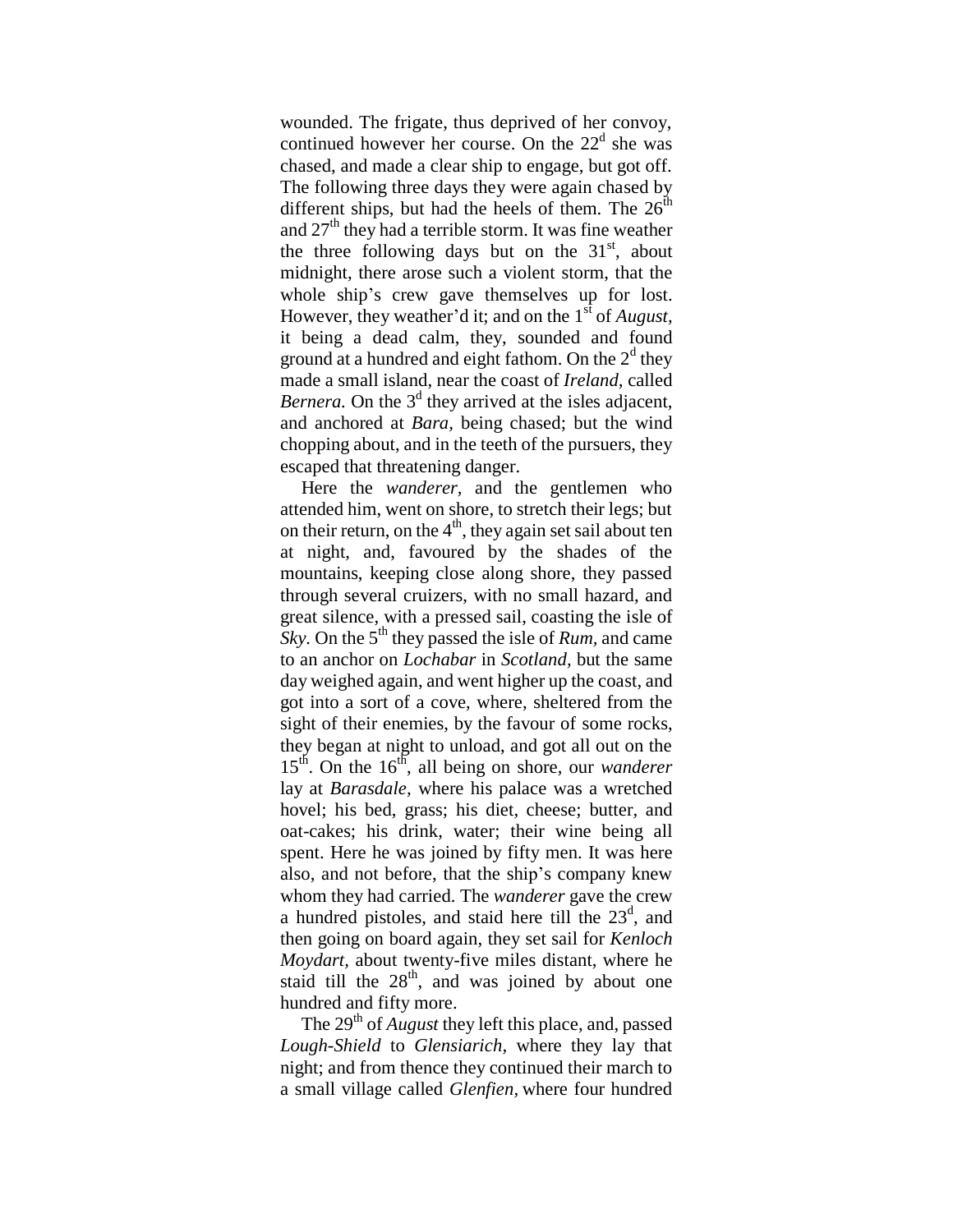wounded. The frigate, thus deprived of her convoy, continued however her course. On the  $22<sup>d</sup>$  she was chased, and made a clear ship to engage, but got off. The following three days they were again chased by different ships, but had the heels of them. The  $26<sup>th</sup>$ and  $27<sup>th</sup>$  they had a terrible storm. It was fine weather the three following days but on the  $31<sup>st</sup>$ , about midnight, there arose such a violent storm, that the whole ship's crew gave themselves up for lost. However, they weather'd it; and on the 1<sup>st</sup> of *August*, it being a dead calm, they, sounded and found ground at a hundred and eight fathom. On the  $2<sup>d</sup>$  they made a small island, near the coast of *Ireland,* called *Bernera*. On the  $3<sup>d</sup>$  they arrived at the isles adjacent, and anchored at *Bara,* being chased; but the wind chopping about, and in the teeth of the pursuers, they escaped that threatening danger.

Here the *wanderer,* and the gentlemen who attended him, went on shore, to stretch their legs; but on their return, on the  $4<sup>th</sup>$ , they again set sail about ten at night, and, favoured by the shades of the mountains, keeping close along shore, they passed through several cruizers, with no small hazard, and great silence, with a pressed sail, coasting the isle of *Sky.* On the 5<sup>th</sup> they passed the isle of *Rum*, and came to an anchor on *Lochabar* in *Scotland,* but the same day weighed again, and went higher up the coast, and got into a sort of a cove, where, sheltered from the sight of their enemies, by the favour of some rocks, they began at night to unload, and got all out on the 15th. On the 16th, all being on shore, our *wanderer* lay at *Barasdale,* where his palace was a wretched hovel; his bed, grass; his diet, cheese; butter*,* and oat-cakes; his drink, water; their wine being all spent. Here he was joined by fifty men. It was here also, and not before, that the ship"s company knew whom they had carried. The *wanderer* gave the crew a hundred pistoles, and staid here till the  $23<sup>d</sup>$ , and then going on board again, they set sail for *Kenloch Moydart,* about twenty-five miles distant, where he staid till the  $28<sup>th</sup>$ , and was joined by about one hundred and fifty more.

The 29<sup>th</sup> of *August* they left this place, and, passed *Lough-Shield* to *Glensiarich,* where they lay that night; and from thence they continued their march to a small village called *Glenfien,* where four hundred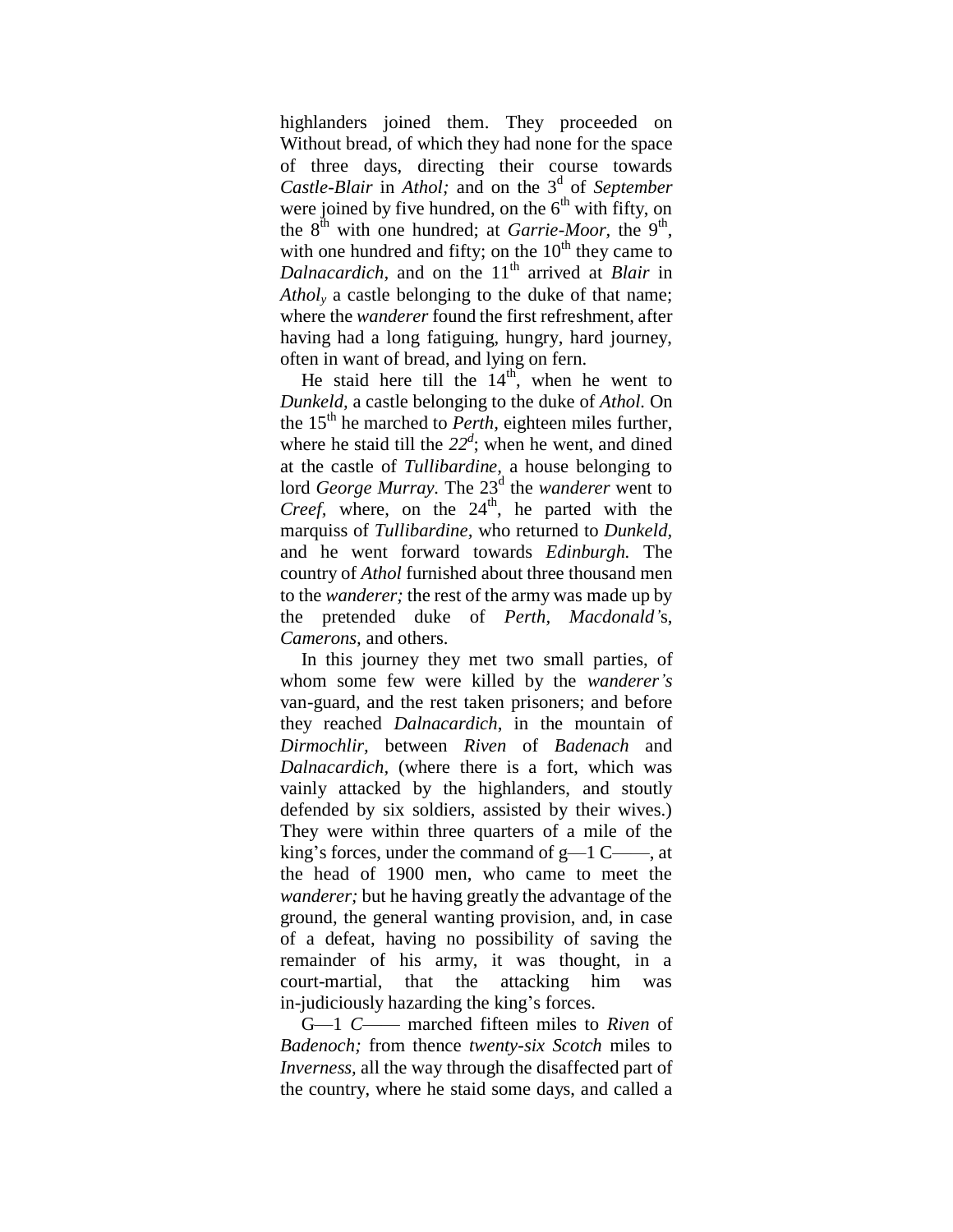highlanders joined them. They proceeded on Without bread, of which they had none for the space of three days, directing their course towards Castle-Blair in *Athol*; and on the 3<sup>d</sup> of September were joined by five hundred, on the  $6<sup>th</sup>$  with fifty, on the  $8^{\text{th}}$  with one hundred; at *Garrie-Moor*, the  $9^{\text{th}}$ , with one hundred and fifty; on the  $10<sup>th</sup>$  they came to *Dalnacardich*, and on the 11<sup>th</sup> arrived at *Blair* in *Athol<sup>y</sup>* a castle belonging to the duke of that name; where the *wanderer* found the first refreshment, after having had a long fatiguing, hungry, hard journey, often in want of bread, and lying on fern.

He staid here till the  $14<sup>th</sup>$ , when he went to *Dunkeld,* a castle belonging to the duke of *Athol.* On the 15<sup>th</sup> he marched to *Perth*, eighteen miles further, where he staid till the  $22<sup>d</sup>$ ; when he went, and dined at the castle of *Tullibardine,* a house belonging to lord *George Murray*. The 23<sup>d</sup> the *wanderer* went to *Creef,* where, on the 24<sup>th</sup>, he parted with the marquiss of *Tullibardine,* who returned to *Dunkeld,*  and he went forward towards *Edinburgh.* The country of *Athol* furnished about three thousand men to the *wanderer;* the rest of the army was made up by the pretended duke of *Perth, Macdonald'*s, *Camerons,* and others.

In this journey they met two small parties, of whom some few were killed by the *wanderer's*  van-guard, and the rest taken prisoners; and before they reached *Dalnacardich*, in the mountain of *Dirmochlir,* between *Riven* of *Badenach* and *Dalnacardich,* (where there is a fort, which was vainly attacked by the highlanders, and stoutly defended by six soldiers, assisted by their wives.) They were within three quarters of a mile of the king's forces, under the command of  $g$ —1 C——, at the head of 1900 men, who came to meet the *wanderer;* but he having greatly the advantage of the ground, the general wanting provision, and, in case of a defeat, having no possibility of saving the remainder of his army, it was thought, in a court-martial, that the attacking him was in-judiciously hazarding the king"s forces.

G—1 *C*—— marched fifteen miles to *Riven* of *Badenoch;* from thence *twenty-six Scotch* miles to *Inverness,* all the way through the disaffected part of the country, where he staid some days, and called a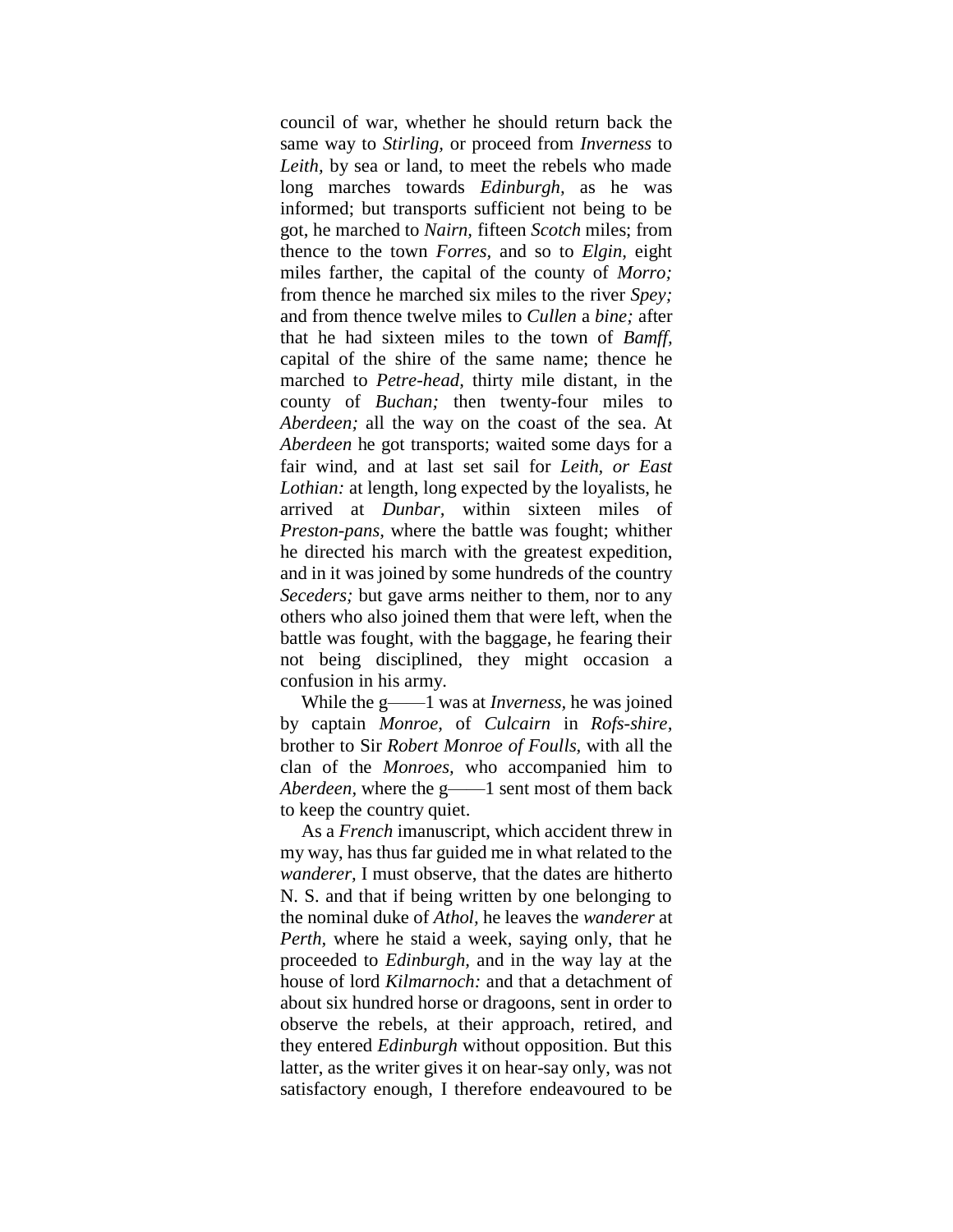council of war, whether he should return back the same way to *Stirling,* or proceed from *Inverness* to *Leith,* by sea or land, to meet the rebels who made long marches towards *Edinburgh,* as he was informed; but transports sufficient not being to be got, he marched to *Nairn,* fifteen *Scotch* miles; from thence to the town *Forres,* and so to *Elgin,* eight miles farther, the capital of the county of *Morro;* from thence he marched six miles to the river *Spey;* and from thence twelve miles to *Cullen* a *bine;* after that he had sixteen miles to the town of *Bamff,*  capital of the shire of the same name; thence he marched to *Petre-head,* thirty mile distant, in the county of *Buchan;* then twenty-four miles to *Aberdeen;* all the way on the coast of the sea. At *Aberdeen* he got transports; waited some days for a fair wind, and at last set sail for *Leith, or East Lothian:* at length, long expected by the loyalists, he arrived at *Dunbar,* within sixteen miles of *Preston-pans,* where the battle was fought; whither he directed his march with the greatest expedition, and in it was joined by some hundreds of the country *Seceders;* but gave arms neither to them, nor to any others who also joined them that were left, when the battle was fought, with the baggage, he fearing their not being disciplined, they might occasion a confusion in his army.

While the g——1 was at *Inverness,* he was joined by captain *Monroe,* of *Culcairn* in *Rofs-shire,*  brother to Sir *Robert Monroe of Foulls,* with all the clan of the *Monroes,* who accompanied him to *Aberdeen,* where the g——1 sent most of them back to keep the country quiet.

As a *French* imanuscript, which accident threw in my way, has thus far guided me in what related to the *wanderer,* I must observe, that the dates are hitherto N. S. and that if being written by one belonging to the nominal duke of *Athol,* he leaves the *wanderer* at *Perth,* where he staid a week, saying only, that he proceeded to *Edinburgh,* and in the way lay at the house of lord *Kilmarnoch:* and that a detachment of about six hundred horse or dragoons, sent in order to observe the rebels, at their approach, retired, and they entered *Edinburgh* without opposition. But this latter, as the writer gives it on hear-say only, was not satisfactory enough, I therefore endeavoured to be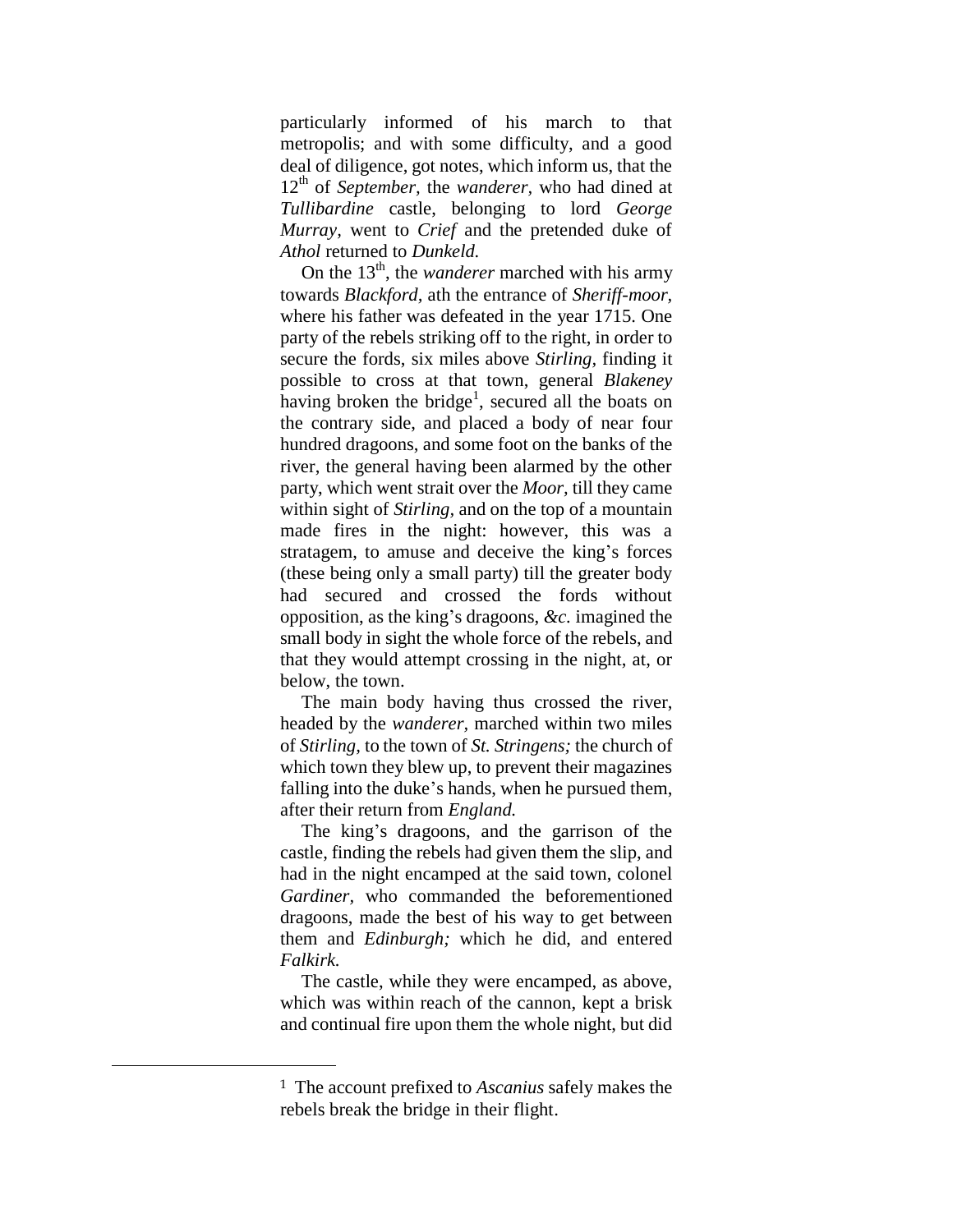particularly informed of his march to that metropolis; and with some difficulty, and a good deal of diligence, got notes, which inform us, that the 12<sup>th</sup> of *September*, the *wanderer*, who had dined at *Tullibardine* castle, belonging to lord *George Murray,* went to *Crief* and the pretended duke of *Athol* returned to *Dunkeld.*

On the 13<sup>th</sup>, the *wanderer* marched with his army towards *Blackford,* ath the entrance of *Sheriff-moor,* where his father was defeated in the year 1715. One party of the rebels striking off to the right, in order to secure the fords, six miles above *Stirling,* finding it possible to cross at that town, general *Blakeney*  having broken the bridge<sup>1</sup>, secured all the boats on the contrary side, and placed a body of near four hundred dragoons, and some foot on the banks of the river, the general having been alarmed by the other party, which went strait over the *Moor,* till they came within sight of *Stirling,* and on the top of a mountain made fires in the night: however, this was a stratagem, to amuse and deceive the king"s forces (these being only a small party) till the greater body had secured and crossed the fords without opposition, as the king"s dragoons, *&c.* imagined the small body in sight the whole force of the rebels, and that they would attempt crossing in the night, at, or below, the town.

The main body having thus crossed the river, headed by the *wanderer,* marched within two miles of *Stirling,* to the town of *St. Stringens;* the church of which town they blew up, to prevent their magazines falling into the duke's hands, when he pursued them, after their return from *England.*

The king"s dragoons, and the garrison of the castle, finding the rebels had given them the slip, and had in the night encamped at the said town, colonel *Gardiner,* who commanded the beforementioned dragoons, made the best of his way to get between them and *Edinburgh;* which he did, and entered *Falkirk.*

The castle, while they were encamped, as above, which was within reach of the cannon, kept a brisk and continual fire upon them the whole night, but did

 $\overline{a}$ 

<sup>1</sup> The account prefixed to *Ascanius* safely makes the rebels break the bridge in their flight.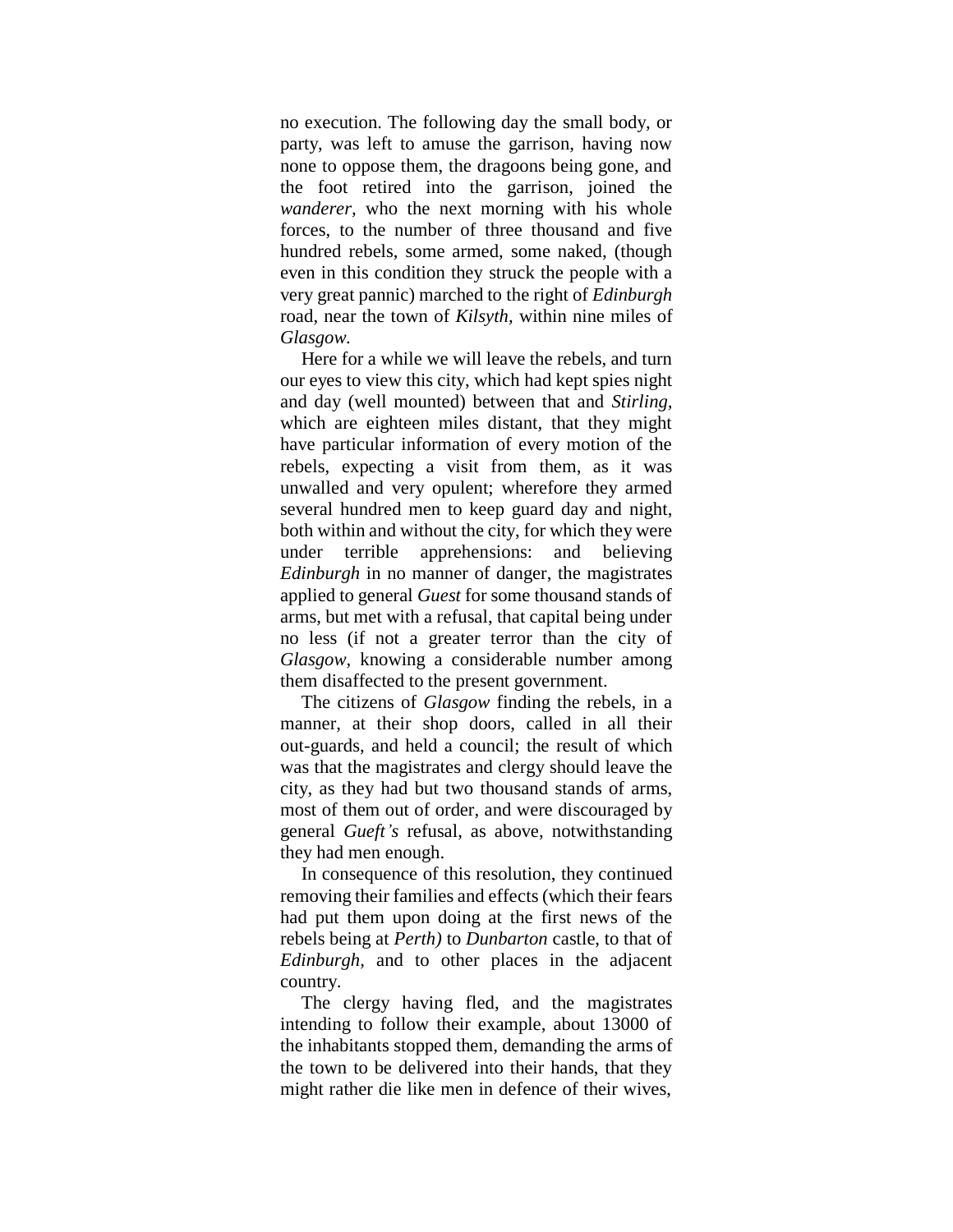no execution. The following day the small body, or party, was left to amuse the garrison, having now none to oppose them, the dragoons being gone, and the foot retired into the garrison, joined the *wanderer,* who the next morning with his whole forces, to the number of three thousand and five hundred rebels, some armed, some naked, (though even in this condition they struck the people with a very great pannic) marched to the right of *Edinburgh* road, near the town of *Kilsyth,* within nine miles of *Glasgow.*

Here for a while we will leave the rebels, and turn our eyes to view this city, which had kept spies night and day (well mounted) between that and *Stirling,*  which are eighteen miles distant, that they might have particular information of every motion of the rebels, expecting a visit from them, as it was unwalled and very opulent; wherefore they armed several hundred men to keep guard day and night, both within and without the city, for which they were under terrible apprehensions: and believing *Edinburgh* in no manner of danger, the magistrates applied to general *Guest* for some thousand stands of arms, but met with a refusal, that capital being under no less (if not a greater terror than the city of *Glasgow,* knowing a considerable number among them disaffected to the present government.

The citizens of *Glasgow* finding the rebels, in a manner, at their shop doors, called in all their out-guards, and held a council; the result of which was that the magistrates and clergy should leave the city, as they had but two thousand stands of arms, most of them out of order, and were discouraged by general *Gueft's* refusal, as above, notwithstanding they had men enough.

In consequence of this resolution, they continued removing their families and effects (which their fears had put them upon doing at the first news of the rebels being at *Perth)* to *Dunbarton* castle, to that of *Edinburgh,* and to other places in the adjacent country.

The clergy having fled, and the magistrates intending to follow their example, about 13000 of the inhabitants stopped them, demanding the arms of the town to be delivered into their hands, that they might rather die like men in defence of their wives,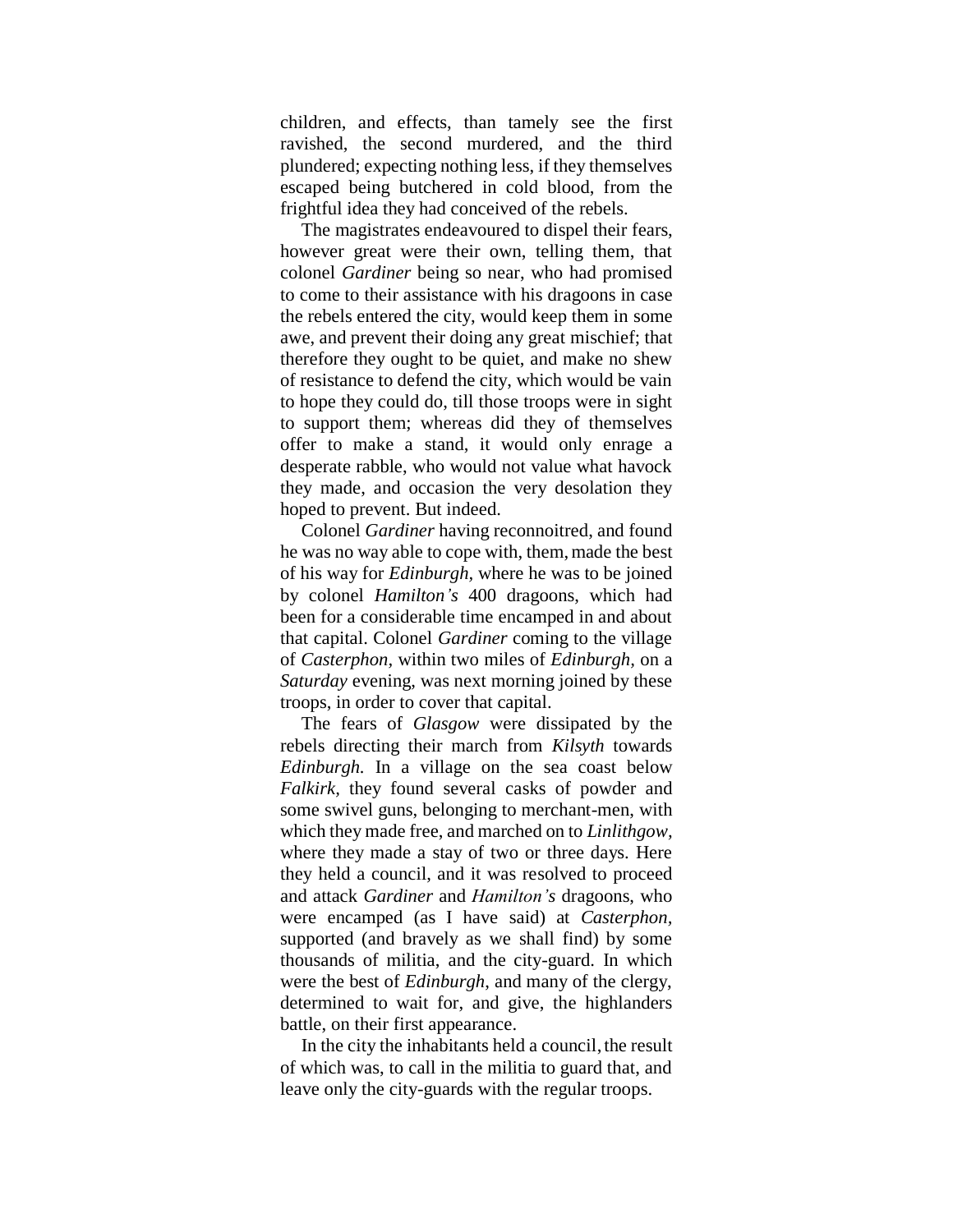children, and effects, than tamely see the first ravished, the second murdered, and the third plundered; expecting nothing less, if they themselves escaped being butchered in cold blood, from the frightful idea they had conceived of the rebels.

The magistrates endeavoured to dispel their fears, however great were their own, telling them, that colonel *Gardiner* being so near, who had promised to come to their assistance with his dragoons in case the rebels entered the city, would keep them in some awe, and prevent their doing any great mischief; that therefore they ought to be quiet, and make no shew of resistance to defend the city, which would be vain to hope they could do, till those troops were in sight to support them; whereas did they of themselves offer to make a stand, it would only enrage a desperate rabble, who would not value what havock they made, and occasion the very desolation they hoped to prevent. But indeed.

Colonel *Gardiner* having reconnoitred, and found he was no way able to cope with, them, made the best of his way for *Edinburgh,* where he was to be joined by colonel *Hamilton's* 400 dragoons, which had been for a considerable time encamped in and about that capital. Colonel *Gardiner* coming to the village of *Casterphon,* within two miles of *Edinburgh,* on a *Saturday* evening, was next morning joined by these troops, in order to cover that capital.

The fears of *Glasgow* were dissipated by the rebels directing their march from *Kilsyth* towards *Edinburgh.* In a village on the sea coast below *Falkirk,* they found several casks of powder and some swivel guns, belonging to merchant-men, with which they made free, and marched on to *Linlithgow,* where they made a stay of two or three days. Here they held a council, and it was resolved to proceed and attack *Gardiner* and *Hamilton's* dragoons, who were encamped (as I have said) at *Casterphon,* supported (and bravely as we shall find) by some thousands of militia, and the city-guard. In which were the best of *Edinburgh*, and many of the clergy, determined to wait for, and give, the highlanders battle, on their first appearance.

In the city the inhabitants held a council, the result of which was, to call in the militia to guard that, and leave only the city-guards with the regular troops.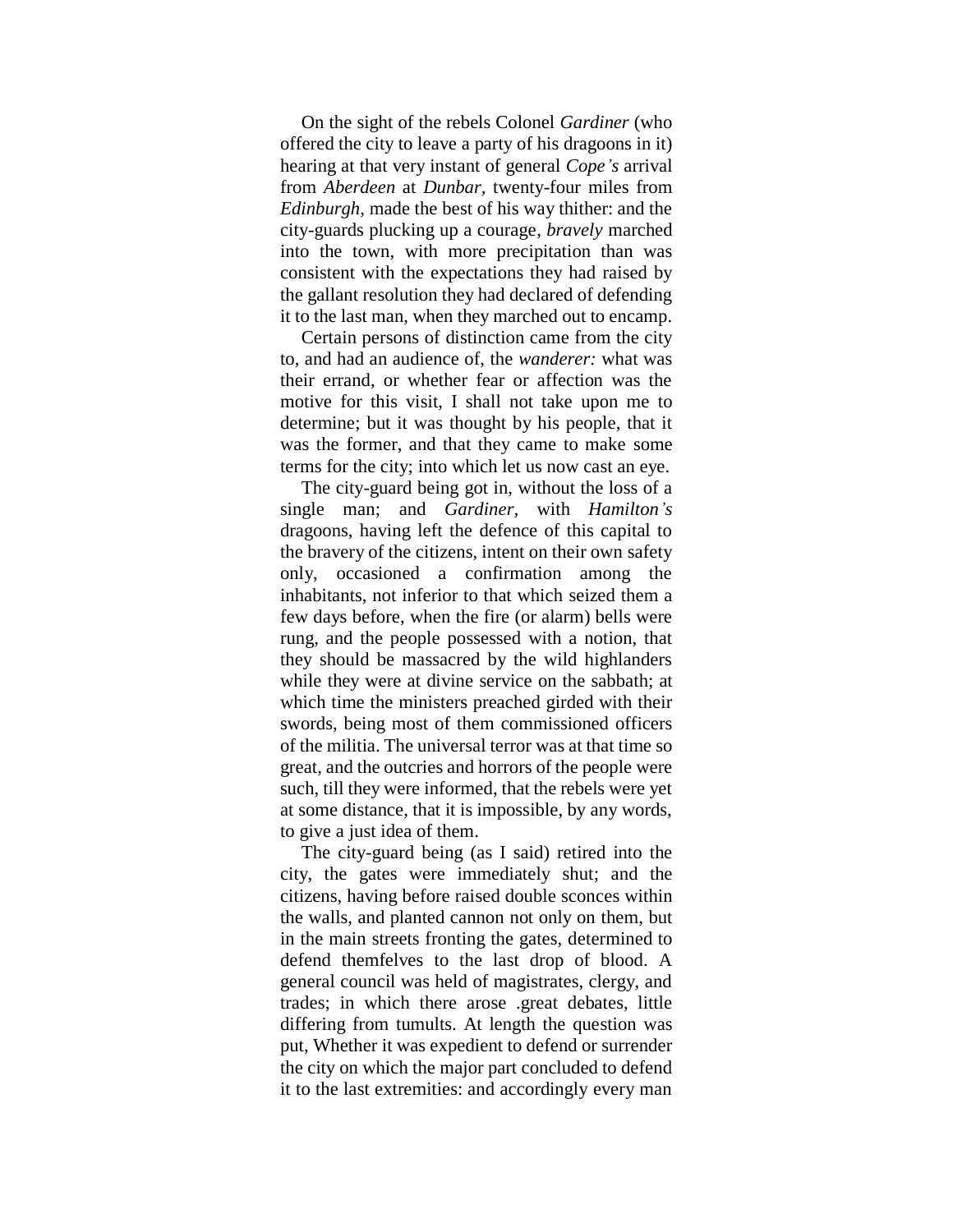On the sight of the rebels Colonel *Gardiner* (who offered the city to leave a party of his dragoons in it) hearing at that very instant of general *Cope's* arrival from *Aberdeen* at *Dunbar,* twenty-four miles from *Edinburgh,* made the best of his way thither: and the city-guards plucking up a courage, *bravely* marched into the town, with more precipitation than was consistent with the expectations they had raised by the gallant resolution they had declared of defending it to the last man, when they marched out to encamp.

Certain persons of distinction came from the city to, and had an audience of, the *wanderer:* what was their errand, or whether fear or affection was the motive for this visit, I shall not take upon me to determine; but it was thought by his people, that it was the former, and that they came to make some terms for the city; into which let us now cast an eye.

The city-guard being got in, without the loss of a single man; and *Gardiner,* with *Hamilton's*  dragoons, having left the defence of this capital to the bravery of the citizens, intent on their own safety only, occasioned a confirmation among the inhabitants, not inferior to that which seized them a few days before, when the fire (or alarm) bells were rung, and the people possessed with a notion, that they should be massacred by the wild highlanders while they were at divine service on the sabbath; at which time the ministers preached girded with their swords, being most of them commissioned officers of the militia. The universal terror was at that time so great, and the outcries and horrors of the people were such, till they were informed, that the rebels were yet at some distance, that it is impossible, by any words, to give a just idea of them.

The city-guard being (as I said) retired into the city, the gates were immediately shut; and the citizens, having before raised double sconces within the walls, and planted cannon not only on them, but in the main streets fronting the gates, determined to defend themfelves to the last drop of blood. A general council was held of magistrates, clergy, and trades; in which there arose .great debates, little differing from tumults. At length the question was put, Whether it was expedient to defend or surrender the city on which the major part concluded to defend it to the last extremities: and accordingly every man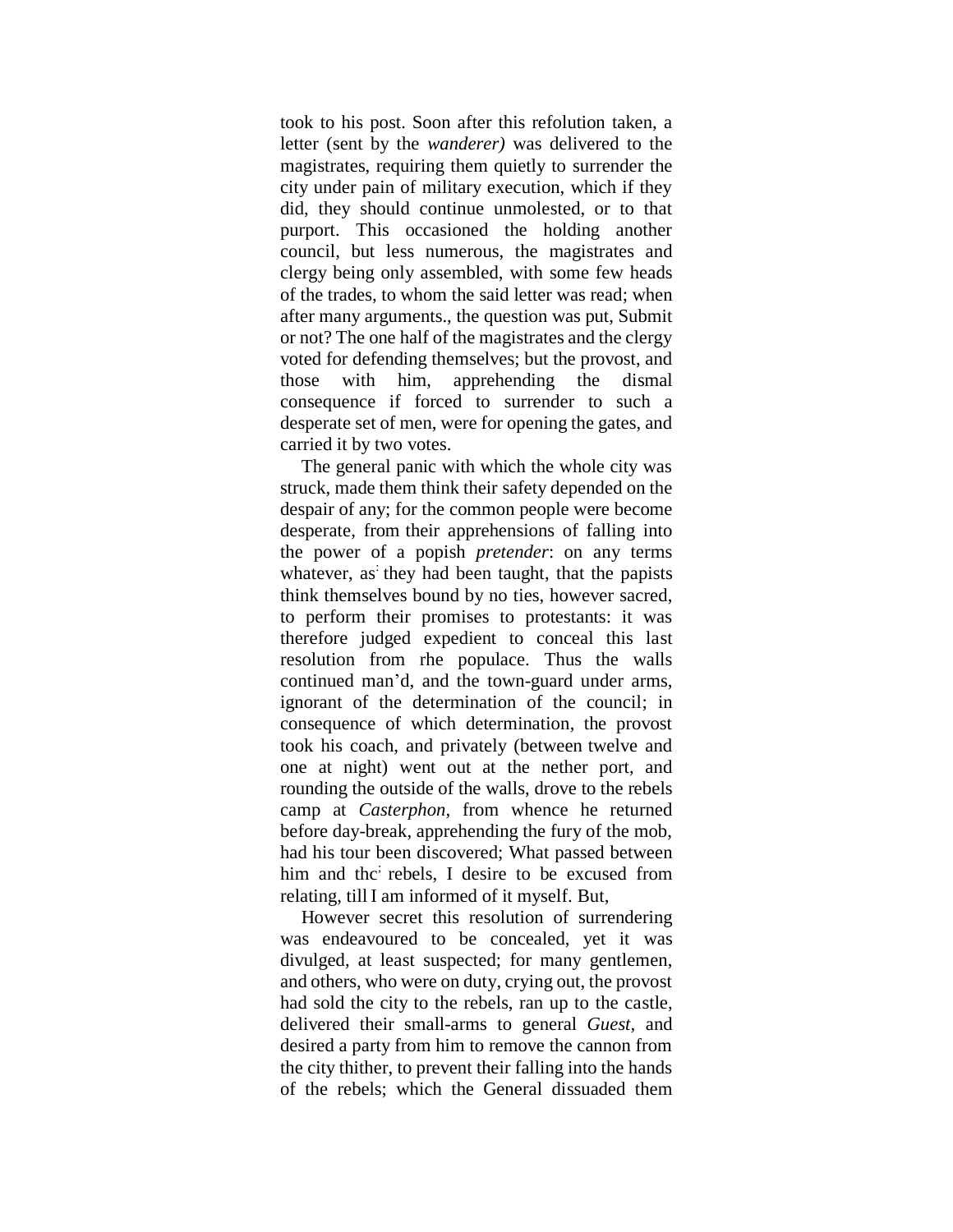took to his post. Soon after this refolution taken, a letter (sent by the *wanderer)* was delivered to the magistrates, requiring them quietly to surrender the city under pain of military execution, which if they did, they should continue unmolested, or to that purport. This occasioned the holding another council, but less numerous, the magistrates and clergy being only assembled, with some few heads of the trades, to whom the said letter was read; when after many arguments., the question was put, Submit or not? The one half of the magistrates and the clergy voted for defending themselves; but the provost, and those with him, apprehending the dismal consequence if forced to surrender to such a desperate set of men, were for opening the gates, and carried it by two votes.

The general panic with which the whole city was struck, made them think their safety depended on the despair of any; for the common people were become desperate, from their apprehensions of falling into the power of a popish *pretender*: on any terms whatever, as they had been taught, that the papists think themselves bound by no ties, however sacred, to perform their promises to protestants: it was therefore judged expedient to conceal this last resolution from rhe populace. Thus the walls continued man"d, and the town-guard under arms, ignorant of the determination of the council; in consequence of which determination, the provost took his coach, and privately (between twelve and one at night) went out at the nether port, and rounding the outside of the walls, drove to the rebels camp at *Casterphon,* from whence he returned before day-break, apprehending the fury of the mob, had his tour been discovered; What passed between him and the rebels, I desire to be excused from relating, till I am informed of it myself. But,

However secret this resolution of surrendering was endeavoured to be concealed, yet it was divulged, at least suspected; for many gentlemen, and others, who were on duty, crying out, the provost had sold the city to the rebels, ran up to the castle, delivered their small-arms to general *Guest,* and desired a party from him to remove the cannon from the city thither, to prevent their falling into the hands of the rebels; which the General dissuaded them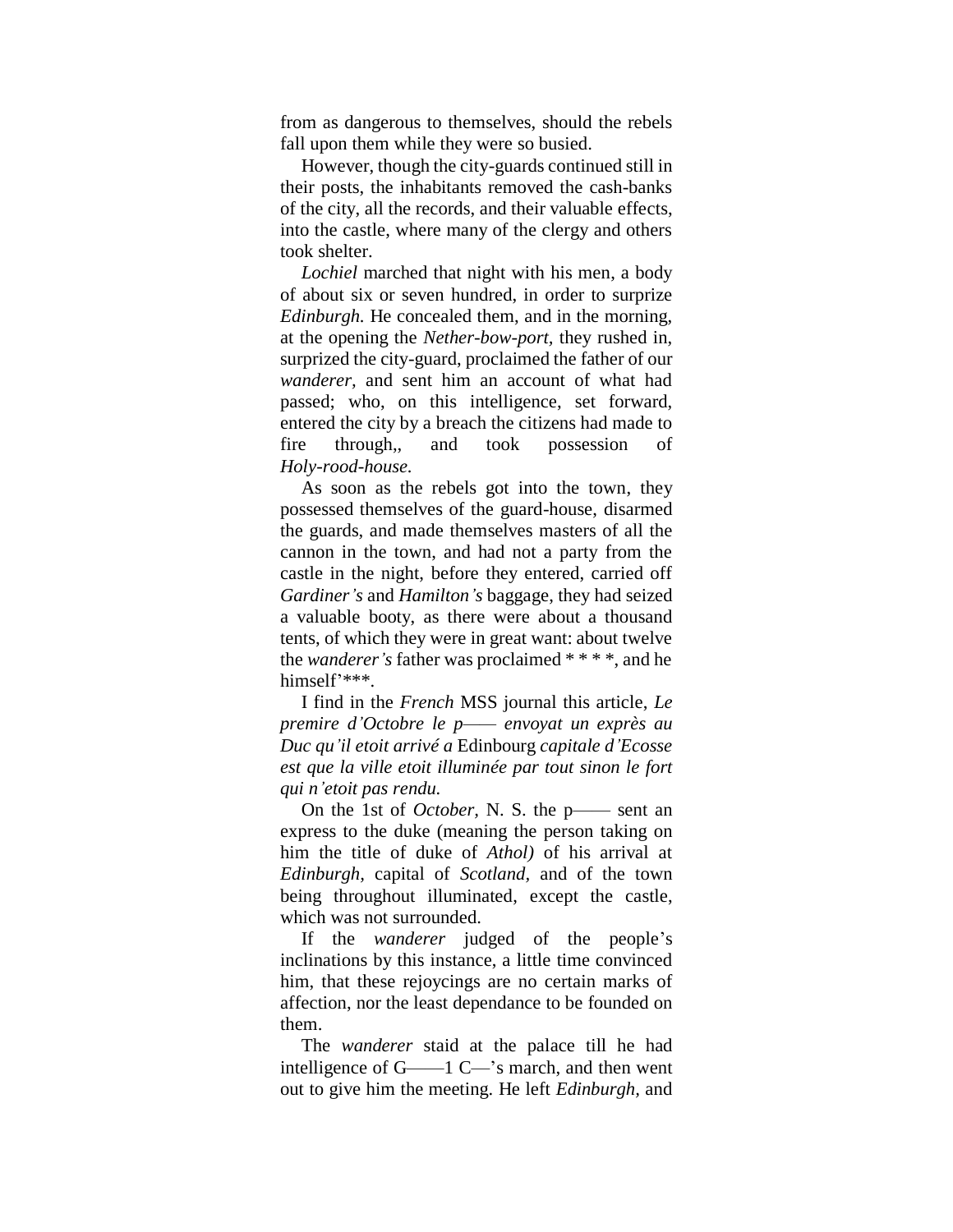from as dangerous to themselves, should the rebels fall upon them while they were so busied.

However, though the city-guards continued still in their posts, the inhabitants removed the cash-banks of the city, all the records, and their valuable effects, into the castle, where many of the clergy and others took shelter.

*Lochiel* marched that night with his men, a body of about six or seven hundred, in order to surprize *Edinburgh.* He concealed them, and in the morning, at the opening the *Nether-bow-port,* they rushed in, surprized the city-guard, proclaimed the father of our *wanderer,* and sent him an account of what had passed; who, on this intelligence, set forward, entered the city by a breach the citizens had made to fire through,, and took possession of *Holy-rood-house.*

As soon as the rebels got into the town, they possessed themselves of the guard-house, disarmed the guards, and made themselves masters of all the cannon in the town, and had not a party from the castle in the night, before they entered, carried off *Gardiner's* and *Hamilton's* baggage, they had seized a valuable booty, as there were about a thousand tents, of which they were in great want: about twelve the *wanderer's* father was proclaimed \* \* \* \*, and he himself'\*\*\*.

I find in the *French* MSS journal this article, *Le premire d'Octobre le p—— envoyat un exprès au Duc qu'il etoit arrivé a* Edinbourg *capitale d'Ecosse est que la ville etoit illuminée par tout sinon le fort qui n'etoit pas rendu.*

On the 1st of *October,* N. S. the p—— sent an express to the duke (meaning the person taking on him the title of duke of *Athol)* of his arrival at *Edinburgh,* capital of *Scotland,* and of the town being throughout illuminated, except the castle, which was not surrounded.

If the *wanderer* judged of the people"s inclinations by this instance, a little time convinced him, that these rejoycings are no certain marks of affection, nor the least dependance to be founded on them.

The *wanderer* staid at the palace till he had intelligence of G——1 C—"s march, and then went out to give him the meeting. He left *Edinburgh,* and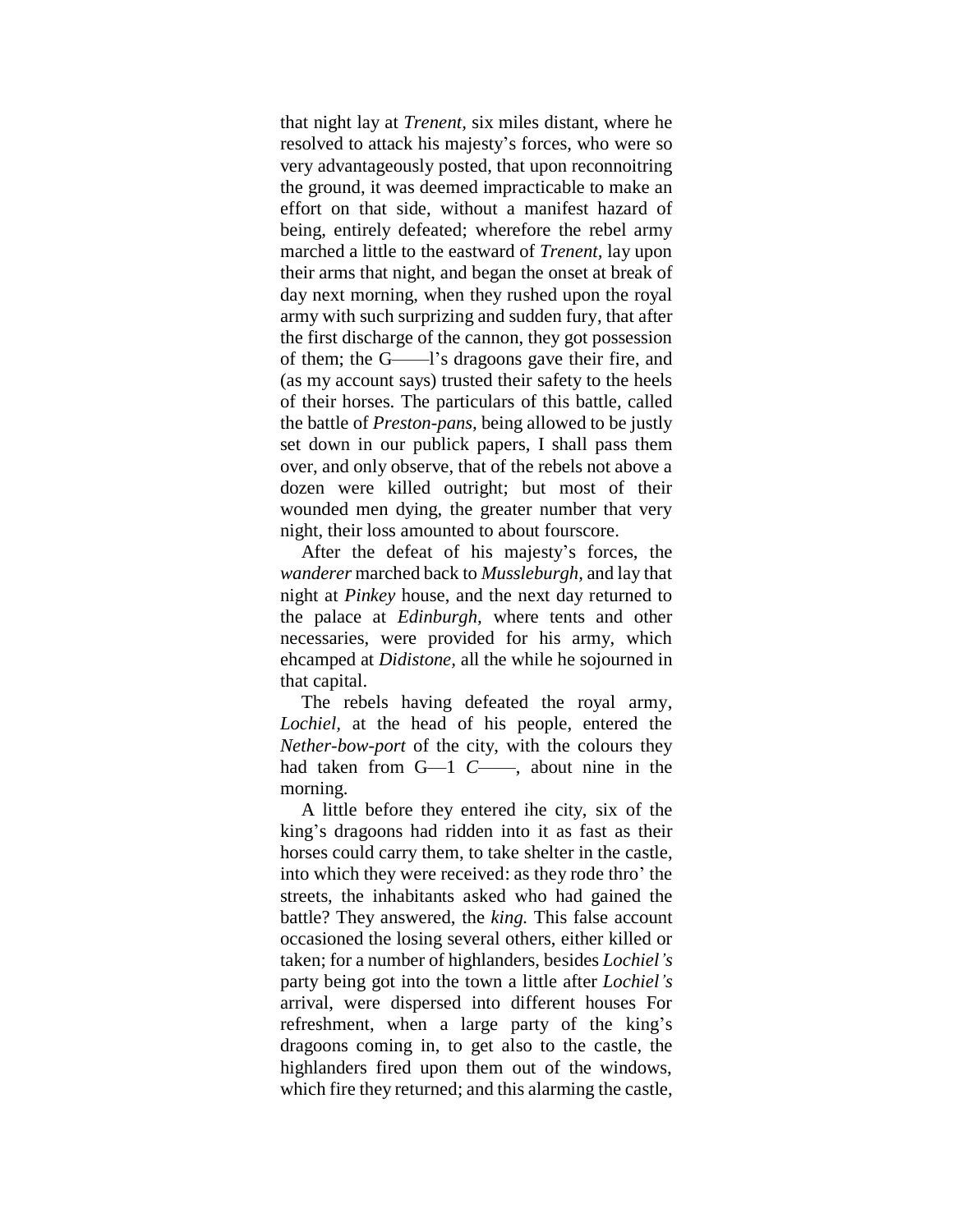that night lay at *Trenent,* six miles distant, where he resolved to attack his majesty"s forces, who were so very advantageously posted, that upon reconnoitring the ground, it was deemed impracticable to make an effort on that side, without a manifest hazard of being, entirely defeated; wherefore the rebel army marched a little to the eastward of *Trenent,* lay upon their arms that night, and began the onset at break of day next morning, when they rushed upon the royal army with such surprizing and sudden fury, that after the first discharge of the cannon, they got possession of them; the G——l"s dragoons gave their fire, and (as my account says) trusted their safety to the heels of their horses. The particulars of this battle, called the battle of *Preston-pans,* being allowed to be justly set down in our publick papers, I shall pass them over, and only observe, that of the rebels not above a dozen were killed outright; but most of their wounded men dying, the greater number that very night, their loss amounted to about fourscore.

After the defeat of his majesty"s forces, the *wanderer* marched back to *Mussleburgh,* and lay that night at *Pinkey* house, and the next day returned to the palace at *Edinburgh,* where tents and other necessaries, were provided for his army, which ehcamped at *Didistone,* all the while he sojourned in that capital.

The rebels having defeated the royal army, *Lochiel,* at the head of his people, entered the *Nether-bow-port* of the city, with the colours they had taken from G—1 *C*——, about nine in the morning.

A little before they entered ihe city, six of the king"s dragoons had ridden into it as fast as their horses could carry them, to take shelter in the castle, into which they were received: as they rode thro" the streets, the inhabitants asked who had gained the battle? They answered, the *king.* This false account occasioned the losing several others, either killed or taken; for a number of highlanders, besides *Lochiel's*  party being got into the town a little after *Lochiel's*  arrival, were dispersed into different houses For refreshment, when a large party of the king's dragoons coming in, to get also to the castle, the highlanders fired upon them out of the windows, which fire they returned; and this alarming the castle,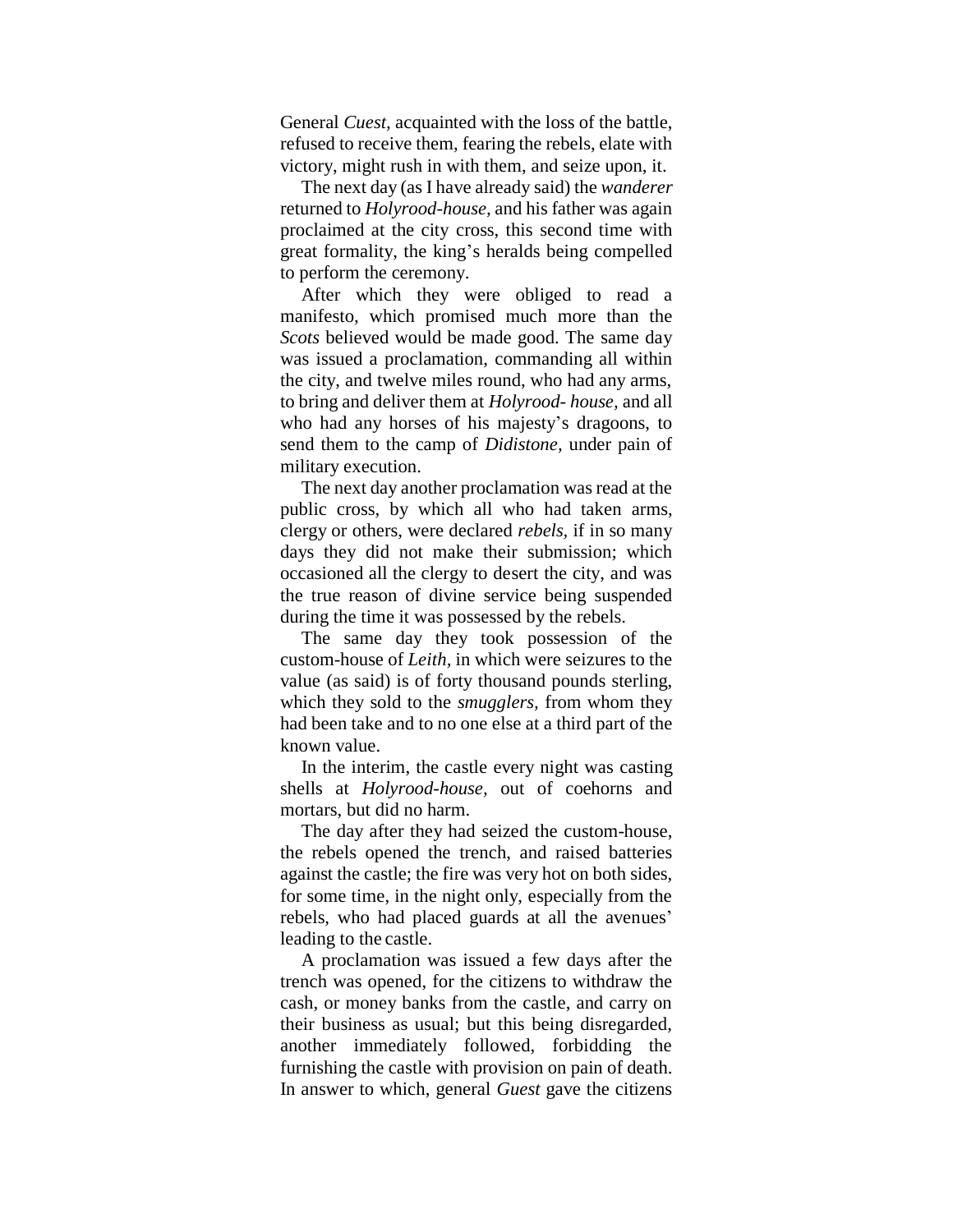General *Cuest,* acquainted with the loss of the battle, refused to receive them, fearing the rebels, elate with victory, might rush in with them, and seize upon, it.

The next day (as I have already said) the *wanderer*  returned to *Holyrood-house,* and his father was again proclaimed at the city cross, this second time with great formality, the king"s heralds being compelled to perform the ceremony.

After which they were obliged to read a manifesto, which promised much more than the *Scots* believed would be made good. The same day was issued a proclamation, commanding all within the city, and twelve miles round, who had any arms, to bring and deliver them at *Holyrood- house,* and all who had any horses of his majesty"s dragoons, to send them to the camp of *Didistone,* under pain of military execution.

The next day another proclamation was read at the public cross, by which all who had taken arms, clergy or others, were declared *rebels,* if in so many days they did not make their submission; which occasioned all the clergy to desert the city, and was the true reason of divine service being suspended during the time it was possessed by the rebels.

The same day they took possession of the custom-house of *Leith,* in which were seizures to the value (as said) is of forty thousand pounds sterling, which they sold to the *smugglers,* from whom they had been take and to no one else at a third part of the known value.

In the interim, the castle every night was casting shells at *Holyrood-house,* out of coehorns and mortars, but did no harm.

The day after they had seized the custom-house, the rebels opened the trench, and raised batteries against the castle; the fire was very hot on both sides, for some time, in the night only, especially from the rebels, who had placed guards at all the avenues' leading to the castle.

A proclamation was issued a few days after the trench was opened, for the citizens to withdraw the cash, or money banks from the castle, and carry on their business as usual; but this being disregarded, another immediately followed, forbidding the furnishing the castle with provision on pain of death. In answer to which, general *Guest* gave the citizens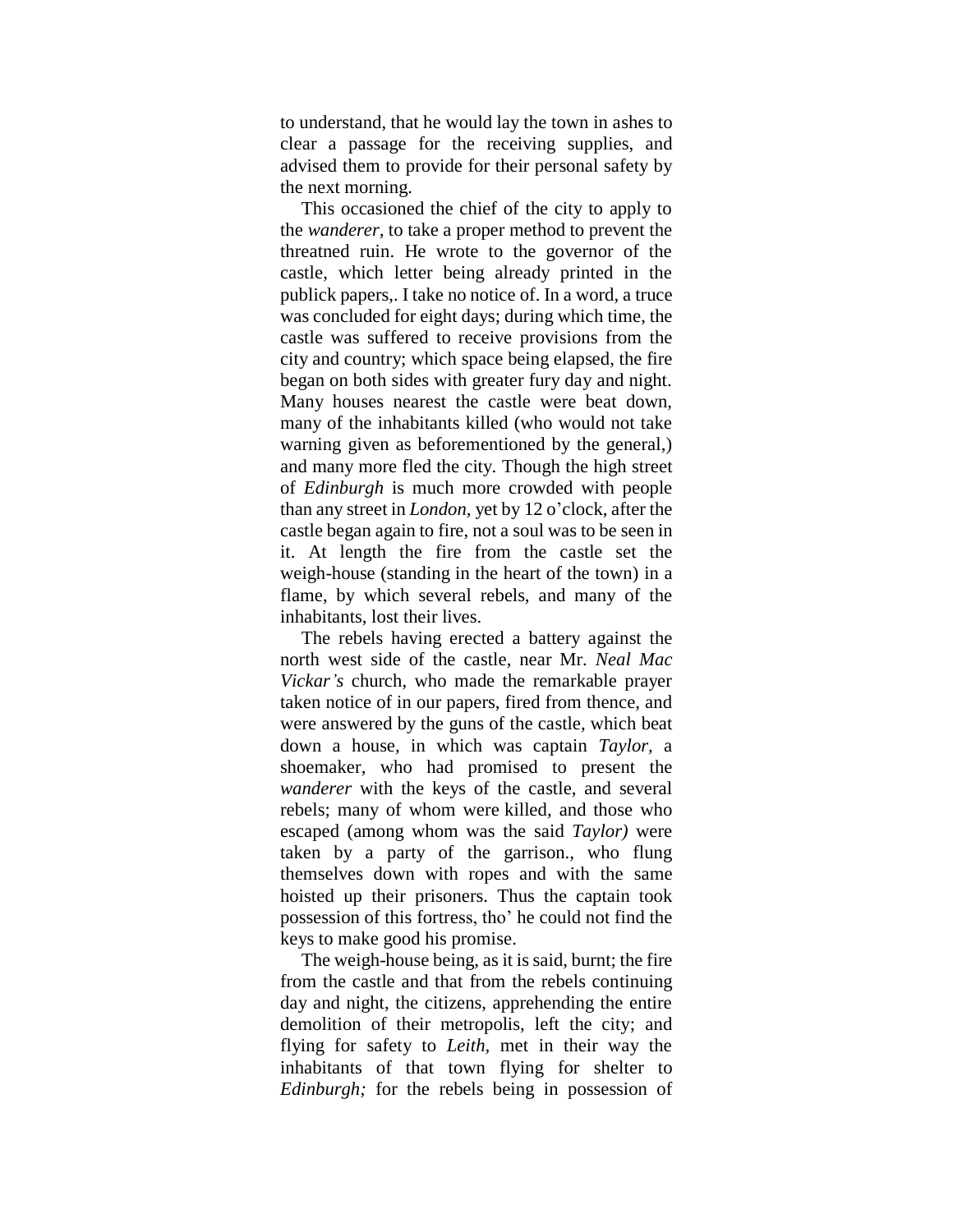to understand, that he would lay the town in ashes to clear a passage for the receiving supplies, and advised them to provide for their personal safety by the next morning.

This occasioned the chief of the city to apply to the *wanderer,* to take a proper method to prevent the threatned ruin. He wrote to the governor of the castle, which letter being already printed in the publick papers,. I take no notice of. In a word, a truce was concluded for eight days; during which time, the castle was suffered to receive provisions from the city and country; which space being elapsed, the fire began on both sides with greater fury day and night. Many houses nearest the castle were beat down, many of the inhabitants killed (who would not take warning given as beforementioned by the general,) and many more fled the city. Though the high street of *Edinburgh* is much more crowded with people than any street in *London,* yet by 12 o"clock, after the castle began again to fire, not a soul was to be seen in it. At length the fire from the castle set the weigh-house (standing in the heart of the town) in a flame, by which several rebels, and many of the inhabitants, lost their lives.

The rebels having erected a battery against the north west side of the castle, near Mr. *Neal Mac Vickar's* church, who made the remarkable prayer taken notice of in our papers, fired from thence, and were answered by the guns of the castle, which beat down a house, in which was captain *Taylor,* a shoemaker, who had promised to present the *wanderer* with the keys of the castle, and several rebels; many of whom were killed, and those who escaped (among whom was the said *Taylor)* were taken by a party of the garrison., who flung themselves down with ropes and with the same hoisted up their prisoners. Thus the captain took possession of this fortress, tho" he could not find the keys to make good his promise.

The weigh-house being, as it is said, burnt; the fire from the castle and that from the rebels continuing day and night, the citizens, apprehending the entire demolition of their metropolis, left the city; and flying for safety to *Leith,* met in their way the inhabitants of that town flying for shelter to *Edinburgh;* for the rebels being in possession of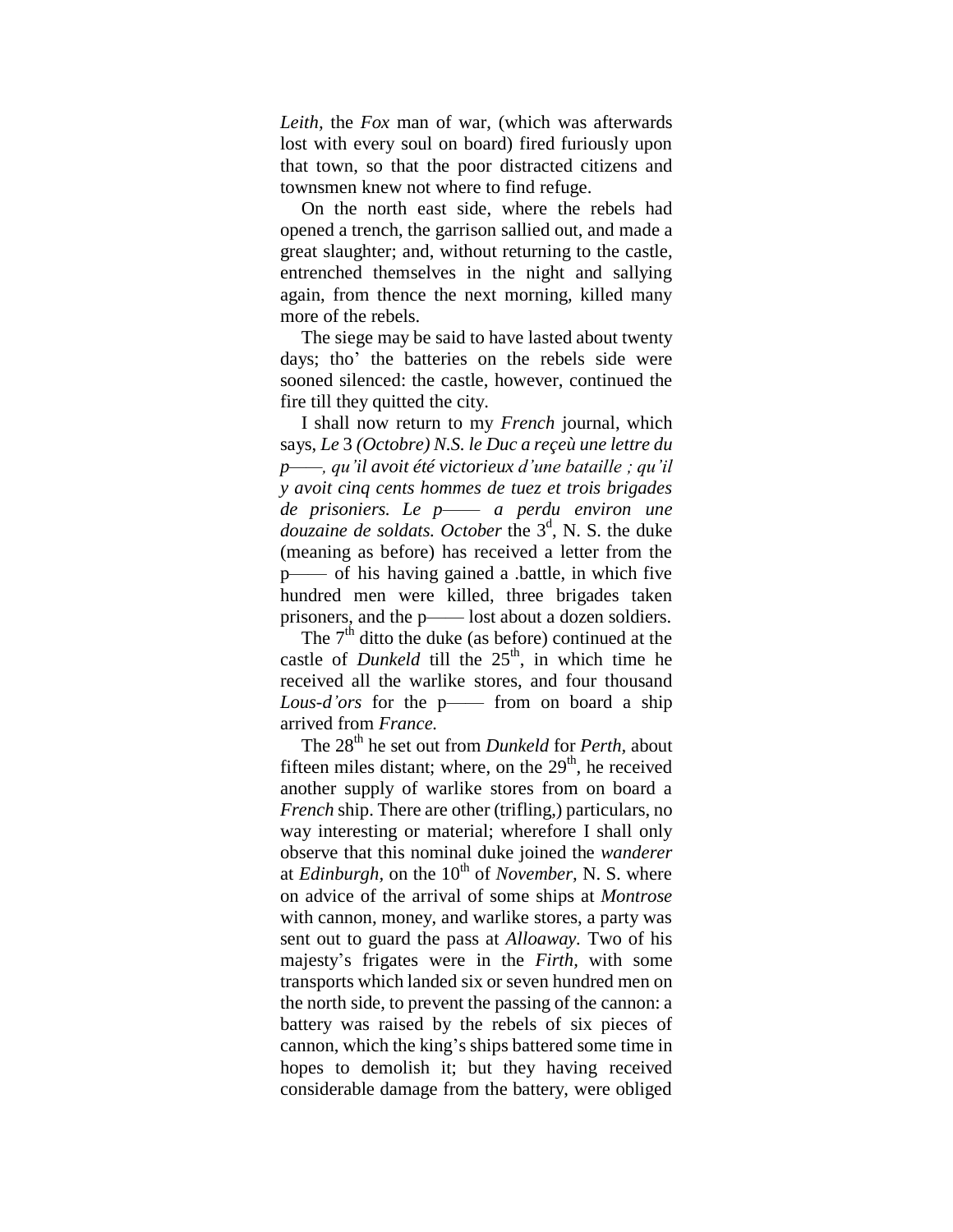*Leith,* the *Fox* man of war, (which was afterwards lost with every soul on board) fired furiously upon that town, so that the poor distracted citizens and townsmen knew not where to find refuge.

On the north east side, where the rebels had opened a trench, the garrison sallied out, and made a great slaughter; and, without returning to the castle, entrenched themselves in the night and sallying again, from thence the next morning, killed many more of the rebels.

The siege may be said to have lasted about twenty days; tho" the batteries on the rebels side were sooned silenced: the castle, however, continued the fire till they quitted the city.

I shall now return to my *French* journal, which says, *Le* 3 *(Octobre) N.S. le Duc a reçeù une lettre du p——, qu'il avoit été victorieux d'une bataille ; qu'il y avoit cinq cents hommes de tuez et trois brigades de prisoniers. Le p*—— *a perdu environ une* douzaine de soldats. October the 3<sup>d</sup>, N. S. the duke (meaning as before) has received a letter from the p—— of his having gained a .battle, in which five hundred men were killed, three brigades taken prisoners, and the p—— lost about a dozen soldiers.

The  $7<sup>th</sup>$  ditto the duke (as before) continued at the castle of *Dunkeld* till the  $25<sup>th</sup>$ , in which time he received all the warlike stores, and four thousand *Lous-d'ors* for the p—— from on board a ship arrived from *France.*

The 28<sup>th</sup> he set out from *Dunkeld* for *Perth*, about fifteen miles distant; where, on the  $29<sup>th</sup>$ , he received another supply of warlike stores from on board a *French* ship. There are other (trifling,) particulars, no way interesting or material; wherefore I shall only observe that this nominal duke joined the *wanderer*  at *Edinburgh*, on the 10<sup>th</sup> of *November*, N. S. where on advice of the arrival of some ships at *Montrose*  with cannon, money, and warlike stores, a party was sent out to guard the pass at *Alloaway.* Two of his majesty"s frigates were in the *Firth,* with some transports which landed six or seven hundred men on the north side, to prevent the passing of the cannon: a battery was raised by the rebels of six pieces of cannon, which the king"s ships battered some time in hopes to demolish it; but they having received considerable damage from the battery, were obliged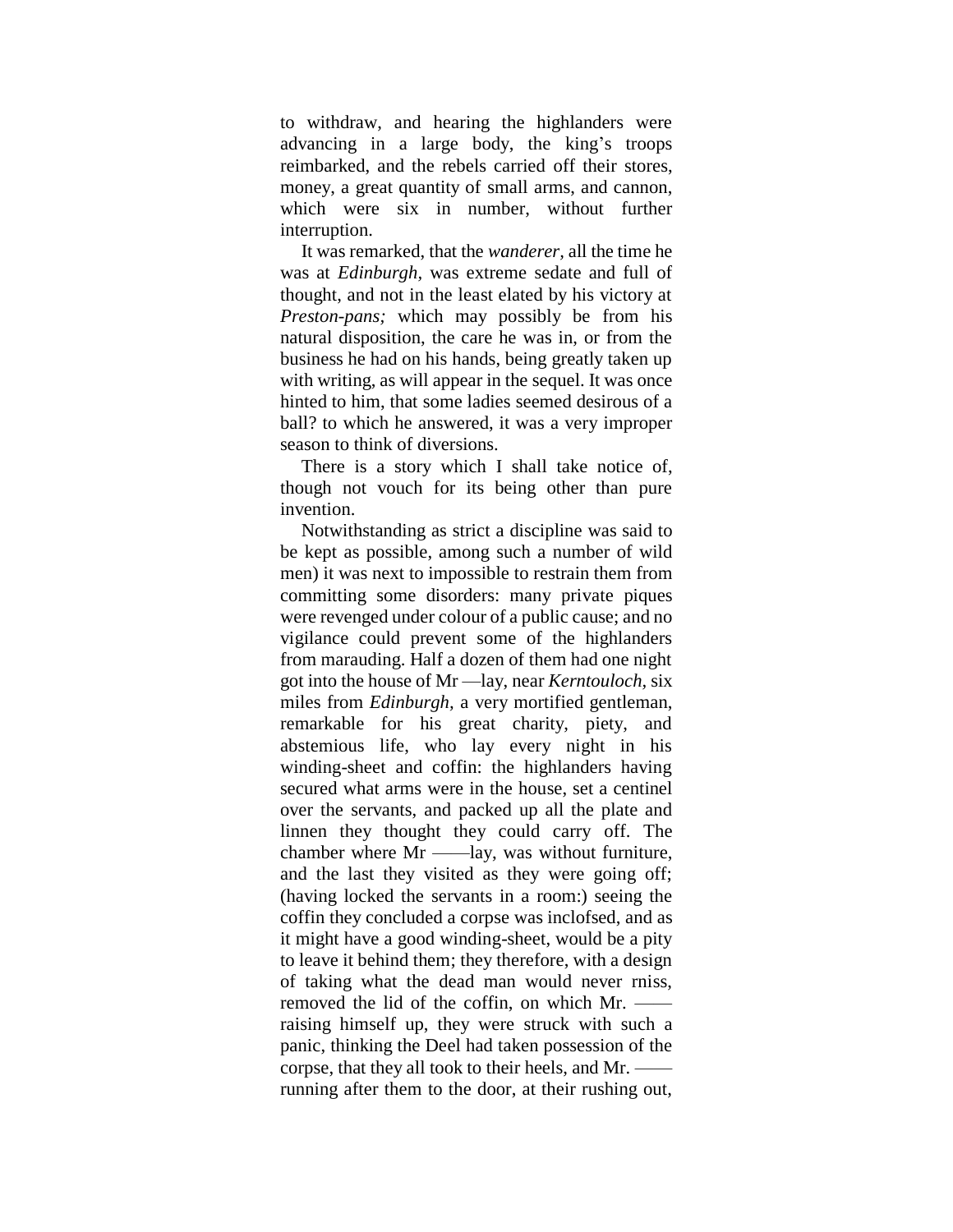to withdraw, and hearing the highlanders were advancing in a large body, the king"s troops reimbarked, and the rebels carried off their stores, money, a great quantity of small arms, and cannon, which were six in number, without further interruption.

It was remarked, that the *wanderer,* all the time he was at *Edinburgh,* was extreme sedate and full of thought, and not in the least elated by his victory at *Preston-pans;* which may possibly be from his natural disposition, the care he was in, or from the business he had on his hands, being greatly taken up with writing, as will appear in the sequel. It was once hinted to him, that some ladies seemed desirous of a ball? to which he answered, it was a very improper season to think of diversions.

There is a story which I shall take notice of, though not vouch for its being other than pure invention.

Notwithstanding as strict a discipline was said to be kept as possible, among such a number of wild men) it was next to impossible to restrain them from committing some disorders: many private piques were revenged under colour of a public cause; and no vigilance could prevent some of the highlanders from marauding. Half a dozen of them had one night got into the house of Mr —lay, near *Kerntouloch,* six miles from *Edinburgh,* a very mortified gentleman, remarkable for his great charity, piety, and abstemious life, who lay every night in his winding-sheet and coffin: the highlanders having secured what arms were in the house, set a centinel over the servants, and packed up all the plate and linnen they thought they could carry off. The chamber where Mr ——lay, was without furniture, and the last they visited as they were going off; (having locked the servants in a room:) seeing the coffin they concluded a corpse was inclofsed, and as it might have a good winding-sheet, would be a pity to leave it behind them; they therefore, with a design of taking what the dead man would never rniss, removed the lid of the coffin, on which Mr. raising himself up, they were struck with such a panic, thinking the Deel had taken possession of the corpse, that they all took to their heels, and Mr. running after them to the door, at their rushing out,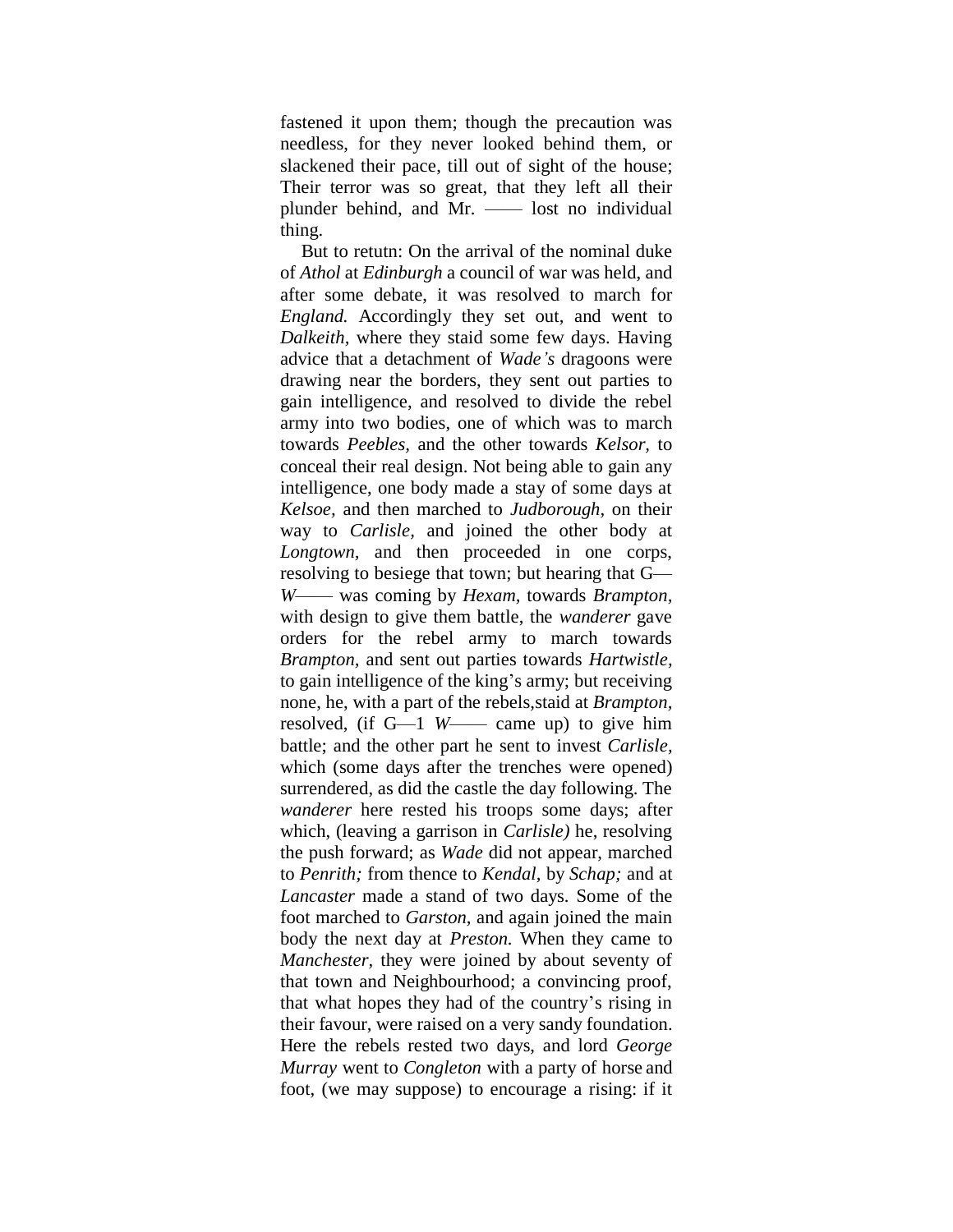fastened it upon them; though the precaution was needless, for they never looked behind them, or slackened their pace, till out of sight of the house; Their terror was so great, that they left all their plunder behind, and Mr. —— lost no individual thing.

But to retutn: On the arrival of the nominal duke of *Athol* at *Edinburgh* a council of war was held, and after some debate, it was resolved to march for *England.* Accordingly they set out, and went to *Dalkeith,* where they staid some few days. Having advice that a detachment of *Wade's* dragoons were drawing near the borders, they sent out parties to gain intelligence, and resolved to divide the rebel army into two bodies, one of which was to march towards *Peebles,* and the other towards *Kelsor,* to conceal their real design. Not being able to gain any intelligence, one body made a stay of some days at *Kelsoe,* and then marched to *Judborough,* on their way to *Carlisle,* and joined the other body at *Longtown,* and then proceeded in one corps, resolving to besiege that town; but hearing that G— *W*—— was coming by *Hexam,* towards *Brampton,* with design to give them battle, the *wanderer* gave orders for the rebel army to march towards *Brampton,* and sent out parties towards *Hartwistle,* to gain intelligence of the king's army; but receiving none, he, with a part of the rebels,staid at *Brampton,* resolved, (if G—1 *W*—— came up) to give him battle; and the other part he sent to invest *Carlisle,* which (some days after the trenches were opened) surrendered, as did the castle the day following. The *wanderer* here rested his troops some days; after which, (leaving a garrison in *Carlisle)* he, resolving the push forward; as *Wade* did not appear, marched to *Penrith;* from thence to *Kendal,* by *Schap;* and at *Lancaster* made a stand of two days. Some of the foot marched to *Garston,* and again joined the main body the next day at *Preston.* When they came to *Manchester,* they were joined by about seventy of that town and Neighbourhood; a convincing proof, that what hopes they had of the country"s rising in their favour, were raised on a very sandy foundation. Here the rebels rested two days, and lord *George Murray* went to *Congleton* with a party of horse and foot, (we may suppose) to encourage a rising: if it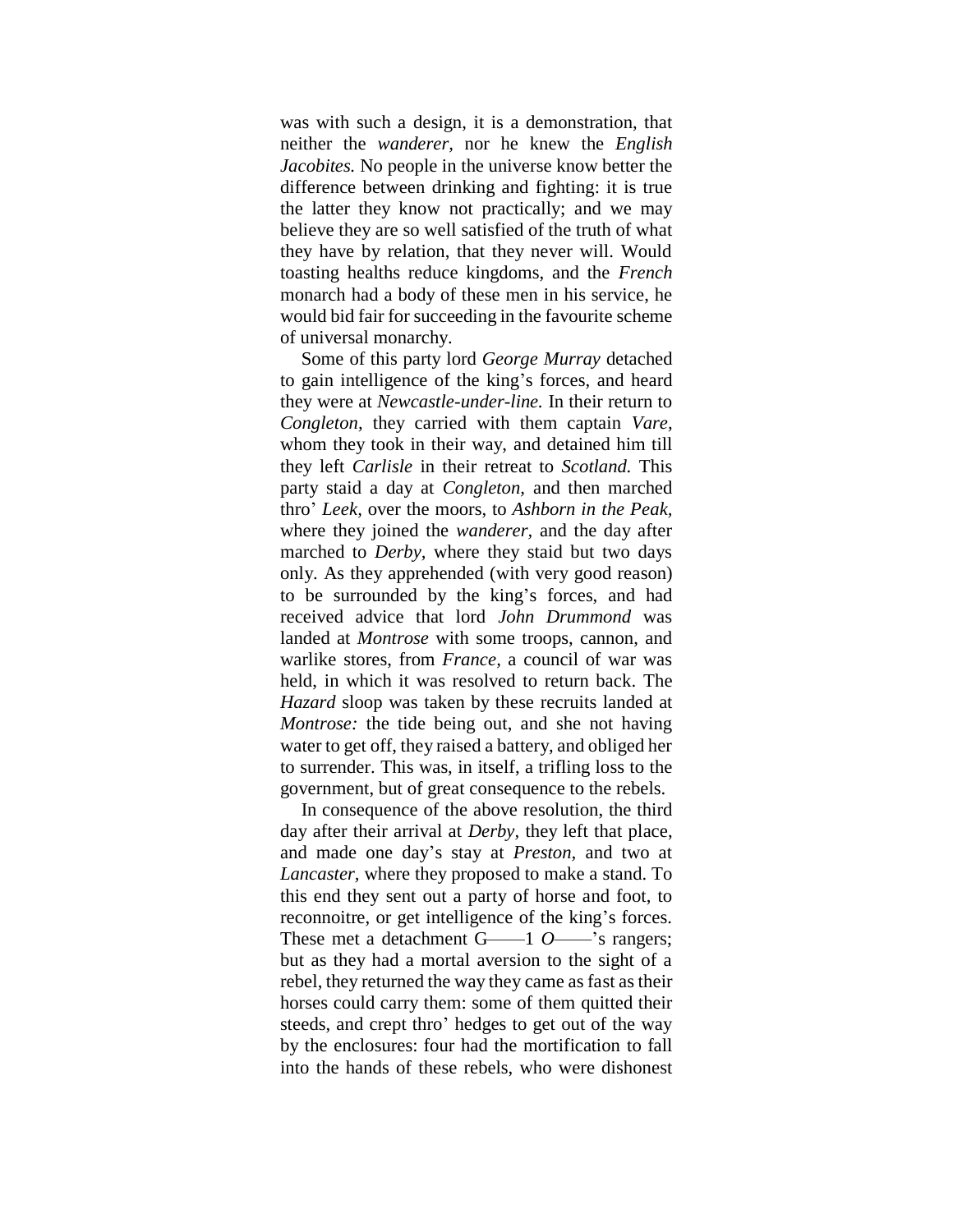was with such a design, it is a demonstration, that neither the *wanderer,* nor he knew the *English Jacobites.* No people in the universe know better the difference between drinking and fighting: it is true the latter they know not practically; and we may believe they are so well satisfied of the truth of what they have by relation, that they never will. Would toasting healths reduce kingdoms, and the *French* monarch had a body of these men in his service, he would bid fair for succeeding in the favourite scheme of universal monarchy.

Some of this party lord *George Murray* detached to gain intelligence of the king"s forces, and heard they were at *Newcastle-under-line.* In their return to *Congleton,* they carried with them captain *Vare,*  whom they took in their way, and detained him till they left *Carlisle* in their retreat to *Scotland.* This party staid a day at *Congleton,* and then marched thro" *Leek,* over the moors, to *Ashborn in the Peak,*  where they joined the *wanderer,* and the day after marched to *Derby,* where they staid but two days only. As they apprehended (with very good reason) to be surrounded by the king"s forces, and had received advice that lord *John Drummond* was landed at *Montrose* with some troops, cannon, and warlike stores, from *France,* a council of war was held, in which it was resolved to return back. The *Hazard* sloop was taken by these recruits landed at *Montrose:* the tide being out, and she not having water to get off, they raised a battery, and obliged her to surrender. This was, in itself, a trifling loss to the government, but of great consequence to the rebels.

In consequence of the above resolution, the third day after their arrival at *Derby,* they left that place, and made one day"s stay at *Preston,* and two at *Lancaster,* where they proposed to make a stand. To this end they sent out a party of horse and foot, to reconnoitre, or get intelligence of the king's forces. These met a detachment G——1 *O*——"s rangers; but as they had a mortal aversion to the sight of a rebel, they returned the way they came as fast as their horses could carry them: some of them quitted their steeds, and crept thro" hedges to get out of the way by the enclosures: four had the mortification to fall into the hands of these rebels, who were dishonest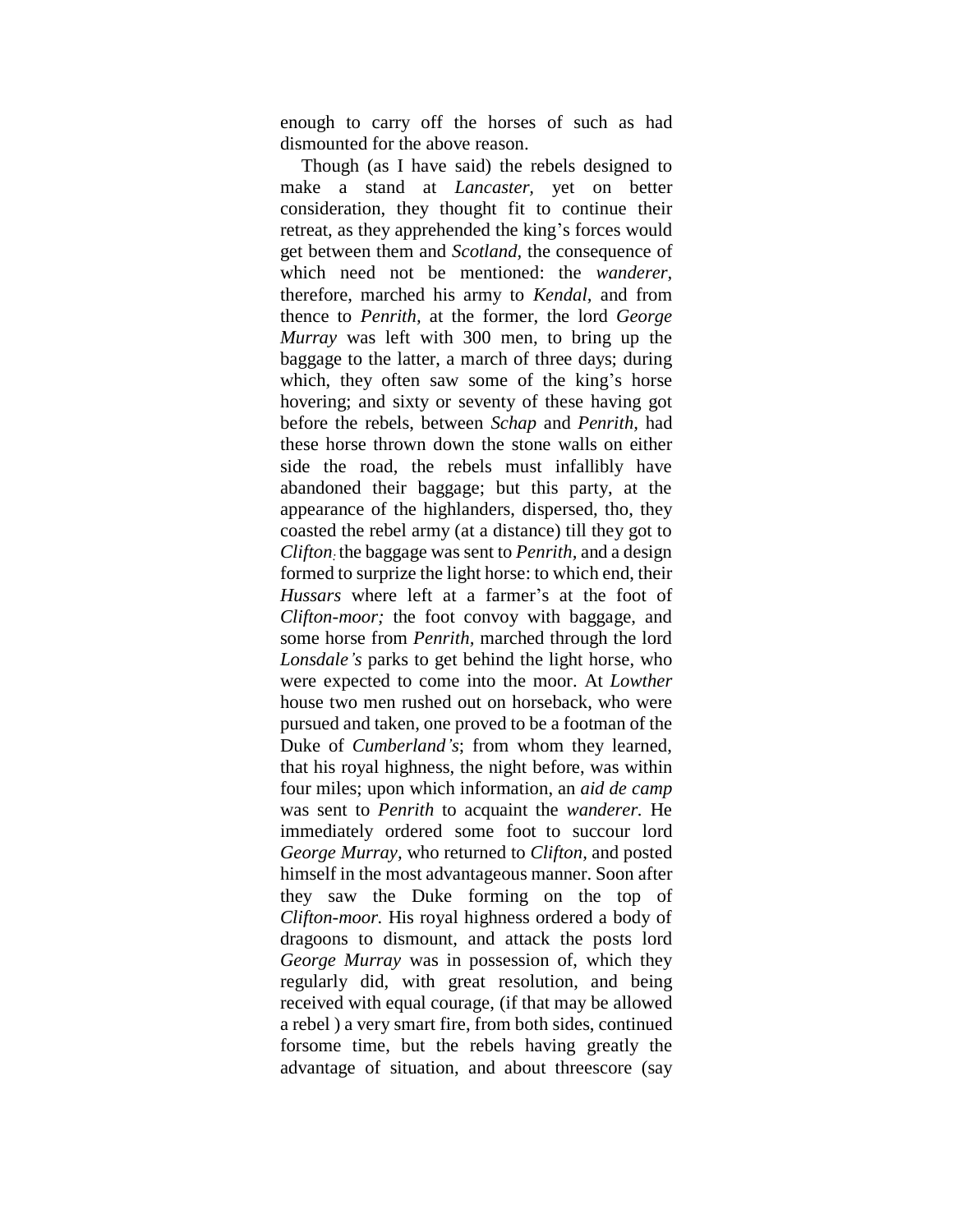enough to carry off the horses of such as had dismounted for the above reason.

Though (as I have said) the rebels designed to make a stand at *Lancaster,* yet on better consideration, they thought fit to continue their retreat, as they apprehended the king's forces would get between them and *Scotland,* the consequence of which need not be mentioned: the *wanderer*, therefore, marched his army to *Kendal,* and from thence to *Penrith,* at the former, the lord *George Murray* was left with 300 men, to bring up the baggage to the latter, a march of three days; during which, they often saw some of the king's horse hovering; and sixty or seventy of these having got before the rebels, between *Schap* and *Penrith,* had these horse thrown down the stone walls on either side the road, the rebels must infallibly have abandoned their baggage; but this party, at the appearance of the highlanders, dispersed, tho, they coasted the rebel army (at a distance) till they got to *Clifton:* the baggage was sent to *Penrith,* and a design formed to surprize the light horse: to which end, their *Hussars* where left at a farmer's at the foot of *Clifton-moor;* the foot convoy with baggage, and some horse from *Penrith,* marched through the lord *Lonsdale's* parks to get behind the light horse, who were expected to come into the moor. At *Lowther*  house two men rushed out on horseback, who were pursued and taken, one proved to be a footman of the Duke of *Cumberland's*; from whom they learned, that his royal highness, the night before, was within four miles; upon which information, an *aid de camp*  was sent to *Penrith* to acquaint the *wanderer.* He immediately ordered some foot to succour lord *George Murray,* who returned to *Clifton,* and posted himself in the most advantageous manner. Soon after they saw the Duke forming on the top of *Clifton-moor.* His royal highness ordered a body of dragoons to dismount, and attack the posts lord *George Murray* was in possession of, which they regularly did, with great resolution, and being received with equal courage, (if that may be allowed a rebel ) a very smart fire, from both sides, continued forsome time, but the rebels having greatly the advantage of situation, and about threescore (say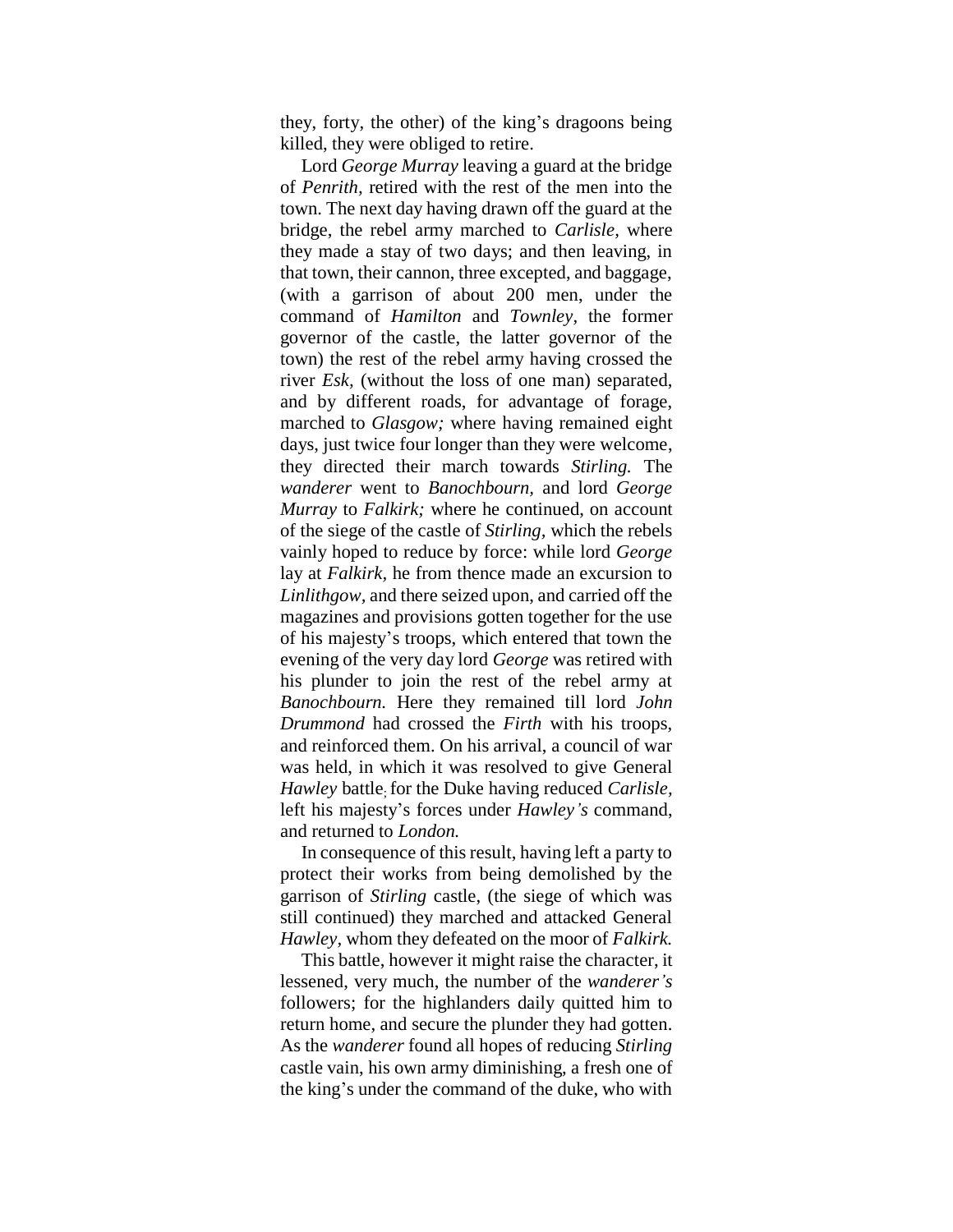they, forty, the other) of the king"s dragoons being killed, they were obliged to retire.

Lord *George Murray* leaving a guard at the bridge of *Penrith,* retired with the rest of the men into the town. The next day having drawn off the guard at the bridge, the rebel army marched to *Carlisle,* where they made a stay of two days; and then leaving, in that town, their cannon, three excepted, and baggage, (with a garrison of about 200 men, under the command of *Hamilton* and *Townley,* the former governor of the castle, the latter governor of the town) the rest of the rebel army having crossed the river *Esk,* (without the loss of one man) separated, and by different roads, for advantage of forage, marched to *Glasgow;* where having remained eight days, just twice four longer than they were welcome, they directed their march towards *Stirling.* The *wanderer* went to *Banochbourn,* and lord *George Murray* to *Falkirk;* where he continued, on account of the siege of the castle of *Stirling,* which the rebels vainly hoped to reduce by force: while lord *George*  lay at *Falkirk,* he from thence made an excursion to *Linlithgow,* and there seized upon, and carried off the magazines and provisions gotten together for the use of his majesty"s troops, which entered that town the evening of the very day lord *George* was retired with his plunder to join the rest of the rebel army at *Banochbourn.* Here they remained till lord *John Drummond* had crossed the *Firth* with his troops, and reinforced them. On his arrival, a council of war was held, in which it was resolved to give General *Hawley* battle; for the Duke having reduced *Carlisle,*  left his majesty"s forces under *Hawley's* command, and returned to *London.*

In consequence of this result, having left a party to protect their works from being demolished by the garrison of *Stirling* castle, (the siege of which was still continued) they marched and attacked General *Hawley,* whom they defeated on the moor of *Falkirk.*

This battle, however it might raise the character, it lessened, very much, the number of the *wanderer's*  followers; for the highlanders daily quitted him to return home, and secure the plunder they had gotten. As the *wanderer* found all hopes of reducing *Stirling*  castle vain, his own army diminishing, a fresh one of the king"s under the command of the duke, who with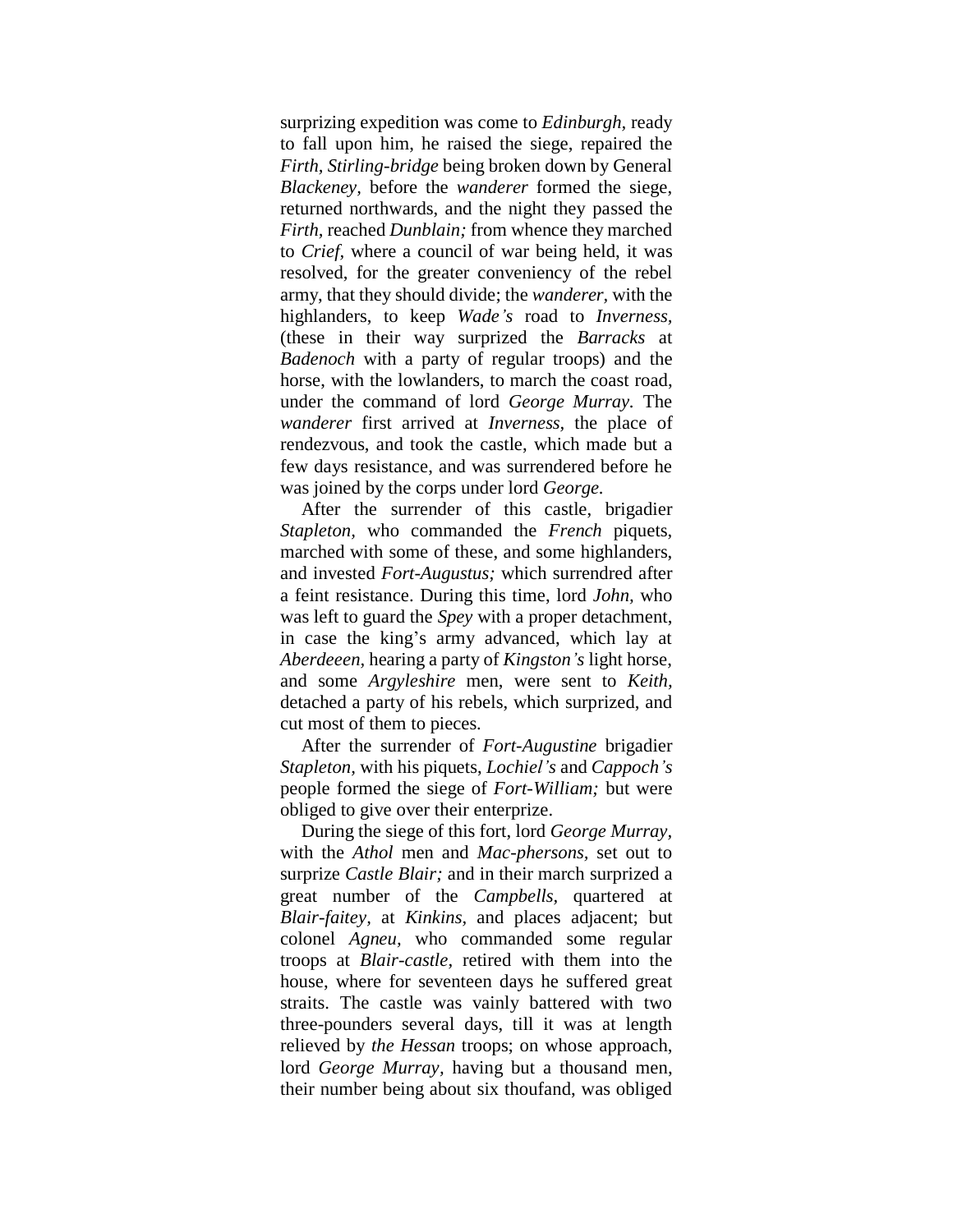surprizing expedition was come to *Edinburgh,* ready to fall upon him, he raised the siege, repaired the *Firth, Stirling-bridge* being broken down by General *Blackeney,* before the *wanderer* formed the siege, returned northwards, and the night they passed the *Firth,* reached *Dunblain;* from whence they marched to *Crief,* where a council of war being held, it was resolved, for the greater conveniency of the rebel army, that they should divide; the *wanderer,* with the highlanders, to keep *Wade's* road to *Inverness,*  (these in their way surprized the *Barracks* at *Badenoch* with a party of regular troops) and the horse, with the lowlanders, to march the coast road, under the command of lord *George Murray.* The *wanderer* first arrived at *Inverness,* the place of rendezvous, and took the castle, which made but a few days resistance, and was surrendered before he was joined by the corps under lord *George.*

After the surrender of this castle, brigadier *Stapleton,* who commanded the *French* piquets, marched with some of these, and some highlanders, and invested *Fort-Augustus;* which surrendred after a feint resistance. During this time, lord *John,* who was left to guard the *Spey* with a proper detachment, in case the king"s army advanced, which lay at *Aberdeeen,* hearing a party of *Kingston's* light horse, and some *Argyleshire* men, were sent to *Keith,*  detached a party of his rebels, which surprized, and cut most of them to pieces.

After the surrender of *Fort-Augustine* brigadier *Stapleton,* with his piquets, *Lochiel's* and *Cappoch's*  people formed the siege of *Fort-William;* but were obliged to give over their enterprize.

During the siege of this fort, lord *George Murray,*  with the *Athol* men and *Mac-phersons,* set out to surprize *Castle Blair;* and in their march surprized a great number of the *Campbells,* quartered at *Blair-faitey,* at *Kinkins,* and places adjacent; but colonel *Agneu,* who commanded some regular troops at *Blair-castle,* retired with them into the house, where for seventeen days he suffered great straits. The castle was vainly battered with two three-pounders several days, till it was at length relieved by *the Hessan* troops; on whose approach, lord *George Murray,* having but a thousand men, their number being about six thoufand, was obliged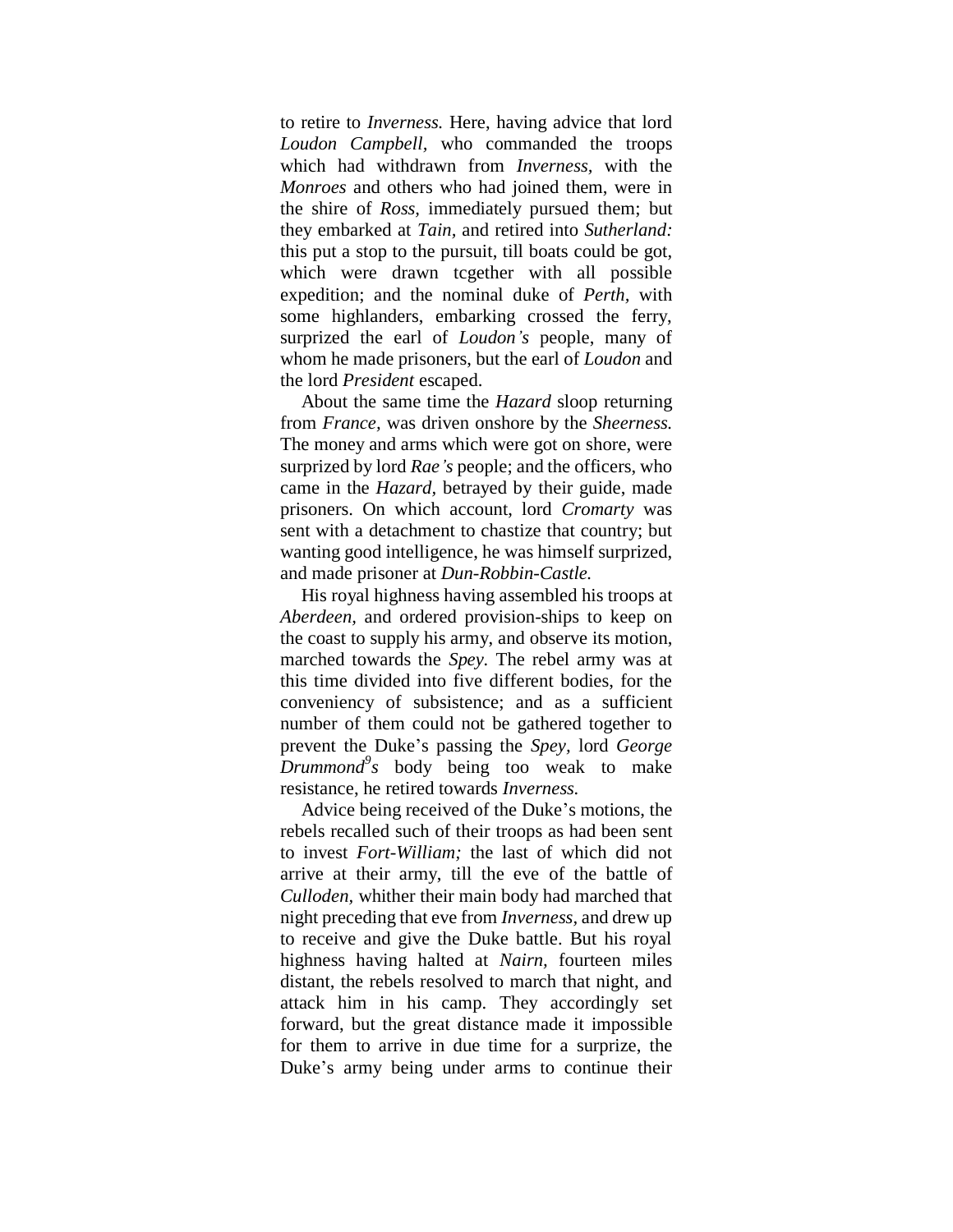to retire to *Inverness.* Here, having advice that lord *Loudon Campbell,* who commanded the troops which had withdrawn from *Inverness,* with the *Monroes* and others who had joined them, were in the shire of *Ross,* immediately pursued them; but they embarked at *Tain,* and retired into *Sutherland:* this put a stop to the pursuit, till boats could be got, which were drawn tcgether with all possible expedition; and the nominal duke of *Perth,* with some highlanders, embarking crossed the ferry, surprized the earl of *Loudon's* people, many of whom he made prisoners, but the earl of *Loudon* and the lord *President* escaped.

About the same time the *Hazard* sloop returning from *France,* was driven onshore by the *Sheerness.*  The money and arms which were got on shore, were surprized by lord *Rae's* people; and the officers, who came in the *Hazard,* betrayed by their guide, made prisoners. On which account, lord *Cromarty* was sent with a detachment to chastize that country; but wanting good intelligence, he was himself surprized, and made prisoner at *Dun-Robbin-Castle.*

His royal highness having assembled his troops at *Aberdeen,* and ordered provision-ships to keep on the coast to supply his army, and observe its motion, marched towards the *Spey.* The rebel army was at this time divided into five different bodies, for the conveniency of subsistence; and as a sufficient number of them could not be gathered together to prevent the Duke"s passing the *Spey,* lord *George Drummond<sup>9</sup> s* body being too weak to make resistance, he retired towards *Inverness.*

Advice being received of the Duke"s motions, the rebels recalled such of their troops as had been sent to invest *Fort-William;* the last of which did not arrive at their army, till the eve of the battle of *Culloden,* whither their main body had marched that night preceding that eve from *Inverness,* and drew up to receive and give the Duke battle. But his royal highness having halted at *Nairn,* fourteen miles distant, the rebels resolved to march that night, and attack him in his camp. They accordingly set forward, but the great distance made it impossible for them to arrive in due time for a surprize, the Duke's army being under arms to continue their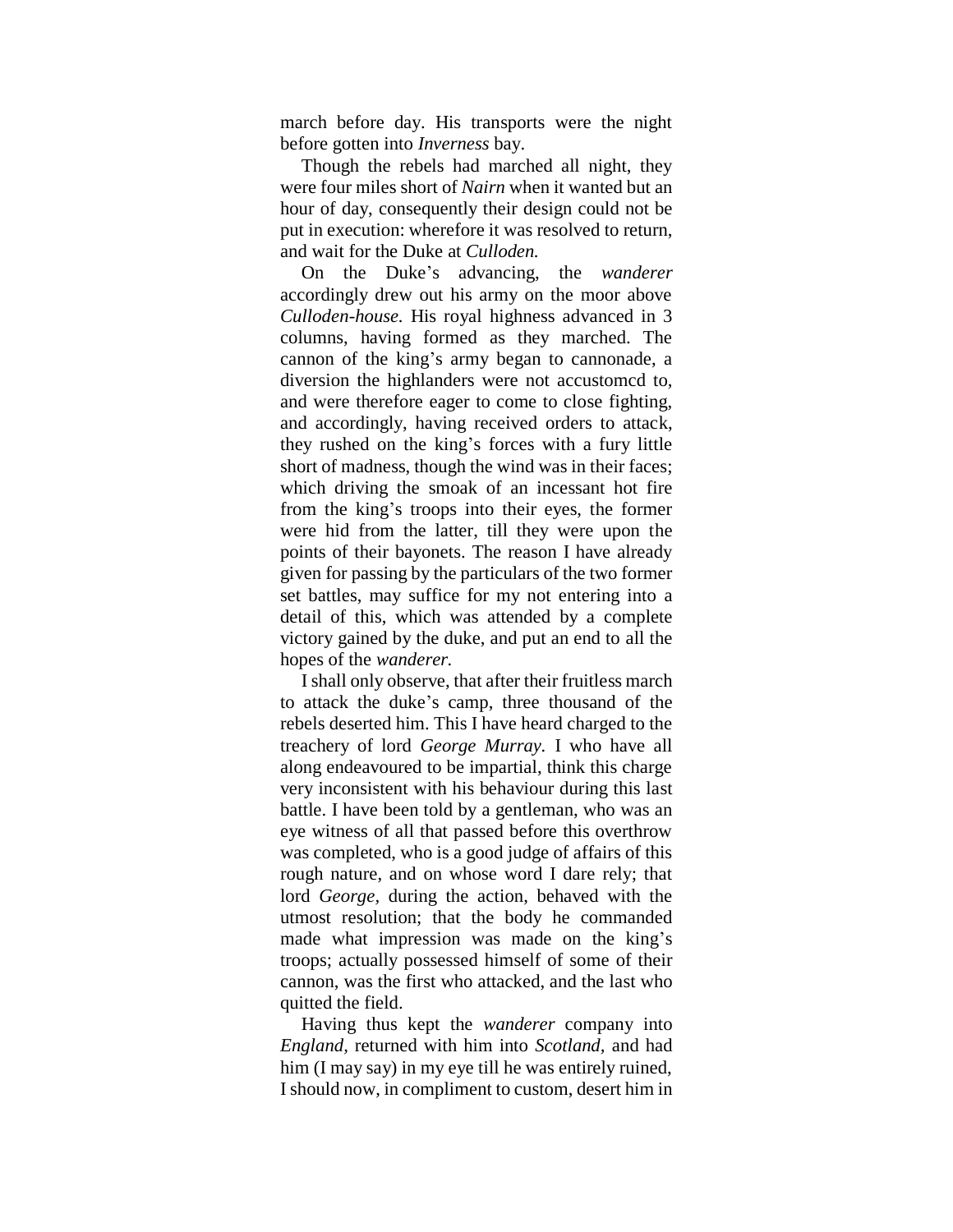march before day. His transports were the night before gotten into *Inverness* bay.

Though the rebels had marched all night, they were four miles short of *Nairn* when it wanted but an hour of day, consequently their design could not be put in execution: wherefore it was resolved to return, and wait for the Duke at *Culloden.*

On the Duke"s advancing, the *wanderer*  accordingly drew out his army on the moor above *Culloden-house.* His royal highness advanced in 3 columns, having formed as they marched. The cannon of the king"s army began to cannonade, a diversion the highlanders were not accustomcd to, and were therefore eager to come to close fighting, and accordingly, having received orders to attack, they rushed on the king"s forces with a fury little short of madness, though the wind was in their faces; which driving the smoak of an incessant hot fire from the king"s troops into their eyes, the former were hid from the latter, till they were upon the points of their bayonets. The reason I have already given for passing by the particulars of the two former set battles, may suffice for my not entering into a detail of this, which was attended by a complete victory gained by the duke, and put an end to all the hopes of the *wanderer.*

I shall only observe, that after their fruitless march to attack the duke"s camp, three thousand of the rebels deserted him. This I have heard charged to the treachery of lord *George Murray.* I who have all along endeavoured to be impartial, think this charge very inconsistent with his behaviour during this last battle. I have been told by a gentleman, who was an eye witness of all that passed before this overthrow was completed, who is a good judge of affairs of this rough nature, and on whose word I dare rely; that lord *George,* during the action, behaved with the utmost resolution; that the body he commanded made what impression was made on the king's troops; actually possessed himself of some of their cannon, was the first who attacked, and the last who quitted the field.

Having thus kept the *wanderer* company into *England,* returned with him into *Scotland,* and had him (I may say) in my eye till he was entirely ruined, I should now, in compliment to custom, desert him in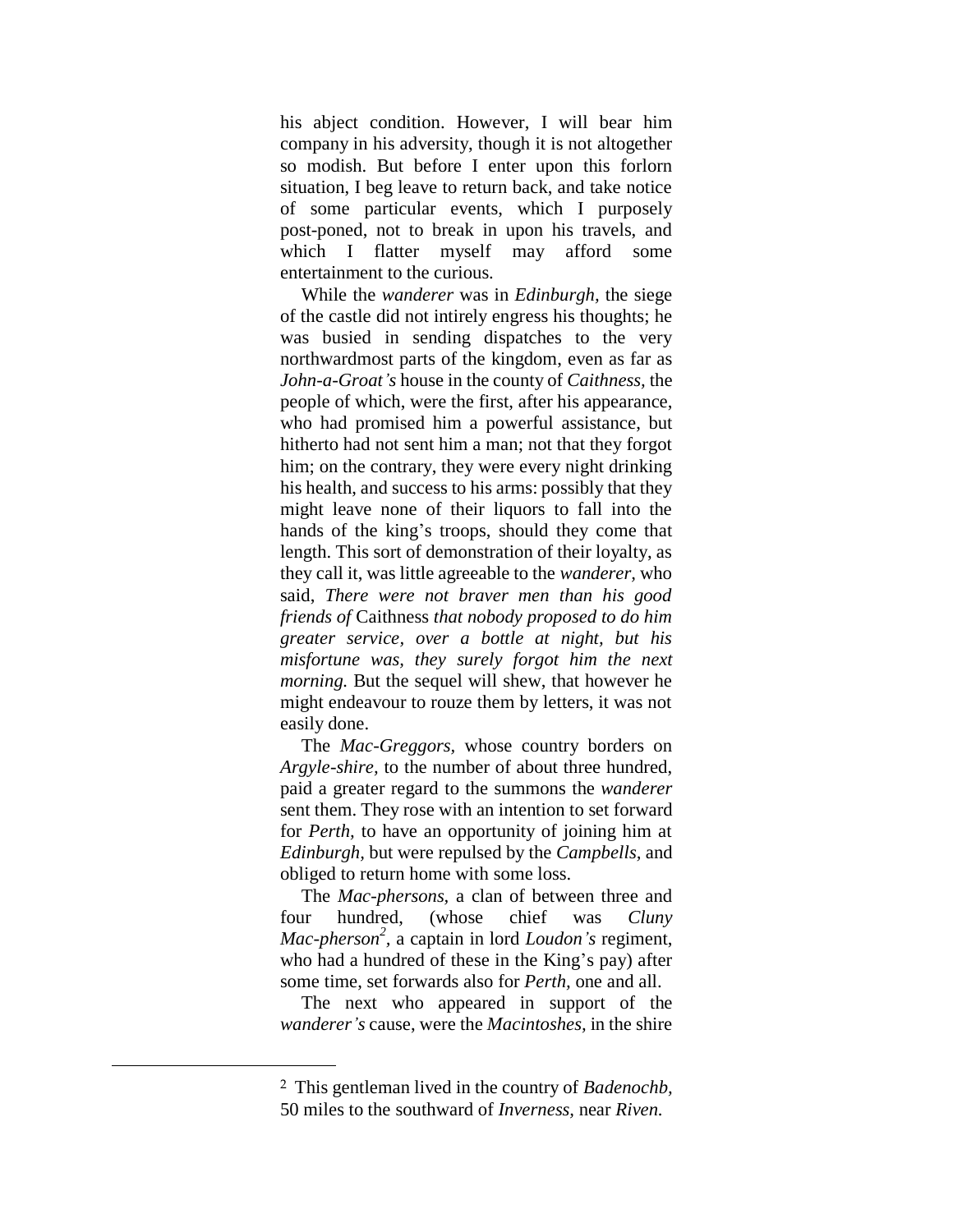his abject condition. However, I will bear him company in his adversity, though it is not altogether so modish. But before I enter upon this forlorn situation, I beg leave to return back, and take notice of some particular events, which I purposely post-poned, not to break in upon his travels, and which I flatter myself may afford some entertainment to the curious.

While the *wanderer* was in *Edinburgh,* the siege of the castle did not intirely engress his thoughts; he was busied in sending dispatches to the very northwardmost parts of the kingdom, even as far as *John-a-Groat's* house in the county of *Caithness,* the people of which, were the first, after his appearance, who had promised him a powerful assistance, but hitherto had not sent him a man; not that they forgot him; on the contrary, they were every night drinking his health, and success to his arms: possibly that they might leave none of their liquors to fall into the hands of the king's troops, should they come that length. This sort of demonstration of their loyalty, as they call it, was little agreeable to the *wanderer,* who said, *There were not braver men than his good friends of* Caithness *that nobody proposed to do him greater service, over a bottle at night, but his misfortune was, they surely forgot him the next morning.* But the sequel will shew, that however he might endeavour to rouze them by letters, it was not easily done.

The *Mac-Greggors,* whose country borders on *Argyle-shire,* to the number of about three hundred, paid a greater regard to the summons the *wanderer*  sent them. They rose with an intention to set forward for *Perth,* to have an opportunity of joining him at *Edinburgh,* but were repulsed by the *Campbells,* and obliged to return home with some loss.

The *Mac-phersons,* a clan of between three and four hundred, (whose chief was *Cluny Mac-pherson 2 ,* a captain in lord *Loudon's* regiment, who had a hundred of these in the King's pay) after some time, set forwards also for *Perth,* one and all.

The next who appeared in support of the *wanderer's* cause, were the *Macintoshes,* in the shire

 $\overline{a}$ 

<sup>2</sup> This gentleman lived in the country of *Badenochb,* 50 miles to the southward of *Inverness,* near *Riven.*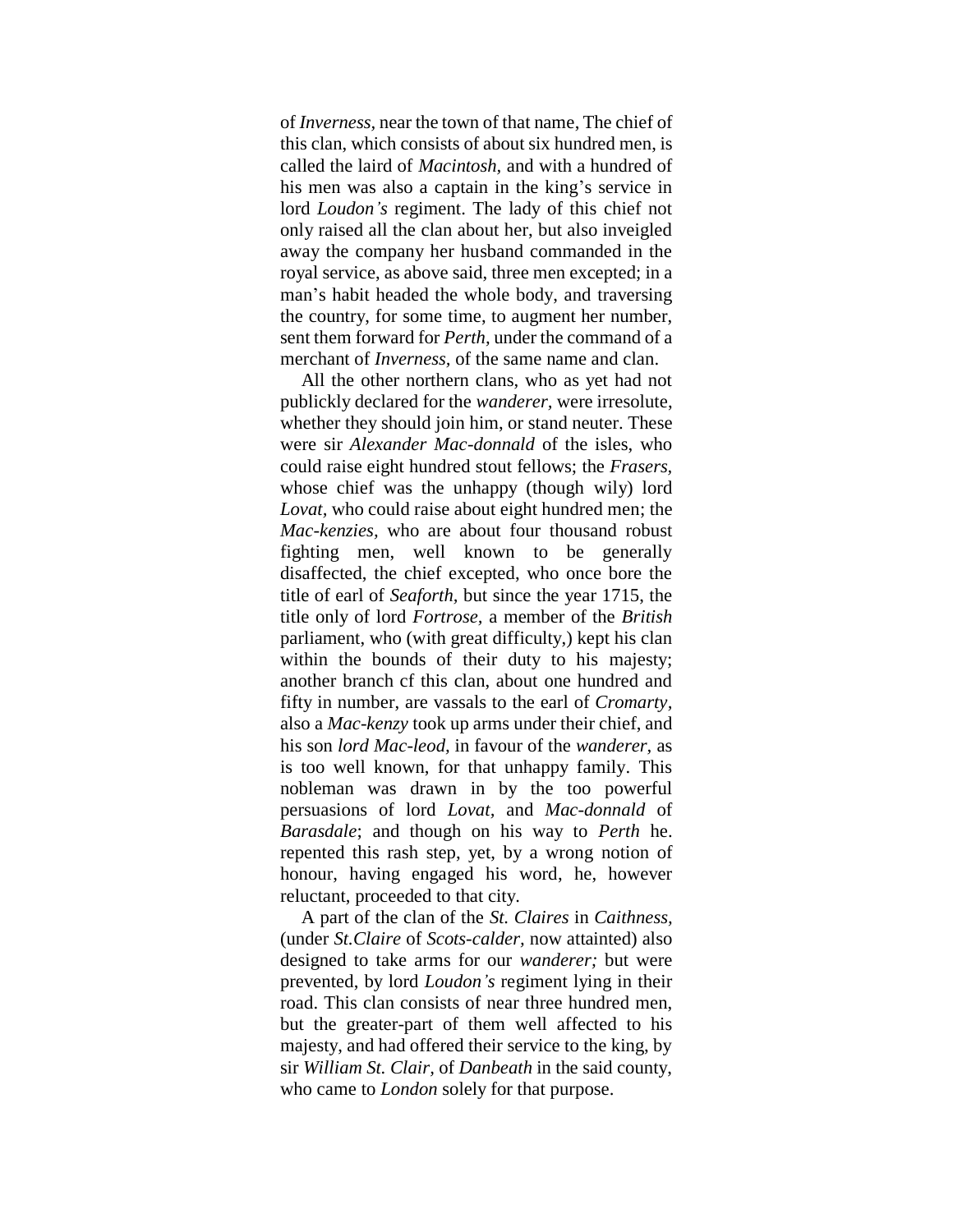of *Inverness,* near the town of that name, The chief of this clan, which consists of about six hundred men, is called the laird of *Macintosh,* and with a hundred of his men was also a captain in the king's service in lord *Loudon's* regiment. The lady of this chief not only raised all the clan about her, but also inveigled away the company her husband commanded in the royal service, as above said, three men excepted; in a man"s habit headed the whole body, and traversing the country, for some time, to augment her number, sent them forward for *Perth,* under the command of a merchant of *Inverness,* of the same name and clan.

All the other northern clans, who as yet had not publickly declared for the *wanderer,* were irresolute, whether they should join him, or stand neuter. These were sir *Alexander Mac-donnald* of the isles, who could raise eight hundred stout fellows; the *Frasers,* whose chief was the unhappy (though wily) lord *Lovat,* who could raise about eight hundred men; the *Mac-kenzies,* who are about four thousand robust fighting men, well known to be generally disaffected, the chief excepted, who once bore the title of earl of *Seaforth,* but since the year 1715, the title only of lord *Fortrose,* a member of the *British*  parliament, who (with great difficulty,) kept his clan within the bounds of their duty to his majesty; another branch cf this clan, about one hundred and fifty in number, are vassals to the earl of *Cromarty,* also a *Mac-kenzy* took up arms under their chief, and his son *lord Mac-leod,* in favour of the *wanderer,* as is too well known, for that unhappy family. This nobleman was drawn in by the too powerful persuasions of lord *Lovat,* and *Mac-donnald* of *Barasdale*; and though on his way to *Perth* he. repented this rash step, yet, by a wrong notion of honour, having engaged his word, he, however reluctant, proceeded to that city.

A part of the clan of the *St. Claires* in *Caithness,* (under *St.Claire* of *Scots-calder,* now attainted) also designed to take arms for our *wanderer;* but were prevented, by lord *Loudon's* regiment lying in their road. This clan consists of near three hundred men, but the greater-part of them well affected to his majesty, and had offered their service to the king, by sir *William St. Clair,* of *Danbeath* in the said county, who came to *London* solely for that purpose.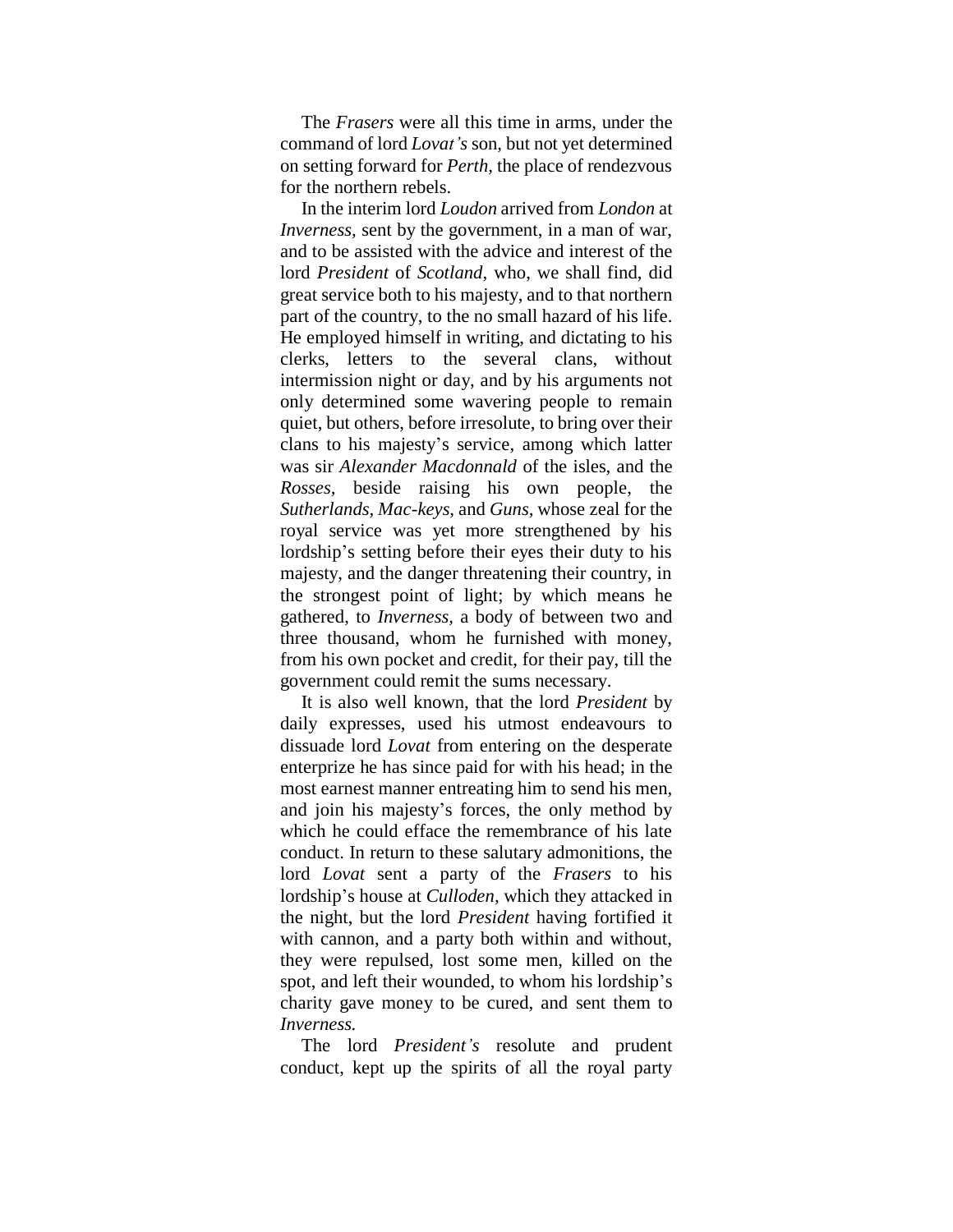The *Frasers* were all this time in arms, under the command of lord *Lovat's* son, but not yet determined on setting forward for *Perth,* the place of rendezvous for the northern rebels.

In the interim lord *Loudon* arrived from *London* at *Inverness,* sent by the government, in a man of war, and to be assisted with the advice and interest of the lord *President* of *Scotland,* who, we shall find, did great service both to his majesty, and to that northern part of the country, to the no small hazard of his life. He employed himself in writing, and dictating to his clerks, letters to the several clans, without intermission night or day, and by his arguments not only determined some wavering people to remain quiet, but others, before irresolute, to bring over their clans to his majesty"s service, among which latter was sir *Alexander Macdonnald* of the isles, and the *Rosses,* beside raising his own people, the *Sutherlands, Mac-keys,* and *Guns,* whose zeal for the royal service was yet more strengthened by his lordship"s setting before their eyes their duty to his majesty, and the danger threatening their country, in the strongest point of light; by which means he gathered, to *Inverness,* a body of between two and three thousand, whom he furnished with money, from his own pocket and credit, for their pay, till the government could remit the sums necessary.

It is also well known, that the lord *President* by daily expresses, used his utmost endeavours to dissuade lord *Lovat* from entering on the desperate enterprize he has since paid for with his head; in the most earnest manner entreating him to send his men, and join his majesty"s forces, the only method by which he could efface the remembrance of his late conduct. In return to these salutary admonitions, the lord *Lovat* sent a party of the *Frasers* to his lordship"s house at *Culloden,* which they attacked in the night, but the lord *President* having fortified it with cannon, and a party both within and without, they were repulsed, lost some men, killed on the spot, and left their wounded, to whom his lordship's charity gave money to be cured, and sent them to *Inverness.*

The lord *President's* resolute and prudent conduct, kept up the spirits of all the royal party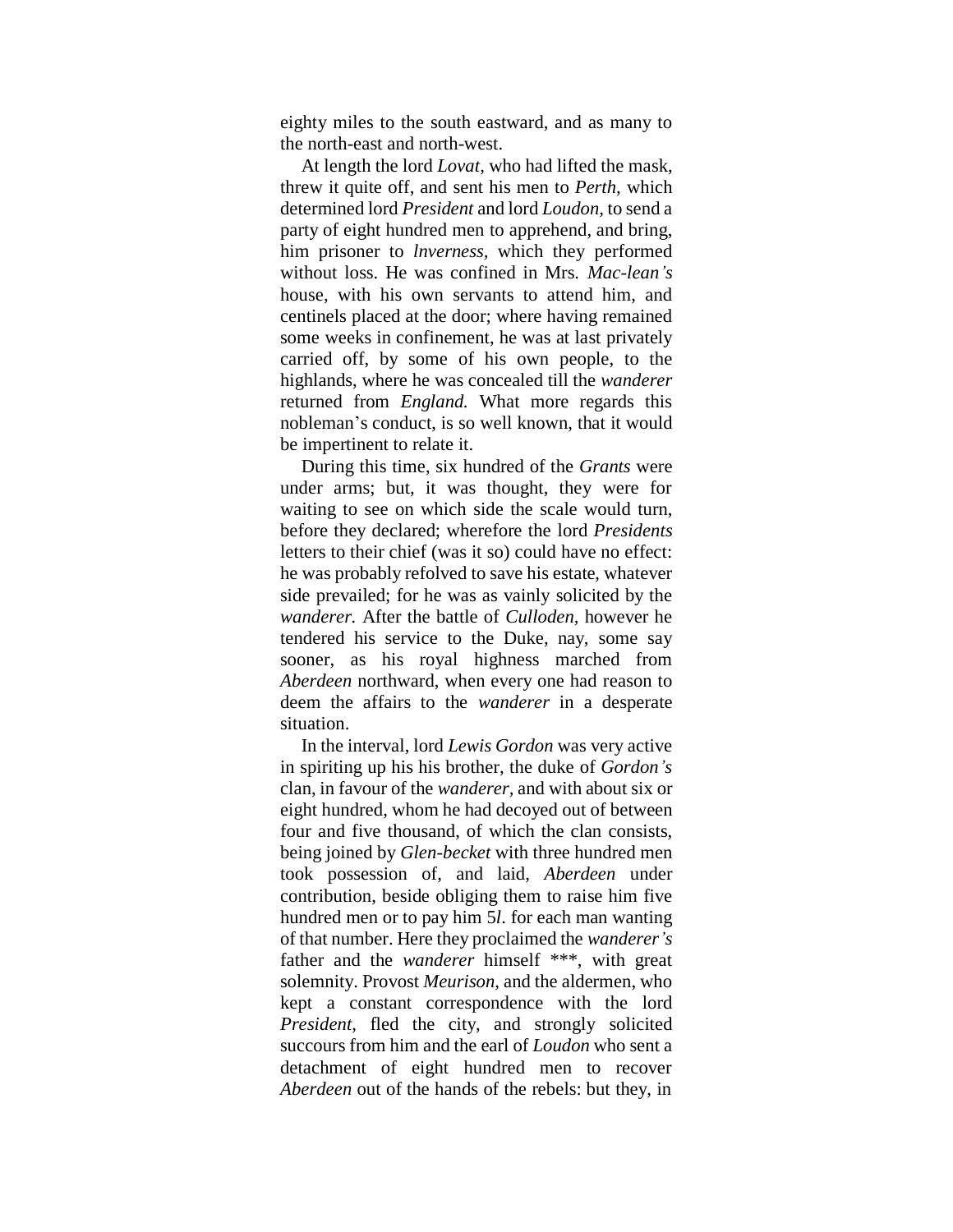eighty miles to the south eastward, and as many to the north-east and north-west.

At length the lord *Lovat,* who had lifted the mask, threw it quite off, and sent his men to *Perth,* which determined lord *President* and lord *Loudon,* to send a party of eight hundred men to apprehend, and bring, him prisoner to *lnverness,* which they performed without loss. He was confined in Mrs. *Mac-lean's*  house, with his own servants to attend him, and centinels placed at the door; where having remained some weeks in confinement, he was at last privately carried off, by some of his own people, to the highlands, where he was concealed till the *wanderer*  returned from *England.* What more regards this nobleman"s conduct, is so well known, that it would be impertinent to relate it.

During this time, six hundred of the *Grants* were under arms; but, it was thought, they were for waiting to see on which side the scale would turn, before they declared; wherefore the lord *Presidents*  letters to their chief (was it so) could have no effect: he was probably refolved to save his estate, whatever side prevailed; for he was as vainly solicited by the *wanderer.* After the battle of *Culloden,* however he tendered his service to the Duke, nay, some say sooner, as his royal highness marched from *Aberdeen* northward, when every one had reason to deem the affairs to the *wanderer* in a desperate situation.

In the interval, lord *Lewis Gordon* was very active in spiriting up his his brother, the duke of *Gordon's*  clan, in favour of the *wanderer,* and with about six or eight hundred, whom he had decoyed out of between four and five thousand, of which the clan consists, being joined by *Glen-becket* with three hundred men took possession of, and laid, *Aberdeen* under contribution, beside obliging them to raise him five hundred men or to pay him 5*l*. for each man wanting of that number. Here they proclaimed the *wanderer's* father and the *wanderer* himself \*\*\*, with great solemnity. Provost *Meurison,* and the aldermen, who kept a constant correspondence with the lord *President,* fled the city, and strongly solicited succours from him and the earl of *Loudon* who sent a detachment of eight hundred men to recover *Aberdeen* out of the hands of the rebels: but they, in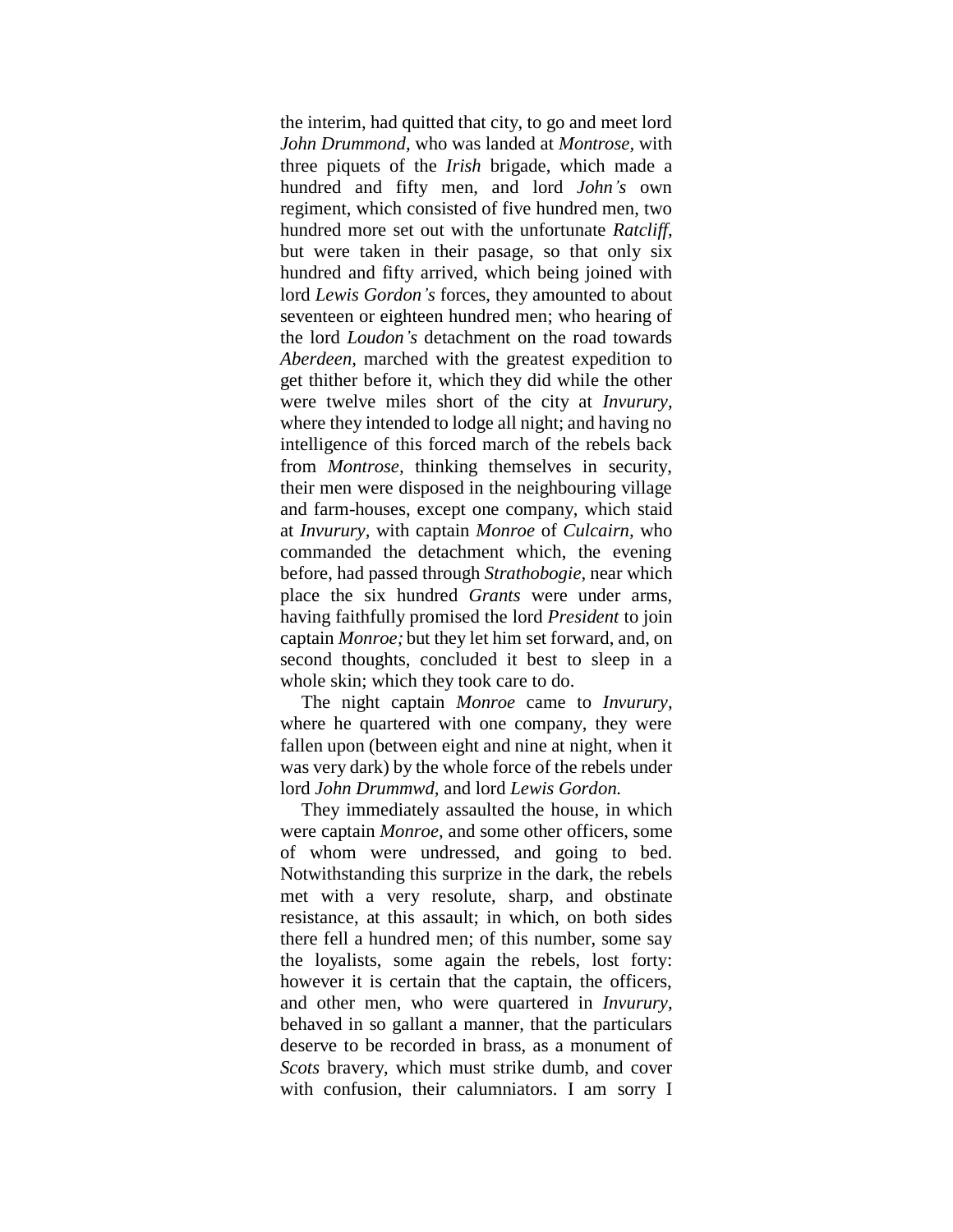the interim, had quitted that city, to go and meet lord *John Drummond,* who was landed at *Montrose,* with three piquets of the *Irish* brigade, which made a hundred and fifty men, and lord *John's* own regiment, which consisted of five hundred men, two hundred more set out with the unfortunate *Ratcliff,*  but were taken in their pasage, so that only six hundred and fifty arrived, which being joined with lord *Lewis Gordon's* forces, they amounted to about seventeen or eighteen hundred men; who hearing of the lord *Loudon's* detachment on the road towards *Aberdeen,* marched with the greatest expedition to get thither before it, which they did while the other were twelve miles short of the city at *Invurury,*  where they intended to lodge all night; and having no intelligence of this forced march of the rebels back from *Montrose,* thinking themselves in security, their men were disposed in the neighbouring village and farm-houses, except one company, which staid at *Invurury,* with captain *Monroe* of *Culcairn,* who commanded the detachment which, the evening before, had passed through *Strathobogie,* near which place the six hundred *Grants* were under arms, having faithfully promised the lord *President* to join captain *Monroe;* but they let him set forward, and, on second thoughts, concluded it best to sleep in a whole skin; which they took care to do.

The night captain *Monroe* came to *Invurury,*  where he quartered with one company, they were fallen upon (between eight and nine at night, when it was very dark) by the whole force of the rebels under lord *John Drummwd,* and lord *Lewis Gordon.*

They immediately assaulted the house, in which were captain *Monroe,* and some other officers, some of whom were undressed, and going to bed. Notwithstanding this surprize in the dark, the rebels met with a very resolute, sharp, and obstinate resistance, at this assault; in which, on both sides there fell a hundred men; of this number, some say the loyalists, some again the rebels, lost forty: however it is certain that the captain, the officers, and other men, who were quartered in *Invurury,* behaved in so gallant a manner, that the particulars deserve to be recorded in brass, as a monument of *Scots* bravery, which must strike dumb, and cover with confusion, their calumniators. I am sorry I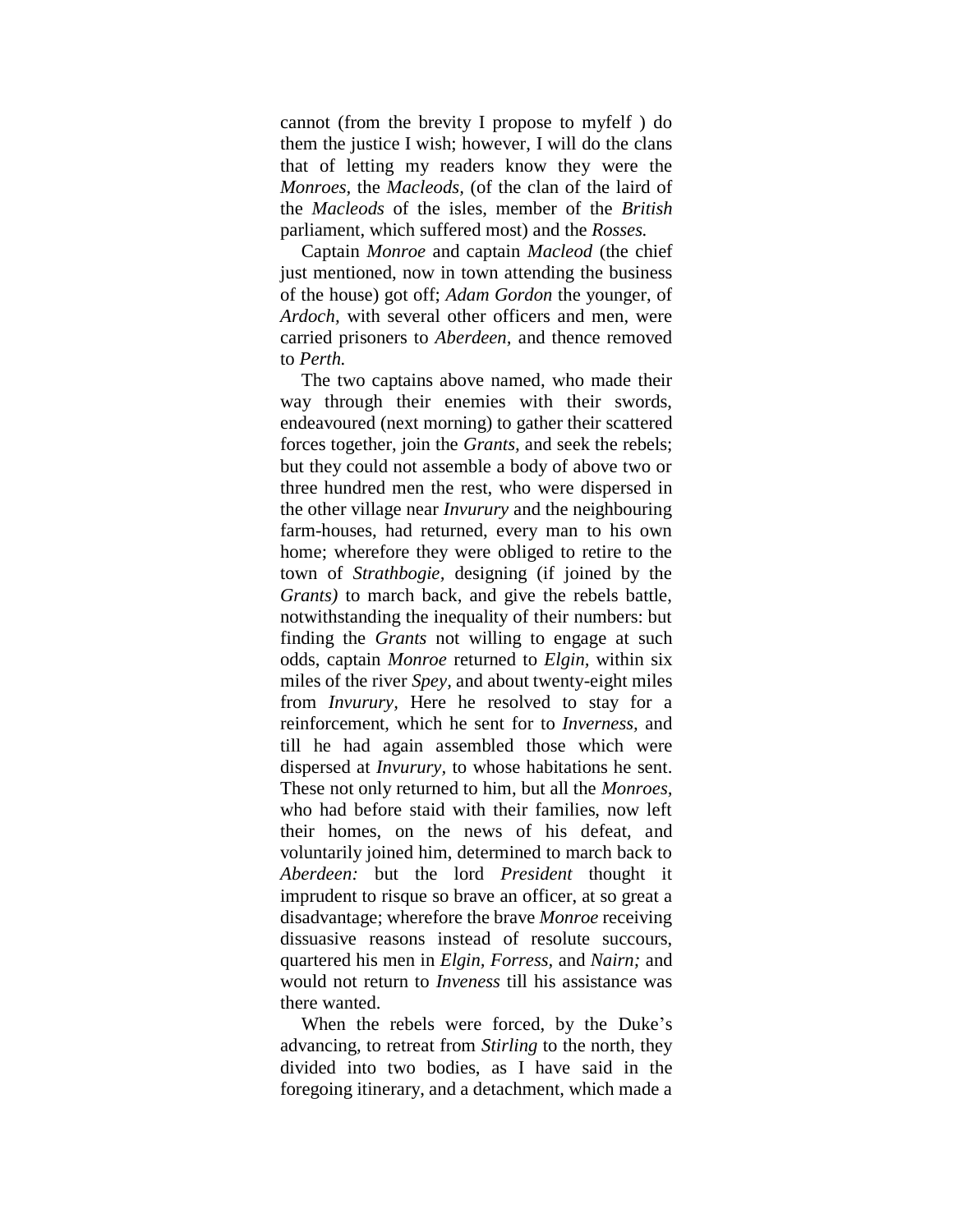cannot (from the brevity I propose to myfelf ) do them the justice I wish; however, I will do the clans that of letting my readers know they were the *Monroes,* the *Macleods,* (of the clan of the laird of the *Macleods* of the isles, member of the *British*  parliament, which suffered most) and the *Rosses.*

Captain *Monroe* and captain *Macleod* (the chief just mentioned, now in town attending the business of the house) got off; *Adam Gordon* the younger, of *Ardoch,* with several other officers and men, were carried prisoners to *Aberdeen,* and thence removed to *Perth.*

The two captains above named, who made their way through their enemies with their swords, endeavoured (next morning) to gather their scattered forces together, join the *Grants,* and seek the rebels; but they could not assemble a body of above two or three hundred men the rest, who were dispersed in the other village near *Invurury* and the neighbouring farm-houses, had returned, every man to his own home; wherefore they were obliged to retire to the town of *Strathbogie,* designing (if joined by the *Grants)* to march back, and give the rebels battle, notwithstanding the inequality of their numbers: but finding the *Grants* not willing to engage at such odds, captain *Monroe* returned to *Elgin,* within six miles of the river *Spey,* and about twenty-eight miles from *Invurury,* Here he resolved to stay for a reinforcement, which he sent for to *Inverness,* and till he had again assembled those which were dispersed at *Invurury,* to whose habitations he sent. These not only returned to him, but all the *Monroes,* who had before staid with their families, now left their homes, on the news of his defeat, and voluntarily joined him, determined to march back to *Aberdeen:* but the lord *President* thought it imprudent to risque so brave an officer, at so great a disadvantage; wherefore the brave *Monroe* receiving dissuasive reasons instead of resolute succours, quartered his men in *Elgin, Forress,* and *Nairn;* and would not return to *Inveness* till his assistance was there wanted.

When the rebels were forced, by the Duke's advancing, to retreat from *Stirling* to the north, they divided into two bodies, as I have said in the foregoing itinerary, and a detachment, which made a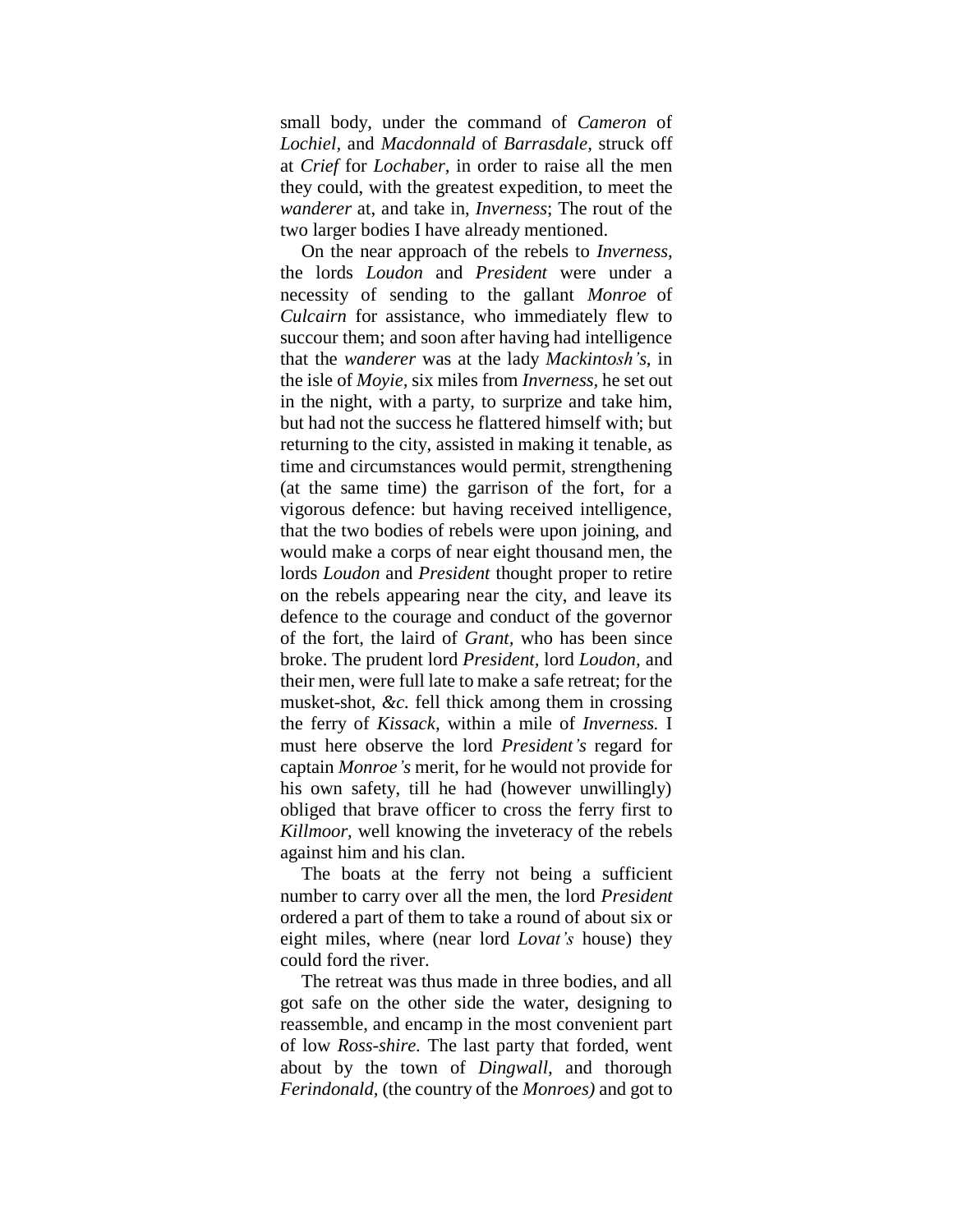small body, under the command of *Cameron* of *Lochiel,* and *Macdonnald* of *Barrasdale,* struck off at *Crief* for *Lochaber,* in order to raise all the men they could, with the greatest expedition, to meet the *wanderer* at, and take in, *Inverness*; The rout of the two larger bodies I have already mentioned.

On the near approach of the rebels to *Inverness,*  the lords *Loudon* and *President* were under a necessity of sending to the gallant *Monroe* of *Culcairn* for assistance, who immediately flew to succour them; and soon after having had intelligence that the *wanderer* was at the lady *Mackintosh's,* in the isle of *Moyie,* six miles from *Inverness,* he set out in the night, with a party, to surprize and take him, but had not the success he flattered himself with; but returning to the city, assisted in making it tenable, as time and circumstances would permit, strengthening (at the same time) the garrison of the fort, for a vigorous defence: but having received intelligence, that the two bodies of rebels were upon joining, and would make a corps of near eight thousand men, the lords *Loudon* and *President* thought proper to retire on the rebels appearing near the city, and leave its defence to the courage and conduct of the governor of the fort, the laird of *Grant,* who has been since broke. The prudent lord *President,* lord *Loudon,* and their men, were full late to make a safe retreat; for the musket-shot, *&c.* fell thick among them in crossing the ferry of *Kissack,* within a mile of *Inverness.* I must here observe the lord *President's* regard for captain *Monroe's* merit, for he would not provide for his own safety, till he had (however unwillingly) obliged that brave officer to cross the ferry first to *Killmoor,* well knowing the inveteracy of the rebels against him and his clan.

The boats at the ferry not being a sufficient number to carry over all the men, the lord *President*  ordered a part of them to take a round of about six or eight miles, where (near lord *Lovat's* house) they could ford the river.

The retreat was thus made in three bodies, and all got safe on the other side the water, designing to reassemble, and encamp in the most convenient part of low *Ross-shire.* The last party that forded, went about by the town of *Dingwall,* and thorough *Ferindonald,* (the country of the *Monroes)* and got to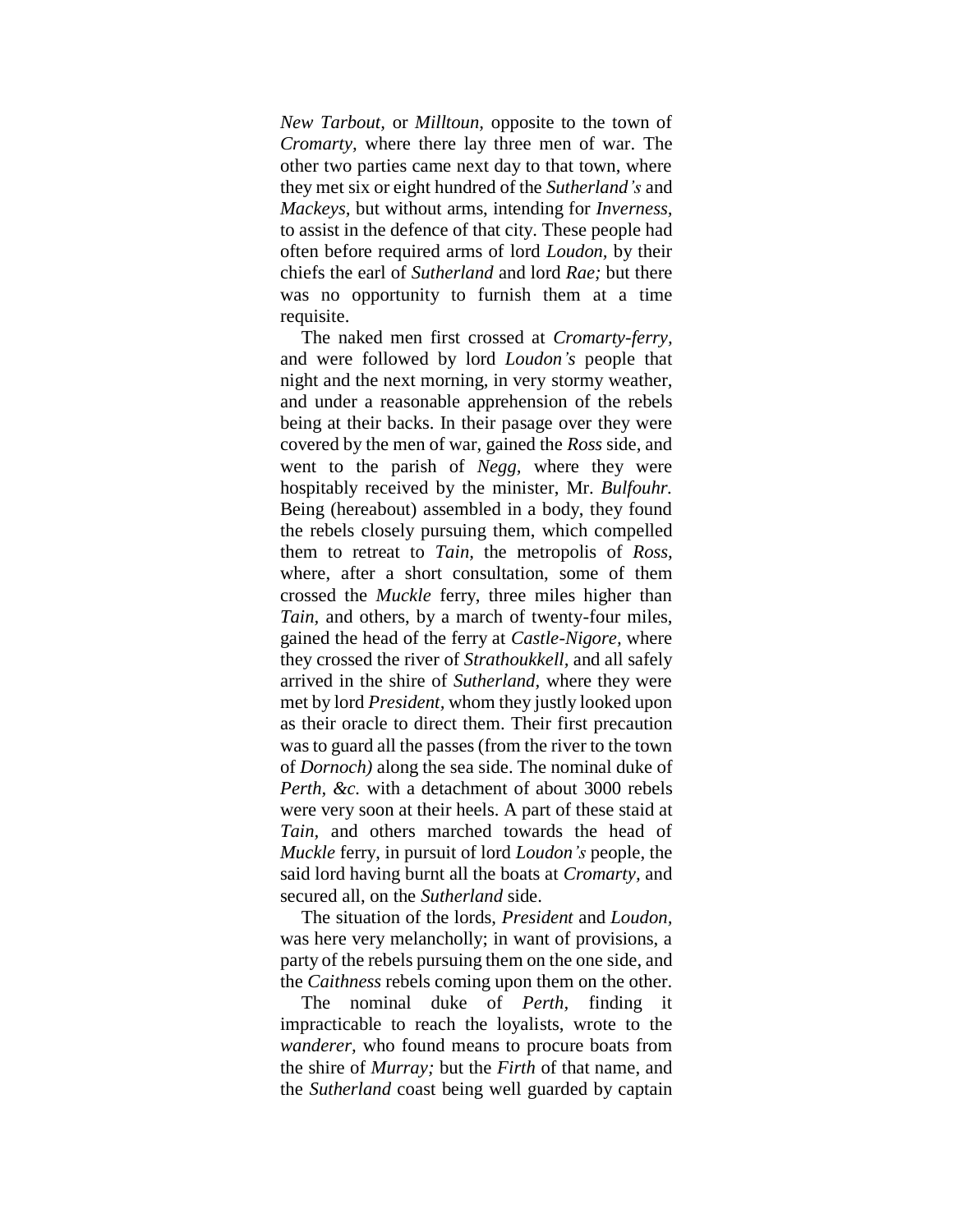*New Tarbout,* or *Milltoun,* opposite to the town of *Cromarty,* where there lay three men of war. The other two parties came next day to that town, where they met six or eight hundred of the *Sutherland's* and *Mackeys,* but without arms, intending for *Inverness,*  to assist in the defence of that city. These people had often before required arms of lord *Loudon,* by their chiefs the earl of *Sutherland* and lord *Rae;* but there was no opportunity to furnish them at a time requisite.

The naked men first crossed at *Cromarty-ferry,*  and were followed by lord *Loudon's* people that night and the next morning, in very stormy weather, and under a reasonable apprehension of the rebels being at their backs. In their pasage over they were covered by the men of war, gained the *Ross* side, and went to the parish of *Negg,* where they were hospitably received by the minister, Mr. *Bulfouhr.*  Being (hereabout) assembled in a body, they found the rebels closely pursuing them, which compelled them to retreat to *Tain,* the metropolis of *Ross,*  where, after a short consultation, some of them crossed the *Muckle* ferry, three miles higher than *Tain,* and others, by a march of twenty-four miles, gained the head of the ferry at *Castle-Nigore,* where they crossed the river of *Strathoukkell,* and all safely arrived in the shire of *Sutherland,* where they were met by lord *President,* whom they justly looked upon as their oracle to direct them. Their first precaution was to guard all the passes (from the river to the town of *Dornoch)* along the sea side. The nominal duke of *Perth, &c.* with a detachment of about 3000 rebels were very soon at their heels. A part of these staid at *Tain,* and others marched towards the head of *Muckle* ferry, in pursuit of lord *Loudon's* people, the said lord having burnt all the boats at *Cromarty,* and secured all, on the *Sutherland* side.

The situation of the lords, *President* and *Loudon,* was here very melancholly; in want of provisions, a party of the rebels pursuing them on the one side, and the *Caithness* rebels coming upon them on the other.

The nominal duke of *Perth,* finding it impracticable to reach the loyalists, wrote to the *wanderer,* who found means to procure boats from the shire of *Murray;* but the *Firth* of that name, and the *Sutherland* coast being well guarded by captain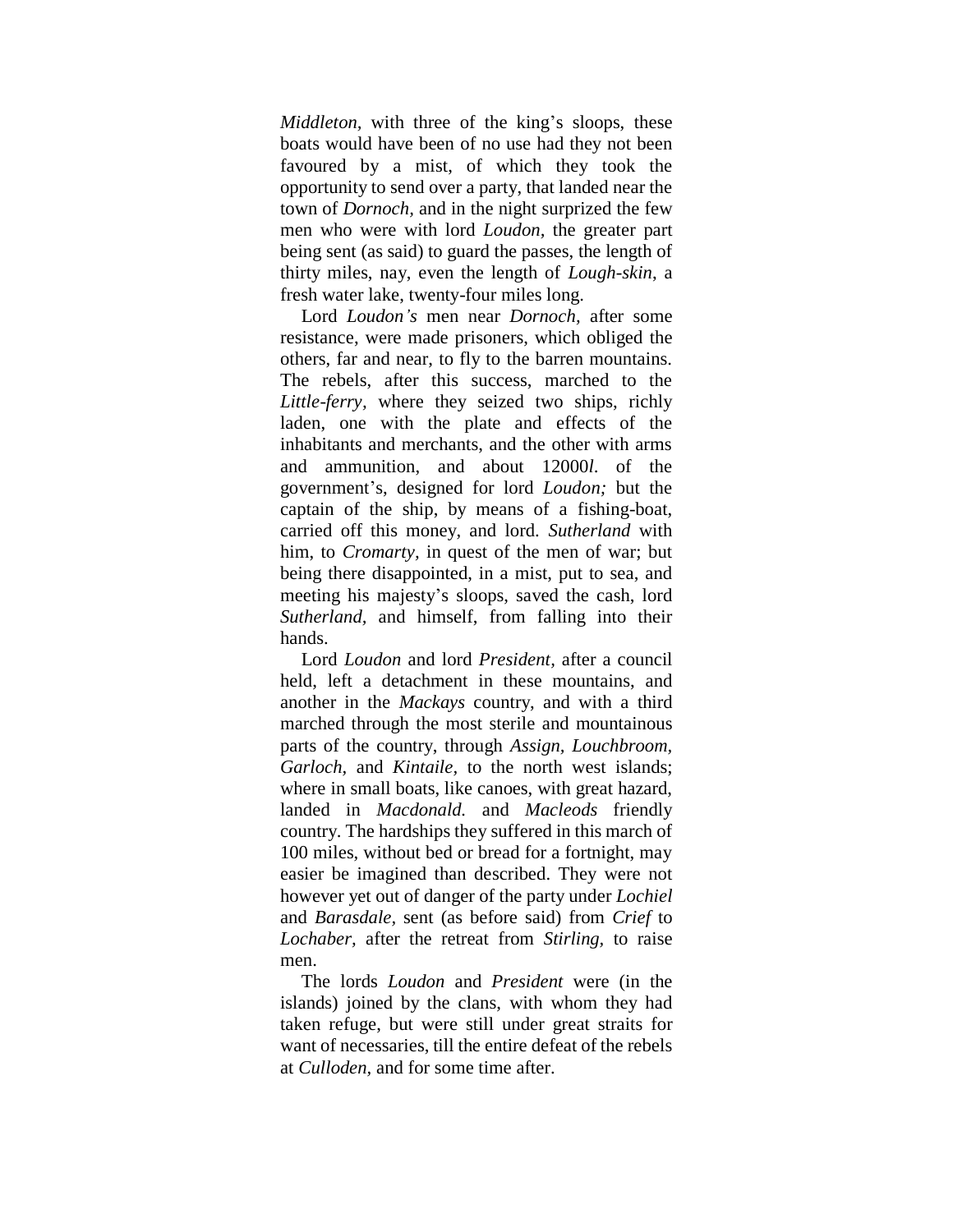*Middleton*, with three of the king's sloops, these boats would have been of no use had they not been favoured by a mist, of which they took the opportunity to send over a party, that landed near the town of *Dornoch,* and in the night surprized the few men who were with lord *Loudon,* the greater part being sent (as said) to guard the passes, the length of thirty miles, nay, even the length of *Lough-skin*, a fresh water lake, twenty-four miles long.

Lord *Loudon's* men near *Dornoch,* after some resistance, were made prisoners, which obliged the others, far and near, to fly to the barren mountains. The rebels, after this success, marched to the *Little-ferry,* where they seized two ships, richly laden, one with the plate and effects of the inhabitants and merchants, and the other with arms and ammunition, and about 12000*l*. of the government"s, designed for lord *Loudon;* but the captain of the ship, by means of a fishing-boat, carried off this money, and lord. *Sutherland* with him, to *Cromarty,* in quest of the men of war; but being there disappointed, in a mist, put to sea, and meeting his majesty"s sloops, saved the cash, lord *Sutherland,* and himself, from falling into their hands.

Lord *Loudon* and lord *President,* after a council held, left a detachment in these mountains, and another in the *Mackays* country, and with a third marched through the most sterile and mountainous parts of the country, through *Assign, Louchbroom, Garloch,* and *Kintaile,* to the north west islands; where in small boats, like canoes, with great hazard, landed in *Macdonald.* and *Macleods* friendly country. The hardships they suffered in this march of 100 miles, without bed or bread for a fortnight, may easier be imagined than described. They were not however yet out of danger of the party under *Lochiel*  and *Barasdale,* sent (as before said) from *Crief* to *Lochaber,* after the retreat from *Stirling,* to raise men.

The lords *Loudon* and *President* were (in the islands) joined by the clans, with whom they had taken refuge, but were still under great straits for want of necessaries, till the entire defeat of the rebels at *Culloden,* and for some time after.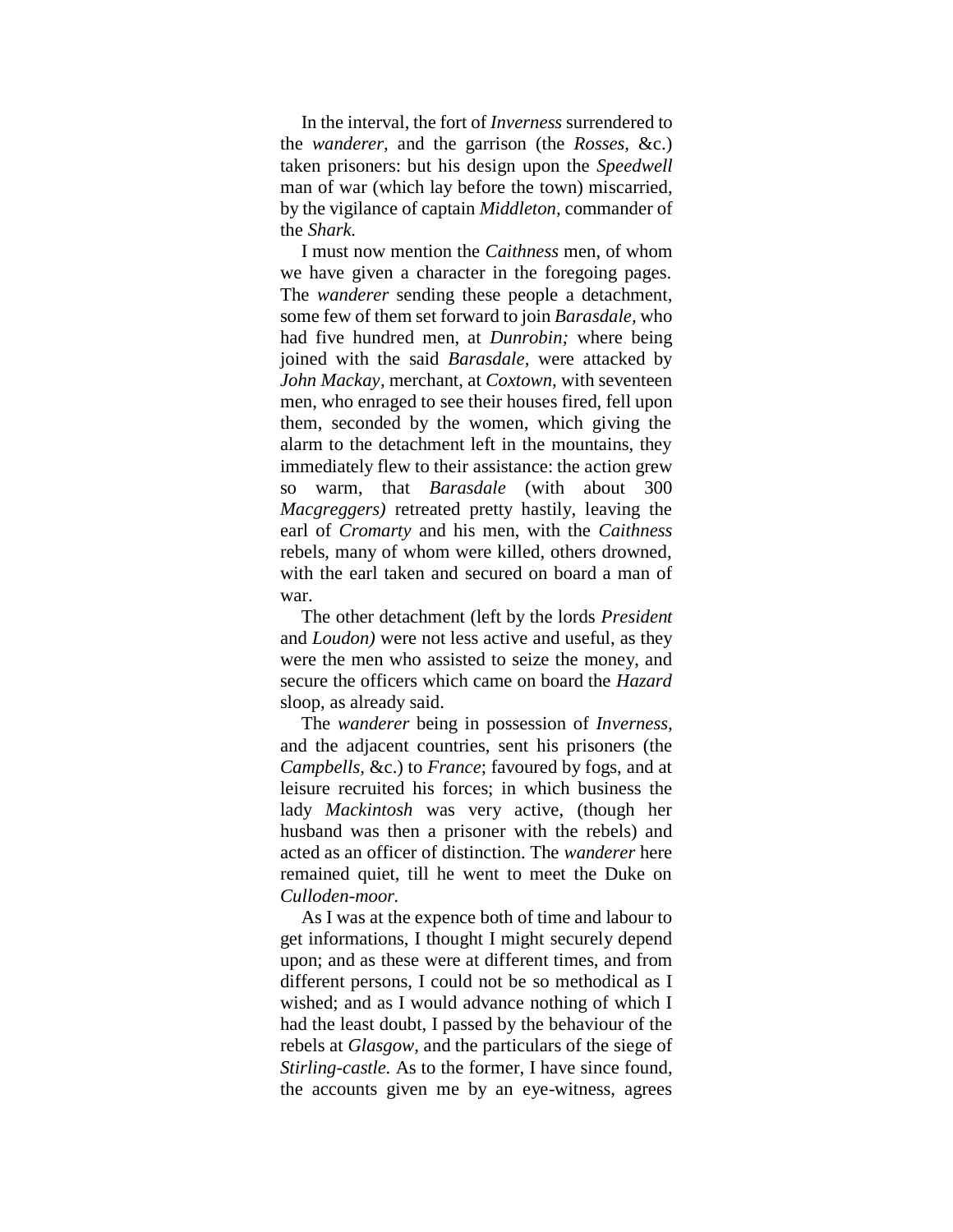In the interval, the fort of *Inverness* surrendered to the *wanderer,* and the garrison (the *Rosses,* &c.) taken prisoners: but his design upon the *Speedwell*  man of war (which lay before the town) miscarried, by the vigilance of captain *Middleton,* commander of the *Shark.*

I must now mention the *Caithness* men, of whom we have given a character in the foregoing pages. The *wanderer* sending these people a detachment, some few of them set forward to join *Barasdale,* who had five hundred men, at *Dunrobin;* where being joined with the said *Barasdale,* were attacked by *John Mackay,* merchant, at *Coxtown,* with seventeen men, who enraged to see their houses fired, fell upon them, seconded by the women, which giving the alarm to the detachment left in the mountains, they immediately flew to their assistance: the action grew so warm, that *Barasdale* (with about 300 *Macgreggers)* retreated pretty hastily, leaving the earl of *Cromarty* and his men, with the *Caithness* rebels, many of whom were killed, others drowned, with the earl taken and secured on board a man of war.

The other detachment (left by the lords *President* and *Loudon)* were not less active and useful, as they were the men who assisted to seize the money, and secure the officers which came on board the *Hazard*  sloop, as already said.

The *wanderer* being in possession of *Inverness,* and the adjacent countries, sent his prisoners (the *Campbells,* &c.) to *France*; favoured by fogs, and at leisure recruited his forces; in which business the lady *Mackintosh* was very active, (though her husband was then a prisoner with the rebels) and acted as an officer of distinction. The *wanderer* here remained quiet, till he went to meet the Duke on *Culloden-moor.*

As I was at the expence both of time and labour to get informations, I thought I might securely depend upon; and as these were at different times, and from different persons, I could not be so methodical as I wished; and as I would advance nothing of which I had the least doubt, I passed by the behaviour of the rebels at *Glasgow,* and the particulars of the siege of *Stirling-castle.* As to the former, I have since found, the accounts given me by an eye-witness, agrees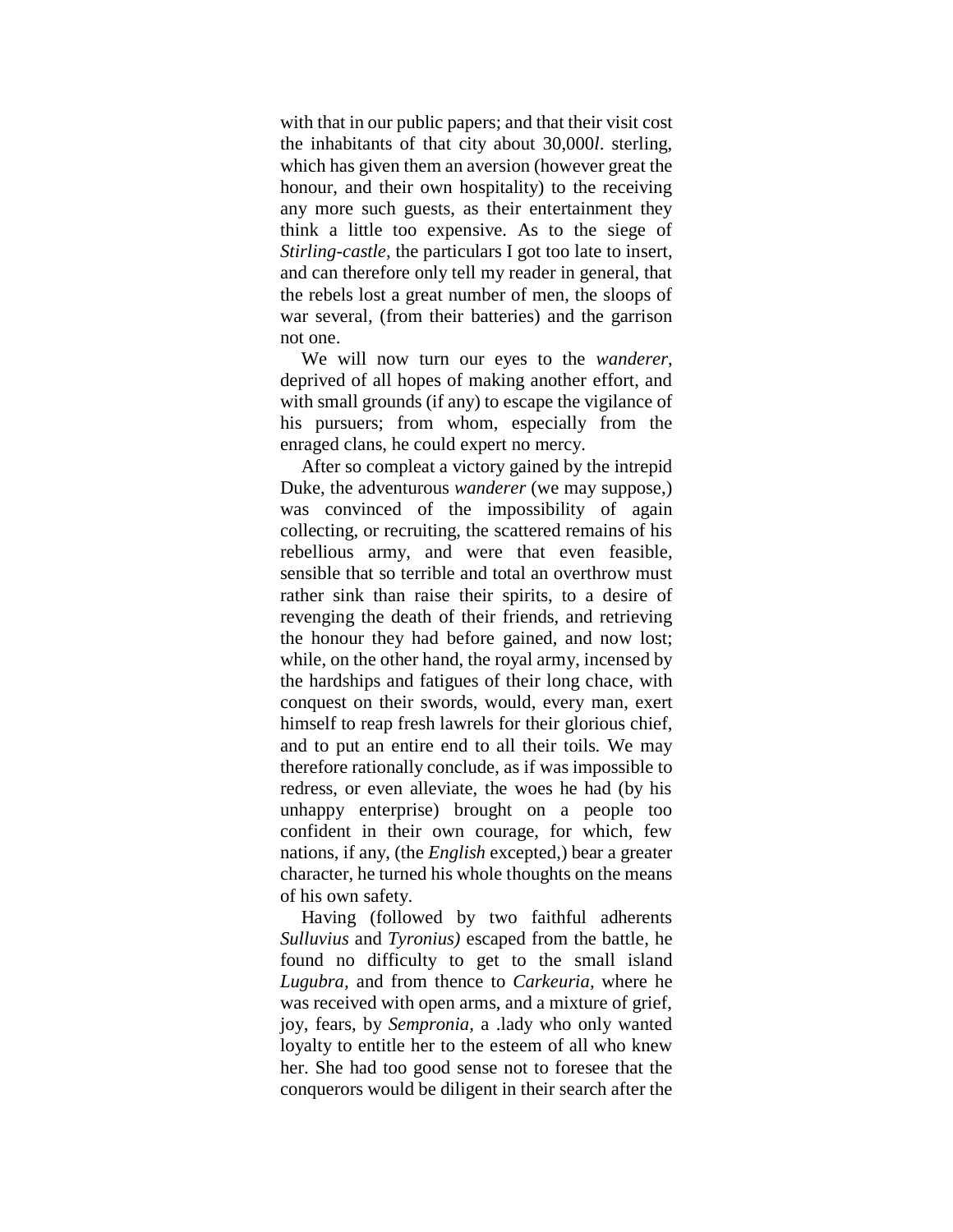with that in our public papers; and that their visit cost the inhabitants of that city about 30,000*l*. sterling, which has given them an aversion (however great the honour, and their own hospitality) to the receiving any more such guests, as their entertainment they think a little too expensive. As to the siege of *Stirling-castle,* the particulars I got too late to insert, and can therefore only tell my reader in general, that the rebels lost a great number of men, the sloops of war several, (from their batteries) and the garrison not one.

We will now turn our eyes to the *wanderer*, deprived of all hopes of making another effort, and with small grounds (if any) to escape the vigilance of his pursuers; from whom, especially from the enraged clans, he could expert no mercy.

After so compleat a victory gained by the intrepid Duke, the adventurous *wanderer* (we may suppose,) was convinced of the impossibility of again collecting, or recruiting, the scattered remains of his rebellious army, and were that even feasible, sensible that so terrible and total an overthrow must rather sink than raise their spirits, to a desire of revenging the death of their friends, and retrieving the honour they had before gained, and now lost; while, on the other hand, the royal army, incensed by the hardships and fatigues of their long chace, with conquest on their swords, would, every man, exert himself to reap fresh lawrels for their glorious chief, and to put an entire end to all their toils. We may therefore rationally conclude, as if was impossible to redress, or even alleviate, the woes he had (by his unhappy enterprise) brought on a people too confident in their own courage, for which, few nations, if any, (the *English* excepted,) bear a greater character, he turned his whole thoughts on the means of his own safety.

Having (followed by two faithful adherents *Sulluvius* and *Tyronius)* escaped from the battle, he found no difficulty to get to the small island *Lugubra,* and from thence to *Carkeuria,* where he was received with open arms, and a mixture of grief, joy, fears, by *Sempronia,* a .lady who only wanted loyalty to entitle her to the esteem of all who knew her. She had too good sense not to foresee that the conquerors would be diligent in their search after the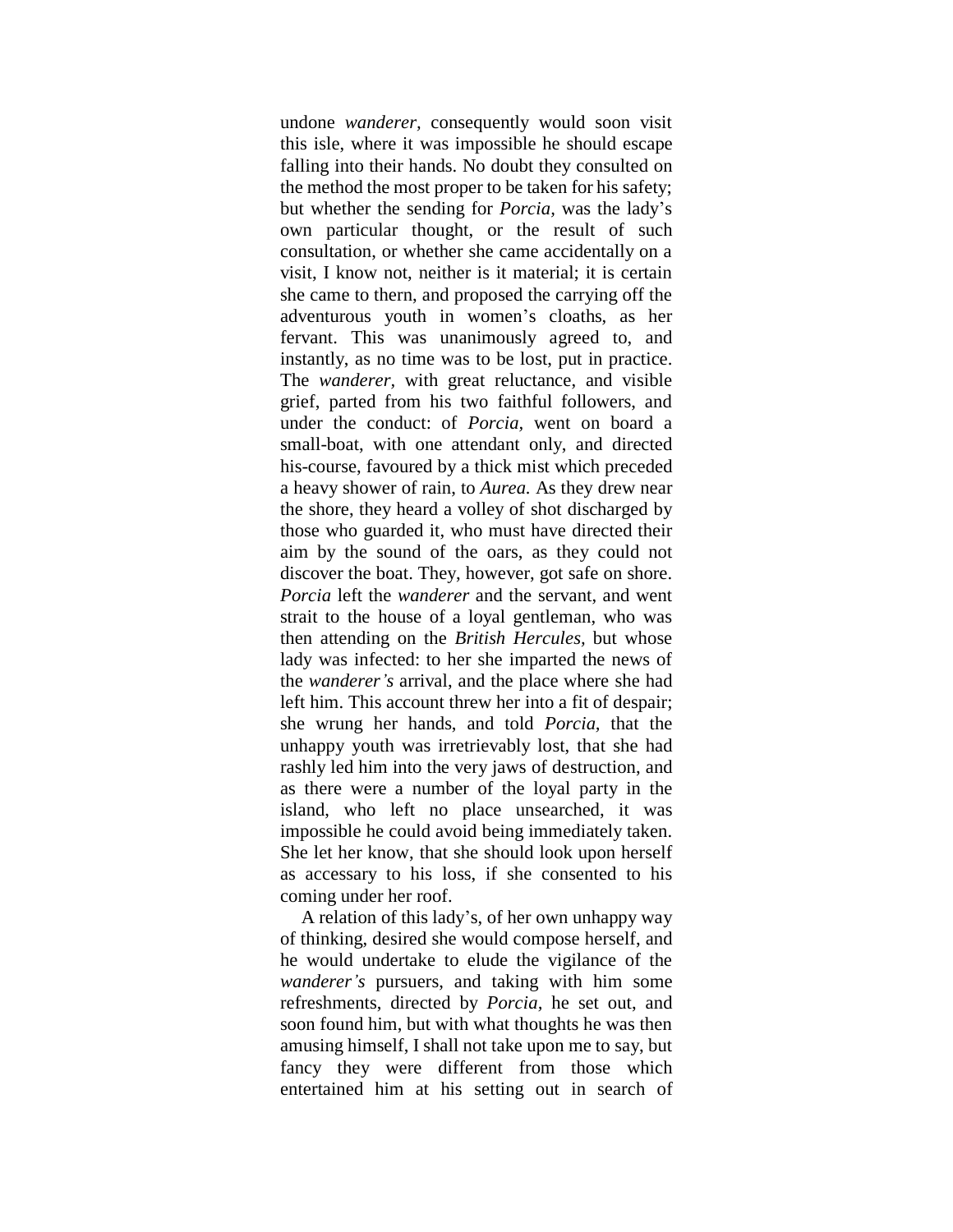undone *wanderer,* consequently would soon visit this isle, where it was impossible he should escape falling into their hands. No doubt they consulted on the method the most proper to be taken for his safety; but whether the sending for *Porcia,* was the lady"s own particular thought, or the result of such consultation, or whether she came accidentally on a visit, I know not, neither is it material; it is certain she came to thern, and proposed the carrying off the adventurous youth in women"s cloaths, as her fervant. This was unanimously agreed to, and instantly, as no time was to be lost, put in practice. The *wanderer,* with great reluctance, and visible grief, parted from his two faithful followers, and under the conduct: of *Porcia,* went on board a small-boat, with one attendant only, and directed his-course, favoured by a thick mist which preceded a heavy shower of rain, to *Aurea.* As they drew near the shore, they heard a volley of shot discharged by those who guarded it, who must have directed their aim by the sound of the oars, as they could not discover the boat. They, however, got safe on shore. *Porcia* left the *wanderer* and the servant, and went strait to the house of a loyal gentleman, who was then attending on the *British Hercules,* but whose lady was infected: to her she imparted the news of the *wanderer's* arrival, and the place where she had left him. This account threw her into a fit of despair; she wrung her hands, and told *Porcia,* that the unhappy youth was irretrievably lost, that she had rashly led him into the very jaws of destruction, and as there were a number of the loyal party in the island, who left no place unsearched, it was impossible he could avoid being immediately taken. She let her know, that she should look upon herself as accessary to his loss, if she consented to his coming under her roof.

A relation of this lady"s, of her own unhappy way of thinking, desired she would compose herself, and he would undertake to elude the vigilance of the *wanderer's* pursuers, and taking with him some refreshments, directed by *Porcia,* he set out, and soon found him, but with what thoughts he was then amusing himself, I shall not take upon me to say, but fancy they were different from those which entertained him at his setting out in search of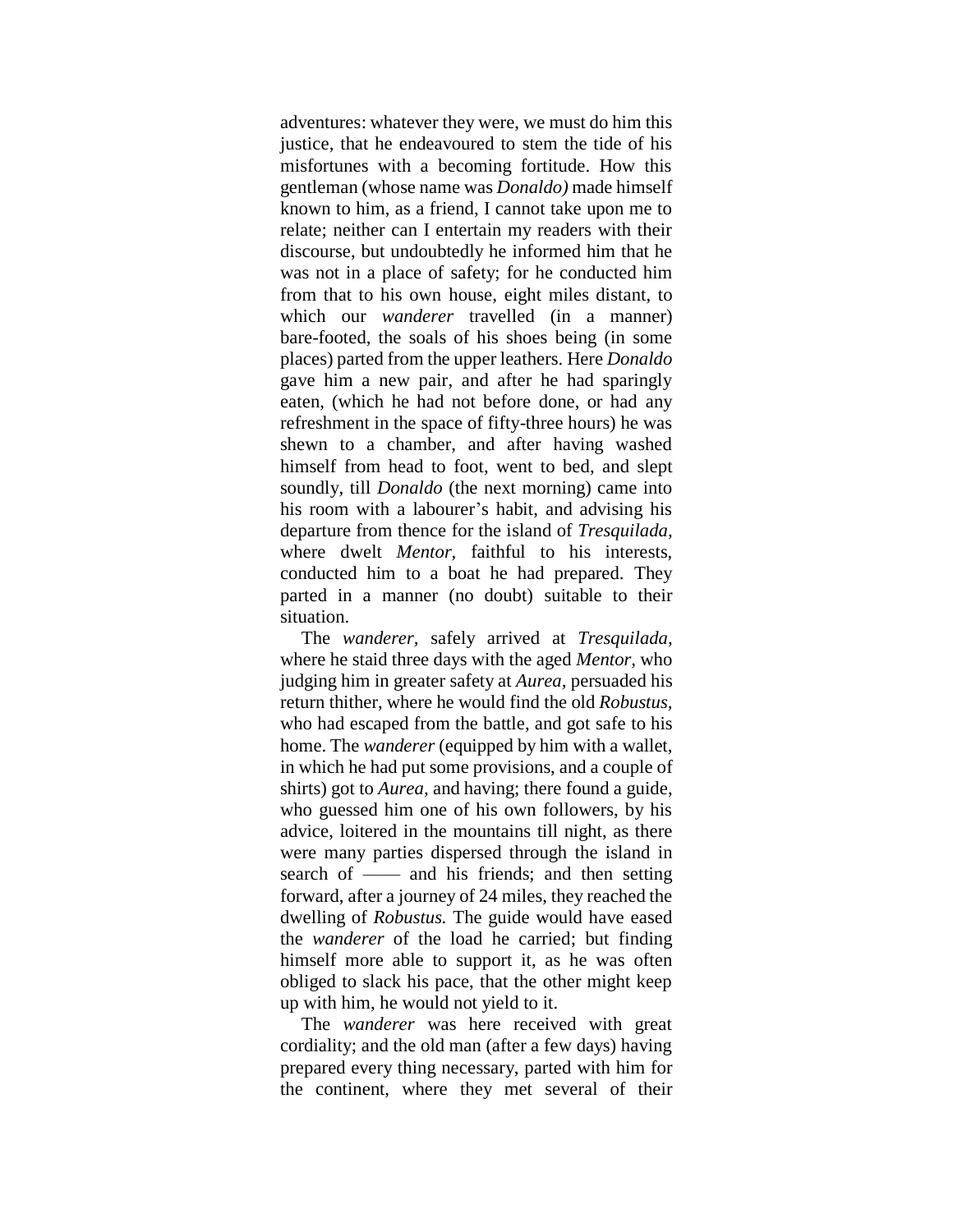adventures: whatever they were, we must do him this justice, that he endeavoured to stem the tide of his misfortunes with a becoming fortitude. How this gentleman (whose name was *Donaldo)* made himself known to him, as a friend, I cannot take upon me to relate; neither can I entertain my readers with their discourse, but undoubtedly he informed him that he was not in a place of safety; for he conducted him from that to his own house, eight miles distant, to which our *wanderer* travelled (in a manner) bare-footed, the soals of his shoes being (in some places) parted from the upper leathers. Here *Donaldo* gave him a new pair, and after he had sparingly eaten, (which he had not before done, or had any refreshment in the space of fifty-three hours) he was shewn to a chamber, and after having washed himself from head to foot, went to bed, and slept soundly, till *Donaldo* (the next morning) came into his room with a labourer's habit, and advising his departure from thence for the island of *Tresquilada,*  where dwelt *Mentor,* faithful to his interests, conducted him to a boat he had prepared. They parted in a manner (no doubt) suitable to their situation.

The *wanderer,* safely arrived at *Tresquilada,*  where he staid three days with the aged *Mentor,* who judging him in greater safety at *Aurea,* persuaded his return thither, where he would find the old *Robustus,* who had escaped from the battle, and got safe to his home. The *wanderer* (equipped by him with a wallet, in which he had put some provisions, and a couple of shirts) got to *Aurea,* and having; there found a guide, who guessed him one of his own followers, by his advice, loitered in the mountains till night, as there were many parties dispersed through the island in search of —— and his friends; and then setting forward, after a journey of 24 miles, they reached the dwelling of *Robustus.* The guide would have eased the *wanderer* of the load he carried; but finding himself more able to support it, as he was often obliged to slack his pace, that the other might keep up with him, he would not yield to it.

The *wanderer* was here received with great cordiality; and the old man (after a few days) having prepared every thing necessary, parted with him for the continent, where they met several of their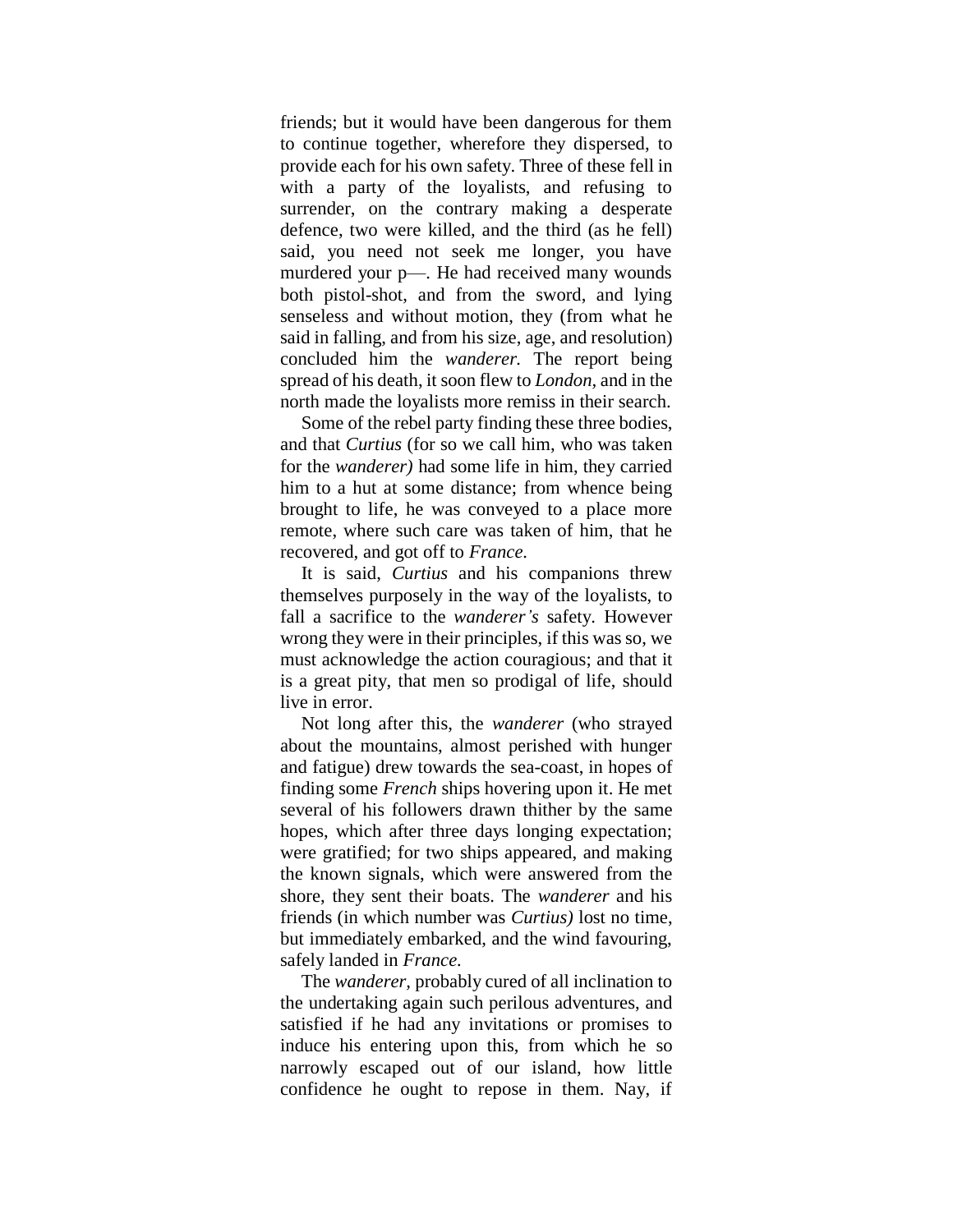friends; but it would have been dangerous for them to continue together, wherefore they dispersed, to provide each for his own safety. Three of these fell in with a party of the loyalists, and refusing to surrender, on the contrary making a desperate defence, two were killed, and the third (as he fell) said, you need not seek me longer, you have murdered your p—. He had received many wounds both pistol-shot, and from the sword, and lying senseless and without motion, they (from what he said in falling, and from his size, age, and resolution) concluded him the *wanderer.* The report being spread of his death, it soon flew to *London,* and in the north made the loyalists more remiss in their search.

Some of the rebel party finding these three bodies, and that *Curtius* (for so we call him, who was taken for the *wanderer)* had some life in him, they carried him to a hut at some distance; from whence being brought to life, he was conveyed to a place more remote, where such care was taken of him, that he recovered, and got off to *France.*

It is said, *Curtius* and his companions threw themselves purposely in the way of the loyalists, to fall a sacrifice to the *wanderer's* safety. However wrong they were in their principles, if this was so, we must acknowledge the action couragious; and that it is a great pity, that men so prodigal of life, should live in error.

Not long after this, the *wanderer* (who strayed about the mountains, almost perished with hunger and fatigue) drew towards the sea-coast, in hopes of finding some *French* ships hovering upon it. He met several of his followers drawn thither by the same hopes, which after three days longing expectation; were gratified; for two ships appeared, and making the known signals, which were answered from the shore, they sent their boats. The *wanderer* and his friends (in which number was *Curtius)* lost no time, but immediately embarked, and the wind favouring, safely landed in *France.*

The *wanderer,* probably cured of all inclination to the undertaking again such perilous adventures, and satisfied if he had any invitations or promises to induce his entering upon this, from which he so narrowly escaped out of our island, how little confidence he ought to repose in them. Nay, if